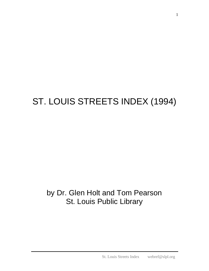## ST. LOUIS STREETS INDEX (1994)

## by Dr. Glen Holt and Tom Pearson St. Louis Public Library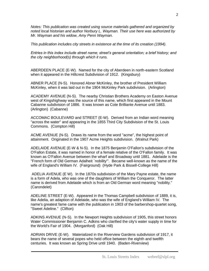*Notes: This publication was created using source materials gathered and organized by noted local historian and author Norbury L. Wayman. Their use here was authorized by Mr. Wayman and his widow, Amy Penn Wayman.*

*This publication includes city streets in existence at the time of its creation (1994).*

*Entries in this index include street name; street's general orientation; a brief history; and the city neighborhood(s) through which it runs.*

ABERDEEN PLACE (E-W). Named for the city of Aberdeen in north-eastern Scotland when it appeared in the Hillcrest Subdivision of 1912. (Kingsbury)

ABNER PLACE (N-S). Honored Abner McKinley, the brother of President William McKinley, when it was laid out in the 1904 McKinley Park subdivision. (Arlington)

ACADEMY AVENUE (N-S). The nearby Christian Brothers Academy on Easton Avenue west of Kingshighway was the source of this name, which first appeared in the Mount Cabanne subdivision of 1886. It was known as Cote Brilliante Avenue until 1883. (Arlington) (Cabanne)

ACCOMAC BOULEVARD and STREET (E-W). Derived from an Indian word meaning "across the water" and appearing in the 1855 Third City Subdivision of the St. Louis Commons. (Compton Hill)

ACME AVENUE (N-S). Draws its name from the word "acme", the highest point of attainment. Originated in the 1907 Acme Heights subdivision. (Walnut Park)

ADELAIDE AVENUE (E-W & N-S). In the 1875 Benjamin O'Fallon's subdivision of the O'Fallon Estate, it was named in honor of a female relative of the O'Fallon family. It was known as O'Fallon Avenue between the wharf and Broadway until 1881. Adelaide is the "French form of Old German Adalheit `nobility'". Became well-known as the name of the wife of England's William IV. (Fairground) (Hyde Park & Bissell-College Hill)

ADELIA AVENUE (E W). In the 1870s subdivision of the Mary Payne estate, the name is a form of Adela, who was one of the daughters of William the Conqueror. The latter name is derived from Adelaide which is from an Old German word meaning "nobility." (Carondelet)

ADELINE STREET (E-W). Appeared in the Thomas Campbell subdivision of 1889, it is, like Adelia, an adaption of Adelaide, who was the wife of England's William IV. The name's greatest fame came with the publication in 1903 of the barbershop-quartet song, "Sweet Adeline." (Clifton)

ADKINS AVENUE (N-S). In the Newport Heights subdivision of 1905, this street honors Water Commissioner Benjamin C. Adkins who clarified the city's water supply in time for the World's Fair of 1904. (Morganford) (Oak Hill)

ADRIAN DRIVE (E-W). Materialized in the Riverview Gardens subdivision of 1917, it bears the name of several popes who held office between the eighth and twelfth centuries. It was known as Spring Drive until 1940. (Baden-Riverview)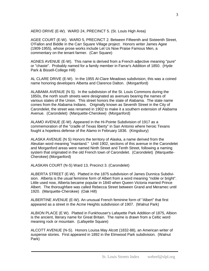AERO DRIVE (E-W). WARD 24, PRECINCT 5. (St. Louis High Area)

AGEE COURT (E-W). WARD 5, PRECINCT 2. Between Fifteenth and Sixteenth Street, O'Fallon and Biddle in the Carr Square Village project. Honors writer James Agee (1909-1955), whose prose works include Let Us Now Praise Famous Men, a commentary on the tenant farmer. (Carr Square)

AGNES AVENUE (E-W). This name is derived from a French adjective meaning "pure" or "chaste". Probably named for a family member in Farrar's Addition of 1850. (Hyde Park & Bissell-College Hill)

AL CLARE DRIVE (E-W). In the 1955 Al-Clare Meadows subdivision, this was a coined name honoring developers Alberta and Clarence Dalton. (Morganford)

ALABAMA AVENUE (N S). In the subdivision of the St. Louis Commons during the 1850s, the north south streets were designated as avenues bearing the names of various states of the Union. This street honors the state of Alabama. The state name comes from the Alabama Indians. Originally known as Seventh Street in the City of Carondelet, the street was renamed in 1902 to make it a southern extension of Alabama Avenue. (Carondelet) (Marquette-Cherokee) (Morganford)

ALAMO AVENUE (E-W). Appeared in the Hi-Pointe Subdivision of 1917 as a commemoration of the "cradle of Texas liberty" in San Antonio where heroic Texans fought a hopeless defense of the Alamo in February 1836. (Kingsbury)

ALASKA AVENUE (N S) Honors the territory of Alaska, a name derived from the Aleutian word meaning "mainland." Until 1902, sections of this avenue in the Carondelet and Morganford areas were named Ninth Street and Tenth Street, following a naming system that originated in the old French town of Carondelet. (Carondelet) (Marquette-Cherokee) (Morganford)

ALASKAN COURT (N-S) Ward 13, Precinct 3. (Carondelet)

ALBERTA STREET (E-W). Platted in the 1875 subdivision of James Dunnica Subdivision. Alberta is the usual feminine form of Albert from a word meaning "noble or bright". Little used now, Alberta became popular in 1840 when Queen Victoria married Prince Albert. The thoroughfare was called Rebecca Street between Grand and Meramec until 1920. (Marquette-Cherokee) (Oak Hill)

ALBERTINE AVENUE (E-W). An unusual French feminine form of "Albert" that first appeared as a street in the Acme Heights subdivision of 1907. (Walnut Park)

ALBION PLACE (E W). Platted in Funkhouser's Lafayette Park Addition of 1875, Albion is the ancient, literary name for Great Britain. The name is drawn from a Celtic word meaning rock or mountain. (Lafayette Square)

ALCOTT AVENUE (N-S). Honors Louisa May Alcott (1832-88), an American writer of suspense stories. First appeared in 1892 in the Elmwood Park subdivision. (Walnut Park)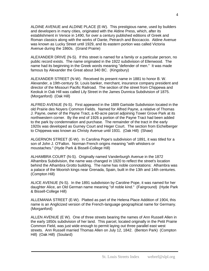ALDINE AVENUE and ALDINE PLACE (E-W). This prestigious name, used by builders and developers in many cities, originated with the Aldine Press, which, after its establishment in Venice in 1490, for over a century published editions of Greek and Roman classics along with the works of Dante, Petrarch and Boccaccio. Aldine Avenue was known as Lucky Street until 1929, and its eastern portion was called Victoria Avenue during the 1860s. (Grand Prairie)

ALEXANDER DRIVE (N-S). If this street is named for a family or a particular person, no public record exists. The name originated in the 1922 subdivision of Ellenwood. The name had its beginning in the Greek words meaning "defender of men." It was made famous by Alexander the Great about 340 BC. (Kingsbury)

ALEXANDER STREET (N-W). Received its present name in 1881 to honor B. W. Alexander, a 19th-century St. Louis banker, merchant, insurance company president and director of the Missouri Pacific Railroad. The section of the street from Chippewa and Keokuk in Oak Hill was called Lily Street in the James Dunnica Subdivision of 1875. (Morganford) (Oak Hill)

ALFRED AVENUE (N-S). First appeared in the 1889 Gartside Subdivision located in the old Prairie des Noyers Common Fields. Named for Alfred Payne, a relative of Thomas J. Payne, owner of the Payne Tract, a 40-acre parcel adjoining Tower Grove Park at its northwestern corner. By the end of 1926 a portion of the Payne Tract had been added to the park by condemnation and purchase. The remainder of the tract in the early 1920s was developed as Gurney Court and Heger Court. The section from Eichelberger to Chippewa was known as Christy Avenue until 1931. (Oak Hill) (Shaw)

ALGERNON STREET (E-W). In Carolina Pope's subdivision of 1891, it was titled for a son of John J. O'Fallon. Norman French origins meaning "with whiskers or moustaches." (Hyde Park & Bissell-College Hill)

ALHAMBRA COURT (N-S). Originally named Vanderburgh Avenue in the 1872 Alhambra Subdivision, the name was changed in 1920 to reflect the street's location behind the Alhambra Grotto building. The name has noble connotations: Alhambra was a palace of the Moorish kings near Grenada, Spain, built in the 13th and 14th centuries. (Compton Hill)

ALICE AVENUE (N-S). In the 1891 subdivision by Caroline Pope, it was named for her daughter Alice, an Old German name meaning "of noble kind." (Fairground) (Hyde Park & Bissell-College Hill)

ALLEMANIA STREET (E-W). Platted as part of the Helena Place Addition of 1904, this name is an Anglicized version of the French-language geographical name for Germany. (Morganford)

ALLEN AVENUE (E W). One of three streets bearing the names of Ann Russell Allen in the early 1850s subdivision of her land. This parcel, located originally in the Petit Prairie Common Field, was just wide enough to permit laying out three parallel east west streets. Ann Russell married Thomas Allen on July 12, 1842. (Benton Park) (Compton Hill) (Oak Hill) (Soulard)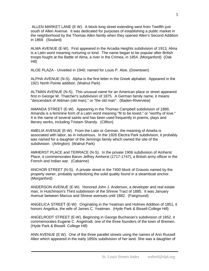ALLEN MARKET LANE (E W). A block-long street extending west from Twelfth just south of Allen Avenue. It was dedicated for purposes of establishing a public market in the neighborhood by the Thomas Allen family when they opened Allen's Second Addition in 1869. (Soulard)

ALMA AVENUE (E-W). First appeared in the Arcadia Heights subdivision of 1913, Alma is a Latin word meaning nurturing or kind. The name began to be popular after British troops fought at the Battle of Alma, a river in the Crimea, in 1854. (Morganford) (Oak Hill)

ALOE PLAZA - Unveiled in 1940; named for Louis P. Aloe. (Downtown)

ALPHA AVENUE (N-S). Alpha is the first letter in the Greek alphabet. Appeared in the 1921 North Pointe addition. (Walnut Park)

ALTMAN AVENUE (N-S). This unusual name for an American place or street appeared first in George W. Thatcher's subdivision of 1875. A German family name, it means "descendant of Aldman (old man)," or "the old man". (Baden-Riverview)

AMANDA STREET (E-W). Appearing in the Thomas Campbell subdivision of 1889, Amanda is a feminine form of a Latin word meaning "fit to be loved," or "worthy of love." It is the name of several saints and has been used frequently in poems, plays and literary works, including Tristam Shandy. (Clifton)

AMELIA AVENUE (E-W). From the Latin or German, the meaning of Amelia is associated with labor, as in industrious. In the 1926 Electra Park subdivision, it probably was named for a daughter of the Jennings family which owned the site of the subdivision. (Arlington) (Walnut Park)

AMHERST PLACE and TERRACE (N-S). In the private 1906 subdivision of Amherst Place, it commemorates Baron Jeffrey Amherst (1717-1747), a British army officer in the French and Indian war. (Cabanne)

ANCHOR STREET (N-S). A private street in the 7400 block of Gravois named by the property owner, probably symbolizing the solid quality found in a steamboat anchor. (Morganford)

ANDERSON AVENUE (E-W). Honored John J. Anderson, a developer and real estate man, in Hutchinson's Third subdivision of the Shreve Tract of 1885. It was January Avenue between Marcus and Shreve avenues until 1882. (Fairground)

ANGELICA STREET (E-W). Originating in the Yeatman and Holmes Addition of 1851, it honors Angelica, the wife of James C. Yeatman. (Hyde Park & Bissell-College Hill)

ANGELRODT STREET (E-W). Beginning in George Buchanan's subdivision of 1852, it commemorates Eugene C. Angelrodt, one of the three founders of the town of Bremen. (Hyde Park & Bissell- College Hill)

ANN AVENUE (E W). One of the three parallel streets using the names of Ann Russell Allen which appeared in the early 1850s subdivision of her land. She was a daughter of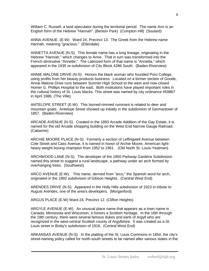William C. Russell, a land speculator during the territorial period. The name Ann is an English form of the Hebrew "Hannah". (Benton Park) (Compton Hill) (Soulard)

ANNA AVENUE. (E-W) Ward 24, Precinct 13. The Greek from the Hebrew name Hannah, meaning "gracious." (Ellendale)

ANNETTA AVENUE (N-S). This female name has a long lineage, originating in the Hebrew "Hannah," which changes to Anne. That in turn was transformed into the French diminutive "Annette." The Latinized form of that name is "Annetta," which appeared in the 1935 re-subdivision of City Block 4286 South. (Baden-Riverview)

ANNIE MALONE DRIVE (N-S). Honors the black woman who founded Poro College, using profits from her beauty products business. Located on a former section of Goode, Annie Malone Drive runs between Sumner High School to the west and now-closed Homer G. Phillips Hospital to the east. Both institutions have played important roles in the cultural history of St. Louis blacks. This street was named by city ordinance #59867 in April 1986. (The Ville)

ANTELOPE STREET (E-W). This horned-rimmed ruminant is related to deer and mountain goats. Antelope Street showed up initially in the subdivision of Germantown of 1857. (Baden-Riverview)

ARCADE AVENUE (N-S). Created in the 1893 Arcade Addition of the Gay Estate, it is named for the old Arcade shopping building on the West End Narrow Gauge Railroad. (Cabanne)

ARCHIE MOORE PLACE (N-S). Formerly a section of Leffingwell Avenue between Cole Street and Cass Avenue, it is named in honor of Archie Moore, American lightheavy weight boxing champion from 1952 to 1961. (Old North St. Louis-Yeatman)

ARCHWOOD LANE (N-S). The developer of the 1950 Parkway Gardens Subdivision named this street to suggest a rural landscape, a pathway under an arch formed by overhanging trees. (Southwest)

ARCO AVENUE (E-W). This name, derived from "arco," the Spanish word for arch, originated in the 1892 subdivision of Gibson Heights. (Central West End)

ARENDES DRIVE (N-S). Appeared in the Holly Hills subdivision of 1923 in tribute to August Arendes, one of the area's developers. (Morganford)

ARGUS PLACE (E-W) Ward 24, Precinct 12. (Clifton Heights)

ARGYLE AVENUE (E-W). An unusual place name that appears as a town name in Canada, Minnesota and Wisconsin, it honors a Scottish heritage. In the 16th through the 18th century, there were several famous dukes and earls of Argyll who are recognized in the west-central Scottish county of Argyllshire. It was created as a St. Louis street in Bixby's subdivision of 1916. (Central West End)

ARKANSAS AVENUE (N-S). In the platting of the St. Louis Commons in 1854, the city's street-naming policy called for north-south streets to be named after various states in the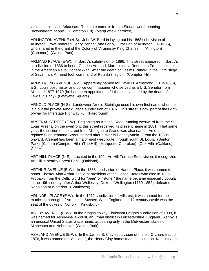Union, in this case Arkansas. The state name is from a Siouan word meaning "downstream people." (Compton Hill) (Marquette-Cherokee)

ARLINGTON AVENUE (N-S). John W. Burd in laying out his 1868 subdivision of Arlington Grove honored Henry Bennet (one t only), First Earl of Arlington (1618-85), who shared in the grant of the Colony of Virginia by King Charles II. (Arlington) (Cabanne) (Walnut Park)

ARMAND PLACE (E-W). In Sarpy's subdivision of 1886, This street appeared in Sarpy's subdivision of 1886 to honor Charles Armand, Marquis de la Rouerie, a French colonel in the American Revolutionary War. After the death of Casimir Pulaski in the 1779 siege of Savannah, Armand took command of Pulaski's legion. (Compton Hill)

ARMSTRONG AVENUE (N-S). Apparently named for David H. Armstrong (1812-1893), a St. Louis postmaster and police commissioner who served as a U.S. Senator from Missouri 1877-1879 (he had been appointed to fill the seat vacated by the death of Lewis V. Bogy). (Lafayette Square)

ARNOLD PLACE (N-S). Landowner Arnold Steinlage used his own first name when he laid out the private Arnold Place subdivision of 1876. This street is now part of the rightof-way for Interstate Highway 70. (Fairground)

ARSENAL STREET (E-W). Beginning as Arsenal Road, running westward from the St. Louis Arsenal on the riverfront, this street received its present name in 1881. That same year, the section of the street from Michigan to Grand was also named Arsenal to replace Susquehanna Street, named after a river in Pennsylvania. From the 1850s onward, Arsenal has been a major east west route through south St. Louis. (Benton Park) (Clifton) (Compton Hill) (The Hill) (Marquette-Cherokee) (Oak Hill) (Oakland) (Shaw)

ART HILL PLACE (N-S). Located in the 1924 Art Hill Terrace Subdivision, it recognizes Art Hill in nearby Forest Park. (Oakland)

ARTHUR AVENUE (E-W). In the 1888 subdivision of Harlem Place, it was named to honor Chester Alan Arthur, the 21st president of the United States who died in 1886. Probably from the Celtic word for "bear" or "stone," the name became especially popular in the 19th century after Arthur Wellesley, Duke of Wellington (1769-1852), defeated Napoleon at Waterloo. (Southwest)

ARUNDEL PLACE (E-W). In the 1912 subdivision of Hillcrest, it was named for the municipal borough of Arundel in Sussex, West England. Its 12-century castle was the seat of the dukes of Norfolk. (Kingsbury)

ASHBY AVENUE (E-W). In the Kingshighway-Florissant Heights subdivision of 1908, it was named for Ashby-de-la-Zoust, an urban district in Leicestershire, England. Ashby is an unusual United States place name, appearing only in the Midwestern states of Minnesota and Nebraska. (Walnut Park)

ASHLAND AVENUE (E-W). In the James B. Clay subdivision of the old Orchard tract of 1876, it was named for "Ashland", the Henry Clay homestead in Lexington, Kentucky. In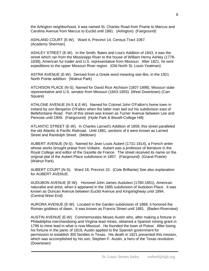the Arlington neighborhood, it was named St. Charles Road from Prairie to Marcus and Carolina Avenue from Marcus to Euclid until 1881. (Arlington) (Fairground)

ASHLAND COURT (E-W). Ward 4, Precinct 14, Census Tract 1067. (Academy Sherman)

ASHLEY STREET (E-W). In the Smith, Bates and Lisa's Addition of 1843, it was the street which ran from the Mississippi River to the house of William Henry Ashley (1778- 1838), American fur trader and U.S. representative from Missouri. After 1821, he sent expeditions to the upper Missouri River region. (Old North St. Louis-Yeatman)

ASTRA AVENUE (E-W). Derived from a Greek word meaning star-like, in the 1921 North Pointe addition. (Walnut Park)

ATCHISON PLACE (N-S). Named for David Rice Atchison (1807-1898), Missouri state representative and U.S. senator from Missouri (1843-1855). (West Downtown) (Carr Square)

ATHLONE AVENUE (N-S & E-W). Named for Colonel John O'Fallon's home town in Ireland by son Benjamin O'Fallon when the latter man laid out his subdivision east of Bellefontaine Road. Part of this street was known as Turner Avenue between Lee and Penrose until 1909. (Fairground) (Hyde Park & Bissell-College Hill)

ATLANTIC STREET (E-W). In Charles Larned's Addition of 1859, this street paralleled the old Atlantic & Pacific Railroad. Until 1881, sections of it were known as Larned Street and Randolph Street. (Midtown)

AUBERT AVENUE (N-S). Named for Jean Louis Aubert (1731-1814), a French writer whose works brought praise from Voltaire. Aubert was a professor of literature in the Royal College and editor of the Gazette de France. The street received its name on the original plat of the Aubert Place subdivision in 1857. (Fairground) (Grand Prairie) (Walnut Park)

AUBERT COURT (N-S). Ward 18, Precinct 10. (Cote Brilliante) See also explanation for AUBERT AVENUE.

AUDUBON AVENUE (E-W). Honored John James Audubon (1780-1851), American naturalist and artist, when it appeared in the 1885 subdivision of Audubon Place. It was known as Duncan Avenue between Euclid Avenue and Kingshighway until 1894. (Central West End)

AURORA AVENUE (E-W). Located in the Garden subdivision of 1868, it honored the Roman goddess of dawn. It was known as Francis Street until 1881. (Baden-Riverview)

AUSTIN AVENUE (E-W). Commemorates Moses Austin who, after making a fortune in Philadelphia merchandising and Virginia lead mines, obtained a Spanish mining grant in 1796 to mine lead in what is now Missouri. He founded the town of Potosi. After losing his fortune in the panic of 1819, Austin applied to the Spanish government for permission to establish 300 families in Texas. His death in 1821 prevented this mission, which was accomplished by his son, Stephen F. Austin, a hero of the Texas revolution. (Downtown)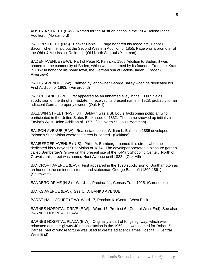AUSTRIA STREET (E-W). Named for the Austrian nation in the 1904 Helena Place Addition. (Morganford)

BACON STREET (N-S). Banker Daniel D. Page honored his associate, Henry D. Bacon, when he laid out the Second Western Addition of 1855, Page was a promoter of the Ohio & Mississippi Railroad. (Old North St. Louis-Yeatman)

BADEN AVENUE (E-W). Part of Peter R. Kenrick's 1868 Addition to Baden, it was named for the community of Baden, which was so named by its founder, Frederick Kraft, in 1852 in honor of his home town, the German spa of Baden-Baden. (Baden-Riverview)

BAILEY AVENUE (E-W). Named by landowner George Bailey when he dedicated his First Addition of 1863. (Fairground)

BAISCH LANE (E-W). First appeared as an unnamed alley in the 1889 Shields subdivision of the Bingham Estate. It received its present name in 1928, probably for an adjacent German property owner. (Oak Hill)

BALDWIN STREET (N-S). J.H. Baldwin was a St. Louis Jacksonian politician who participated in the United States Bank issue of 1832. The name showed up initially in Taylor's West Union Addition of 1857. (Old North St. Louis-Yeatman)

BALSON AVENUE (E-W). Real estate dealer William L. Balson in 1885 developed Balson's Subdivision where the street is located. (Oakland)

BAMBERGER AVENUE (N-S). Philip A. Bamberger named this street when he dedicated his Vineyard Subdivision of 1874. The developer operated a pleasure garden called Bamberger's Grove on the present site of the K-Mart Shopping Center. North of Gravois, this street was named Hunt Avenue until 1882. (Oak Hill)

BANCROFT AVENUE (E-W). First appeared in the 1896 subdivision of Southampton as an honor to the eminent historian and statesman George Bancroft (1800-1891). (Southwest)

BANDERO DRIVE (N-S). Ward 11, Precinct 11; Census Tract 1015. (Carondelet)

BANKS AVENUE (E-W). See C. D. BANKS AVENUE.

BARAT HALL COURT (E-W). Ward 17, Precinct 6. (Central West End)

BARNES HOSPITAL DRIVE (E-W). Ward 17, Precinct 6. (Central West End) See also BARNES HOSPITAL PLAZA.

BARNES HOSPITAL PLAZA (E-W). Originally a part of Kingshighway, which was relocated during Highway 40 reconstruction in the 1960s. It was named for Robert S. Barnes, part of whose fortune was used to create adjacent Barnes Hospital. (Central West End)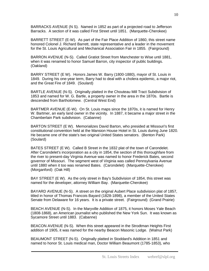BARRACKS AVENUE (N S). Named in 1852 as part of a projected road to Jefferson Barracks. A section of it was called First Street until 1851. (Marquette-Cherokee)

BARRETT STREET (E-W). As part of the Fair Place Addition of 1860, this street name honored Colonel J. Richard Barrett, state representative and a leader in the movement for the St. Louis Agricultural and Mechanical Association Fair in 1855. (Fairground)

BARRON AVENUE (N-S). Called Gratiot Street from Manchester to Wise until 1881, when it was renamed to honor Samuel Barron, city inspector of public buildings. (Oakland)

BARRY STREET (E W). Honors James W. Barry (1800-1880), mayor of St. Louis in 1849. During his one-year term, Barry had to deal with a cholera epidemic, a major riot, and the Great Fire of 1849. (Soulard)

BARTLE AVENUE (N-S). Originally platted in the Chouteau Mill Tract Subdivision of 1853 and named for W. G. Bartle, a property owner in the area in the 1870s. Bartle is descended from Bartholomew. (Central West End)

BARTMER AVENUE (E-W). On St. Louis maps since the 1870s, it is named for Henry W. Bartmer, an early land owner in the vicinity. In 1887, it became a major street in the Chamberlain Park subdivision. (Cabanne)

BARTON STREET (E W). Memorializes David Barton, who presided at Missouri's first constitutional convention held at the Mansion House Hotel in St. Louis during June 1820. He became one of the state's two original United States senators. (Benton Park) (Soulard)

BATES STREET (E W). Called B Street in the 1832 plat of the town of Carondelet. After Carondelet's incorporation as a city in 1854, the section of this thoroughfare from the river to present-day Virginia Avenue was named to honor Frederick Bates, second governor of Missouri. The segment west of Virginia was called Pennsylvania Avenue until 1880 when it too was renamed Bates. (Carondelet) (Marquette-Cherokee) (Morganford) (Oak Hill)

BAY STREET (E W). As the only street in Bay's Subdivision of 1854, this street was named for the developer, attorney William Bay. (Marquette-Cherokee)

BAYARD AVENUE (N-S). A street on the original Aubert Place subdivision plat of 1857, titled in honor of Thomas Francois Bayard (1828-1898), a member of the United States Senate from Delaware for 16 years. It is a private street. (Fairground) (Grand Prairie)

BEACH AVENUE (N-S). In the Maryville Addition of 1875, it honors Moses Yale Beach (1808-1868), an American journalist who published the New York Sun. It was known as Sycamore Street until 1883. (Cabanne)

BEACON AVENUE (N-S). When this street appeared in the Strodtman Heights First addition of 1905, it was named for the nearby Beacon Masonic Lodge. (Walnut Park)

BEAUMONT STREET (N-S). Originally platted in Stoddard's Addition in 1851 and named to honor St. Louis medical man, Doctor William Beaumont (1785-1853), who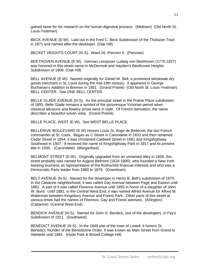gained fame for his research on the human digestive process. (Midtown) (Old North St. Louis-Yeatman)

BECK AVENUE (E-W). Laid out in the Fred C. Beck Subdivision of the Tholozan Tract in 1871 and named after the developer. (Oak Hill)

BECKET HEIGHTS COURT (N-S). Ward 20, Precinct 4. (Penrose)

BEETHOVEN AVENUE (E-W). German composer Ludwig von Beethoven (1770-1827) was honored in this street name in McDermott and Hayden's Beethoven Heights Subdivision of 1906. (Oak Hill)

BELL AVENUE (E-W). Named originally for Daniel W. Bell, a prominent wholesale dry goods merchant in St. Louis during the mid-19th century. It appeared in George Buchanan's Addition to Bremen in 1851. (Grand Prairie) (Old North St. Louis-Yeatman) BELL CENTER. See ONE BELL CENTER.

BELLE GLADE AVENUE (N-S). As the principal street in the Prairie Place subdivision of 1855, Belle Glade remains a symbol of the picturesque Victorian period when classical allusions and flowery prose were in style. Of French derivation, the name describes a beautiful sylvan vista. (Grand Prairie)

BELLE PLACE, WEST (E-W). See WEST BELLE PLACE.

BELLERIVE BOULEVARD (E W) Honors Louis St. Ange de Bellerive, the last French commander at St. Louis. Began as C Street in Carondelet in 1832 and then renamed Cedar Street in 1854, it was christened Caldwell Street in 1881 and Kingshighway Southeast in 1907. It received the name of Kingshighway Park in 1917 and its present title in 1930. (Carondelet) (Morganford)

BELMONT STREET (E-W). Originally upgraded from an unnamed alley in 1859, this street probably was named for August Belmont (1816-1890), who founded a New York banking business as representative of the Rothschild financial interests and who was a Democratic Party leader from 1860 to 1876. (Downtown)

BELT AVENUE (N-S). Named for the developer in Henry B. Belt's subdivision of 1870. In the Cabanne neighborhood, it was called Gay Avenue between Page and Easton until 1881. A part of it was called Florence Avenue until 1893 in honor of a daughter of John W. Burd. Until 1881, in the Central West End, it was named Alfred Avenue for Alfred M. Waterman between Kingsbury Avenue and Forest Park. Other parts of this street at various times had the names of Florence, Gay and Forest avenues. (Arlington) (Cabanne) (Central West End)

BENDICK AVENUE (N-S). Named for John H. Bendick, one of the developers, in Fay's Subdivision of 1911. (Southwest)

BENEDICT AVENUE (N-S). In the 1849 plat of the town of Lowell, it honors St. Benedict, founder of the Benedictine Order. It was known as Main Street from Grand to Adelaide until 1881. (Hyde Park & Bissell-College Hill)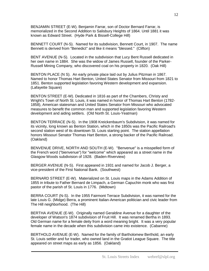BENJAMIN STREET (E-W). Benjamin Farrar, son of Doctor Bernard Farrar, is memorialized in the Second Addition to Salisbury Heights of 1864. Until 1881 it was known as Edward Street. (Hyde Park & Bissell-College Hill)

BENNETT COURT (N-S). Named for its subdivision, Bennett Court, in 1907. The name Bennett is derived from "Benedict" and like it means "blessed." (Clifton)

BENT AVENUE (N-S). Located in the subdivision that Lucy Bent Russell dedicated in her own name in 1884. She was the widow of James Russell, founder of the Parker-Russell Mining Company, who discovered coal on his property in 1820. (Oak Hill)

BENTON PLACE (N S). An early private place laid out by Julius Pitzman in 1867. Named to honor Thomas Hart Benton, United States Senator from Missouri from 1821 to 1851. Benton supported legislation favoring Western development and expansion. (Lafayette Square)

BENTON STREET (E-W). Dedicated in 1816 as part of the Chambers, Christy and Wright's Town of North St. Louis, it was named in honor of Thomas Hart Benton (1782- 1858), American statesman and United States Senator from Missouri who advocated measures to benefit the common man and supported legislation favoring Western development and aiding settlers. (Old North St. Louis-Yeatman)

BENTON TERRACE (N-S). In the 1908 Kreickenbaum's Subdivision, it was named for its vicinity, long known as Benton Station, which in the 1850s was the Pacific Railroad's second station west of its downtown St. Louis starting point. The station appellation honors Missouri Senator Thomas Hart Benton, a strong backer of the Pacific Railroad. (Oakland)

BENVENUE DRIVE, NORTH AND SOUTH (E-W). "Benvenue" is a misspelled form of the French word ("bienvenue") for "welcome" which appeared as a street name in the Glasgow Woods subdivision of 1928. (Baden-Riverview)

BERGER AVENUE (N-S). First appeared in 1931 and named for Jacob J. Berger, a vice-president of the First National Bank. (Southwest)

BERNARD STREET (E-W). Materialized on St. Louis maps in the Adams Addition of 1855 in tribute to Father Bernard de Limpach, a German Capuchin monk who was first pastor of the parish of St. Louis in 1776. (Midtown)

BERRA COURT (N-S). In the 1955 Fairmont Terrace Subdivision, it was named for the late Louis G. (Midge) Berra, a prominent Italian-American politician and civic leader from The Hill neighborhood. (The Hill)

BERTHA AVENUE (E-W). Originally named Geraldine Avenue for a daughter of the developer of Watson's 1874 subdivision of Fruit Hill. It was renamed Bertha in 1893. Old German name for a female deity from a word meaning bright. It was a very popular female name in the decade when this subdivision came into existence. (Cabanne)

BERTHOLD AVENUE (E-W). Named for the family of Bartholomew Berthold, an early St. Louis settler and fur trader, who owned land in the Gratiot League Square. The title appeared on street maps as early as 1856. (Oakland)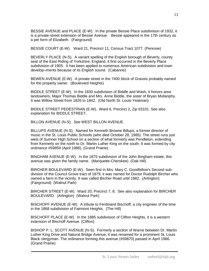BESSIE AVENUE and PLACE (E-W). In the private Bessie Place subdivision of 1932, it is a private-street extension of Bessie Avenue. Bessie appeared in the 17th century as a pet form of Elizabeth. (Fairground)

BESSIE COURT (E-W). Ward 21, Precinct 11; Census Tract 1077. (Penrose)

BEVERLY PLACE (N-S). A variant spelling of the English borough of Beverly, county seat of the East Riding of Yorkshire, England, it first occurred in the Beverly Place subdivision of 1905. It has been applied to numerous American subdivision and town develop¬ments because of its English sound. (Cabanne)

BEWEN AVENUE (E-W). A private street in the 7400 block of Gravois probably named for the property owner. (Boulevard Heights)

BIDDLE STREET (E-W). In the 1830 subdivision of Biddle and Wash, it honors area landowners, Major Thomas Biddle and Mrs. Anne Biddle, the sister of Bryan Mullanphy. It was Willow Street from 1826 to 1842. (Old North St. Louis-Yeatman)

BIDDLE STREET PEDESTRIAN (E-W). Ward 6, Precinct 2, Zip 63101. See also explanation for BIDDLE STREET.

BILLON AVENUE (N-S). See WEST BILLON AVENUE.

BILLUPS AVENUE (N-S). Named for Kenneth Browne Billups, a former director of music in the St. Louis Public Schools (who died October 28, 1985). The street runs just west of Sumner High School on a section of what formerly was Pendleton, extending from Kennerly on the north to Dr. Martin Luther King on the south. It was formed by city ordinance #59859 (April 1986). (Grand Prairie)

BINGHAM AVENUE (E-W). In the 1875 subdivision of the John Bingham estate, this avenue was given the family name. (Marquette-Cherokee) (Oak Hill)

BIRCHER BOULEVARD (E-W). Seen first in Mrs. Mary C. Goodfellow's Second subdivision of the Council Grove tract of 1879, it was named for Doctor Rudolph Bircher who owned a farm in the vicinity. It was called Bircher Road until 1882. (Arlington) (Fairground) (Walnut Park)

BIRCHER STREET (E-W). Ward 20, Precinct 7, 8. See also explanation for BIRCHER BOULEVARD. (Arlington) (Walnut Park)

BISCHOFF AVENUE (E-W). A tribute to Ferdinand Bischoff, a city engineer of the time in the 1868 subdivision of Fairmont Heights. (The Hill)

BISCHOFF PLACE (E-W). In the 1885 subdivision of Clifton Heights, it is a western extension of Bischoff Avenue. (Clifton)

BISHOP P. L. SCOTT AVENUE (N-S). Formerly a section of Warne between Dr. Martin Luther King Drive and Natural Bridge Avenue, it was renamed for a prominent St. Louis Black clergyman. The ordinance forming this avenue (#59870) passed in April 1986. (Grand Prairie)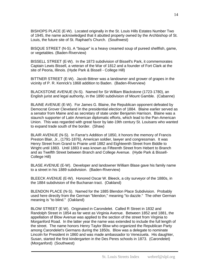BISHOPS PLACE (E-W). Located originally in the St. Louis Hills Estates Number Two of 1945, the name acknowledged that it abutted property owned by the Archbishop of St. Louis, the future site of St. Raphael's Church. (Southwest)

BISQUE STREET (N-S). A "bisque" is a heavy creamed soup of pureed shellfish, game, or vegetables. (Baden-Riverview)

BISSELL STREET (E-W). In the 1873 subdivision of Bissell's Park, it commemorates Captain Lewis Bissell, a veteran of the War of 1812 and a founder of Fort Clark at the site of Peoria, Illinois. (Hyde Park & Bissell - College Hill)

BITTNER STREET (E-W). Jacob Bittner was a landowner and grower of grapes in the vicinity of P. R. Kenrick's 1868 addition to Baden. (Baden-Riverview)

BLACKSTONE AVENUE (N-S). Named for Sir William Blackstone (1723-1780), an English jurist and legal authority, in the 1890 subdivision of Mount Gamble. (Cabanne)

BLAINE AVENUE (E-W). For James G. Blaine, the Republican opponent defeated by Democrat Grover Cleveland in the presidential election of 1884. Blaine earlier served as a senator from Maine and as secretary of state under Benjamin Harrison. Blaine was a staunch supporter of Latin American diplomatic efforts, which lead to the Pan-American Union. This was regarded with great favor by late-19th century St. Louisans who wanted to expand trade south of the border. (Shaw)

BLAIR AVENUE (N-S). In Farrar's Addition of 1850, it honors the memory of Francis Preston Blair, Jr., (1791-1876), American soldier, lawyer and congressman. It was Henry Street from Grand to Prairie until 1882 and Eighteenth Street from Biddle to Wright until 1883. Until 1883 it was known as Fifteenth Street from Hebert to Branch and as Twelfth Street between Branch and College Avenue. (Hyde Park & Bissell-College Hill)

BLASE AVENUE (E-W). Developer and landowner William Blase gave his family name to a street in his 1889 subdivision. (Baden-Riverview)

BLEECK AVENUE (E-W). Honored Oscar W. Bleeck, a city surveyor of the 1880s, in the 1884 subdivision of the Buchanan tract. (Oakland)

BLENDON PLACE (N-S). Named for the 1885 Blendon Place Subdivision. Probably used here directly from the German "blendon," meaning "to dazzle." The other German meaning is "to blind." (Oakland)

BLOW STREET (E W). Originated in Carondelet. Called R Street in 1832 and Randolph Street in 1854 as far west as Virginia Avenue. Between 1852 and 1881, the appellation of Blow Avenue was applied to the section of the street from Virginia to Morganford Road. In the latter year the name was extended to include the full length of the street. The name honors Henry Taylor Blow who organized the Republican Party among Carondelet's Germans during the 1850s. Blow was a delegate to nominate Lincoln for President in 1860 and was made ambassador to Venezuela. His daughter, Susan, started the first kindergarten in the Des Peres schools in 1873. (Carondelet) (Morganford) (Southwest)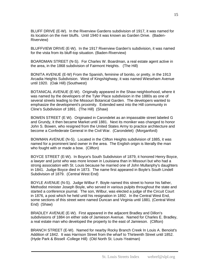BLUFF DRIVE (E-W). In the Riverview Gardens subdivision of 1917, it was named for its location on the river bluffs. Until 1940 it was known as Garden Drive. (Baden-Riverview)

BLUFFVIEW DRIVE (E-W). In the 1917 Riverview Garden's subdivision, it was named for the vista from its bluff-top situation. (Baden-Riverview)

BOARDMAN STREET (N-S). For Charles W. Boardman, a real estate agent active in the area, in the 1868 subdivision of Fairmont Heights. (The Hill)

BONITA AVENUE (E-W) From the Spanish, feminine of bonito, or pretty, in the 1913 Arcadia Heights Subdivision. West of Kingshighway, it was named Wieseham Avenue until 1920. (Oak Hill) (Southwest)

BOTANICAL AVENUE (E-W). Originally appeared in the Shaw neighborhood, where it was named by the developers of the Tyler Place subdivision in the 1880s as one of several streets leading to the Missouri Botanical Garden. The developers wanted to emphasize the development's proximity. Extended west into the Hill community in Cline's Subdivision of 1891. (The Hill) (Shaw)

BOWEN STREET (E W). Originated in Carondelet as an impassable street labeled G and Grundy, it then became Market until 1881. Next its moniker was changed to honor John S. Bowen, who resigned from the United States Army to practice architecture and become a Confederate General in the Civil War. (Carondelet) (Morganford)

BOWMAN AVENUE (N-S). Located in the Clifton Heights subdivision of 1885, it was named for a prominent land owner in the area. The English origin is literally the man who fought with or made a bow. (Clifton)

BOYCE STREET (E-W). In Boyce's South Subdivision of 1879, it honored Henry Boyce, a lawyer and jurist who was more known in Louisiana than in Missouri but who had a strong association with St. Louis because he married one of John Mullanphy's daughters in 1841. Judge Boyce died in 1873. The name first appeared in Boyle's South Lindell Subdivision of 1879. (Central West End)

BOYLE AVENUE (N-S). Judge Wilbur F. Boyle named this street to honor his father, Methodist minister Joseph Boyle, who served in various pulpits throughout the state and started a conference journal. The son, Wilbur, was elected a judge of the Circuit Court in 1876, a post which he held until his resignation in 1892. In the Central West End, some sections of this street were named Duncan and Virginia until 1881. (Central West End) (Shaw)

BRADLEY AVENUE (E-W). First appeared in the adjacent Bradley and Dillon's subdivisions of 1884 on either side of Jamieson Avenue. Named for Charles E. Bradley, a real estate man who developed the property to the east of Jamieson. (Clifton)

BRANCH STREET (E-W). Named for nearby Rocky Branch Creek In Louis A. Benoist's Addition of 1842. It was Harrison Street from the wharf to Thirteenth Street until 1852. (Hyde Park & Bissell -College Hill) (Old North St. Louis-Yeatman)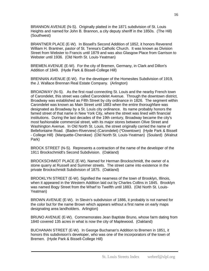BRANNON AVENUE (N-S). Originally platted in the 1871 subdivision of St. Louis Heights and named for John B. Brannon, a city deputy sheriff in the 1850s. (The Hill) (Southwest)

BRANTNER PLACE (E-W). In Bissell's Second Addition of 1852, it honors Reverend William H. Brantner, pastor of St. Teresa's Catholic Church. It was known as Division Street from Webster to Francis until 1879 and was also Glasgow Place from Garrison to Webster until 1936. (Old North St. Louis-Yeatman)

BREMEN AVENUE (E-W). For the city of Bremen, Germany, in Clark and Dillon's Addition of 1849. (Hyde Park & Bissell-College Hill)

BRENNAN AVENUE (E-W). For the developer of the Homesites Subdivision of 1919, the J. Wallace Brennan Real Estate Company. (Arlington)

BROADWAY (N-S). As the first road connecting St. Louis and the nearby French town of Carondelet, this street was called Carondelet Avenue. Through the downtown district, Broadway was established as Fifth Street by city ordinance in 1826. The segment within Carondelet was known as Main Street until 1883 when the entire thoroughfare was designated as Broadway by a St. Louis city ordinance. Its name probably honors the famed street of that name in New York City, where the street was lined with financial institutions. During the last decades of the 19th century, Broadway became the city's most fashionable commercial street, with its major stores between Olive Street and Washington Avenue. In Old North St. Louis, the street originally carried the name of Bellefontaine Road. (Baden-Riverview) (Carondelet) (\*Downtown) (Hyde Park & Bissell - College Hill) (Marquette-Cherokee) (Old North St. Louis-Yeatman) (Soulard) (Walnut Park)

BROCK STREET (N-S). Represents a contraction of the name of the developer of the 1911 Brockschmidt's Second Subdivision. (Oakland)

BROCKSCHMIDT PLACE (E-W). Named for Herman Brockschmidt, the owner of a stone quarry at Russell and Summer streets. The street came into existence in the private Brockschmidt Subdivision of 1875. (Oakland)

BROOKLYN STREET (E-W). Signified the nearness of the town of Brooklyn, Illinois, when it appeared in the Western Addition laid out by Charles Collins in 1845. Brooklyn was named Bogy Street from the Wharf to Twelfth until 1883. (Old North St. Louis-Yeatman)

BROWN AVENUE (E-W). In Slevin's subdivision of 1886, it probably is not named for the color but for the name Brown which appears without a first name on early maps designating area landholders. Arlington)

BRUNO AVENUE (E-W). Commemorates Jean Baptiste Bruno, whose farm dating from 1840 covered 135 acres in what is now the city of Maplewood. (Oakland)

BUCHANAN STREET (E-W). In George Buchanan's Addition to Bremen in 1851, it honors this subdivision's developer, who was one of the incorporators of the town of Bremen. (Hyde Park & Bissell-College Hill)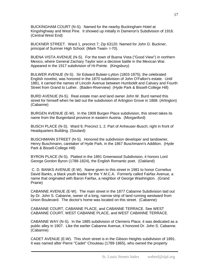BUCKINGHAM COURT (N-S). Named for the nearby Buckingham Hotel at Kingshighway and West Pine. It showed up initially in Dameron's Subdivision of 1916. (Central West End)

BUCKNER STREET. Ward 1, precinct 7; Zip 63120. Named for John D. Buckner, principal of Sumner High School. (Mark Twain- I-70).

BUENA VISTA AVENUE (N-S). For the town of Buena Vista ("Good View") in northern Mexico, where General Zachary Taylor won a decisive battle in the Mexican War. Appeared in the 1917 subdivision of Hi-Pointe. (Kingsbury)

BULWER AVENUE (N-S). Sir Edward Bulwer-Lytton (1803-1875), the celebrated English novelist, was honored in the 1870 subdivision of John O'Fallon's estate. Until 1881, it carried the names of Lincoln Avenue between Humboldt and Calvary and Fourth Street from Grand to Luther. (Baden-Riverview) (Hyde Park & Bissell-College Hill)

BURD AVENUE (N-S). Real estate man and land owner John W. Burd named this street for himself when he laid out the subdivision of Arlington Grove in 1868. (Arlington) (Cabanne)

BURGEN AVENUE (E-W). In the 1909 Burgen Place subdivision, this street takes its name from the Burgenland province in eastern Austria. (Morganford)

BUSCH PLACE (N-S). Ward 9, Precinct 1, 2. Part of Anheuser-Busch; right in front of Headquarters Building. (Soulard)

BUSCHMANN STREET (N-S). Honored the subdivision developer and landowner, Henry Buschmann, caretaker of Hyde Park, in the 1867 Buschmann's Addition. (Hyde Park & Bissell-College Hill)

BYRON PLACE (N-S). Platted in the 1891 Greenwood Subdivision, it honors Lord George Gordon Byron (1788-1824), the English Romantic poet. (Oakland)

C. D. BANKS AVENUE (E-W). Name given to this street in 1981 to honor Cornelius David Banks, a black youth leader for the Y.M.C.A. Formerly called Fairfax Avenue, a name that originated with Baron Fairfax, a neighbor of George Washington. (Grand Prairie)

CABANNE AVENUE (E-W). The main street in the 1877 Cabanne Subdivision laid out by Dr. John S. Cabanne, owner of a long, narrow strip of land running westward from Union Boulevard. The doctor's home was located on this street. (Cabanne)

CABANNE COURT, CABANNE PLACE, and CABANNE TERRACE. See WEST CABANNE COURT, WEST CABANNE PLACE, and WEST CABANNE TERRACE.

CABANNE WAY (N-S). In the 1885 subdivision of Clemens Place, it was dedicated as a public alley in 1907. Like the earlier Cabanne Avenue, it honored Dr. John S. Cabanne. (Cabanne)

CADET AVENUE (E-W). This short street is in the Gibson Heights subdivision of 1891. It was named after Pierre "Cadet" Chouteau (1789-1865), who owned the property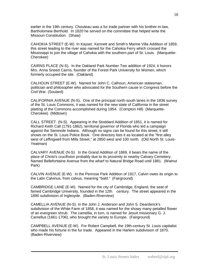earlier in the 19th century. Chouteau was a fur trade partner with his brother-in-law, Bartholomew Berthold. In 1820 he served on the committee that helped write the Missouri Constitution. (Shaw)

CAHOKIA STREET (E-W) In Kayser, Kennett and Smith's Marine Villa Addition of 1859, this street leading to the river was named for the Cahokia Ferry which crossed the Mississippi to join the village of Cahokia with the southern part of St. Louis. (Marquette-Cherokee)

CAIRNS PLACE (N-S). In the Oakland Park Number Two addition of 1924, it honors Mrs. Anna Sneed Cairns, founder of the Forest Park University for Women, which formerly occupied the site. (Oakland)

CALHOUN STREET (E-W). Named for John C. Calhoun, American statesman, politician and philosopher who advocated for the Southern cause in Congress before the Civil War. (Soulard)

CALIFORNIA AVENUE (N-S). One of the principal north-south lanes in the 1836 survey of the St. Louis Commons, it was named for the new state of California in the street platting of the Commons accomplished during 1854. (Compton Hill) (Marquette-Cherokee) (Midtown)

CALL STREET. (N-S). Appearing in the Stoddard Addition of 1851, it is named for Richard Keith Call (1791-1862), territorial governor of Florida who led a campaign against the Seminole Indians. Although no signs can be found for this street, it still shows on the St. Louis Police Book. One directory lists it as located at the "first alley west of Leffingwell from Mills Street," at 2850 west and 100 north. (Old North St. Louis-Yeatman)

CALVARY AVENUE (N-S). In the Grand Addition of 1869, it bears the name of the place of Christ's crucifixion probably due to its proximity to nearby Calvary Cemetery. Named Bellefontaine Avenue from the wharf to Natural Bridge Road until 1881. (Walnut Park)

CALVIN AVENUE (E-W). In the Penrose Park Addition of 1917, Calvin owes its origin to the Latin Calvinus, from calvus, meaning "bald." (Fairground)

CAMBRIDGE LANE (E-W). Named for the city of Cambridge, England, the seat of famed Cambridge University, founded in the 12th century. The street appeared in the 1890 subdivision of Inglesyde. (Baden-Riverview)

CAMELLIA AVENUE (N-S). In the John J. Anderson and John S. Dearderick's subdivision of the White Farm of 1858, it was named for the showy many-petalled flower of an evergreen shrub. The camellia, in turn, is named for Jesuit missionary G. J. Camellus (1661-1706), who brought the variety to Europe. (Fairground)

CAMPBELL AVENUE (E-W). For Robert Campbell, the 19th-century St. Louis capitalist who made his fortune in the fur trade. Appeared in the Harlem subdivision of 1870. (Baden-Riverview)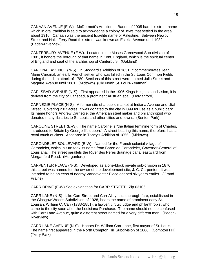CANAAN AVENUE (E-W). McDermott's Addition to Baden of 1905 had this street name which in oral tradition is said to acknowledge a colony of Jews that settled in the area about 1910. Canaan was the ancient Israelite name of Palestine. Between Newby Street and Halls Ferry Road this street was known as Estella Avenue until 1932. (Baden-Riverview)

CANTERBURY AVENUE (E-W). Located in the Moses Greenwood Sub-division of 1891, it honors the borough of that name in Kent, England, which is the spiritual center of England and seat of the archbishop of Canterbury. (Oakland)

CARDINAL AVENUE (N-S). In Stoddard's Addition of 1851, it commemorates Jean Marie Cardinal, an early French settler who was killed in the St. Louis Common Fields during the Indian attack of 1780. Sections of this street were named Julia Street and Maguire Avenue until 1881. (Midtown) (Old North St. Louis-Yeatman)

CARLSBAD AVENUE (N-S). First appeared in the 1906 Kings Heights subdivision, it is derived from the city of Carlsbad, a prominent Austrian spa. (Morganford)

CARNEGIE PLACE (N-S). A former site of a public market at Indiana Avenue and Utah Street. Covering 2.07 acres, it was donated to the city in l899 for use as a public park. Its name honors Andrew Carnegie, the American steel maker and philanthropist who donated many libraries to St. Louis and other cities and towns. (Benton Park)

CAROLINE STREET (E-W). The name Caroline is "the Italian feminine form of Charles, introduced to Britain by George II's queen." A street bearing this name, therefore, has a royal touch of class. Appeared in Toney's Addition of 1855. (Midtown)

CARONDELET BOULEVARD (E-W). Named for the French colonial village of Carondelet, which in turn took its name from Baron de Carondelet, Governor-General of Louisiana. The street parallels the River des Peres drainage canal eastward from Morganford Road. (Morganford)

CARPENTER PLACE (N-S). Developed as a one-block private sub-division in 1876, this street was named for the owner of the development site, J. C. Carpenter. It was intended to be an echo of nearby Vandeventer Place opened six years earlier. (Grand Prairie)

CARR DRIVE (E-W) See explanation for CARR STREET. Zip 63106

CARR LANE (N-S) Like Carr Street and Carr Alley, this thorough-fare, established in the Glasgow Woods Subdivision of 1928, bears the name of prominent early St. Louisan, William C. Carr (1783-1851), a lawyer, circuit judge and philanthropist who came to the city soon after the Louisiana Purchase. The name should not be confused with Carr Lane Avenue, quite a different street named for a very different man. (Baden-Riverview)

CARR LANE AVENUE (N-S). Honors Dr. William Carr Lane, first mayor of St. Louis. The name first appeared in the North Compton Hill Subdivision of 1866. (Compton Hill) (Terry Park)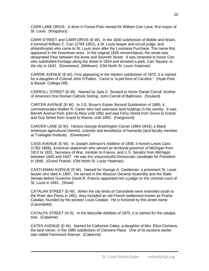CARR LANE DRIVE. A drive in Forest Park named for William Carr Lane, first mayor of St. Louis. (Kingsbury)

CARR STREET and CARR DRIVE (E-W). In the 1830 subdivision of Biddle and Wash, it honored William C. Carr (1783-1851), a St. Louis lawyer and circuit judge, and philanthropist who came to St. Louis soon after the Louisiana Purchase. The name first appeared in the Downtown area. In the original 1826 nomenclature, the street was designated Pear between the levee and Seventh Street. It was renamed to honor Carr who subdivided frontage along the street in 1834 and donated a park, Carr Square, to the city in 1842. (Downtown) (Midtown) (Old North St. Louis-Yeatman)

CARRIE AVENUE (E-W). First appearing in the Harlem subdivision of 1870, it is named for a daughter of Colonel John O'Fallon. Carrie is "a pet form of Caroline." (Hyde Park & Bissell- College Hill)

CARROLL STREET (E-W). Named by Julia C. Soulard to honor Daniel Carroll, brother of America's first Roman Catholic bishop, John Carroll of Baltimore. (Soulard)

CARTER AVENUE (E-W). In J.G. Bryan's Estate Second Subdivision of 1865, it commemorates Walker R. Carter who had extensive land holdings in the vicinity. It was Barrett Avenue from John to Alice until 1881 and was Ferry Street from Grove to Grand and Guy Street from Grand to Warne, until 1893. (Fairground)

CARVER LANE (E-W). Honors George Washington Carver (1864-1943), a Black American agricultural chemist, scientist and benefactor of humanity (and faculty member at Tuskegee Institute). (Downtown)

CASS AVENUE (E-W). In Joseph Johnson's Addition of 1836, it honors Lewis Cass (1782-1866), American statesman who served as territorial governor of Michigan from 1813 to 1831, Secretary of War, minister to France, and U.S. Senator from Michigan between 1845 and 1847. He was the unsuccessful Democratic candidate for President in 1848. (Grand Prairie) (Old North St. Louis-Yeatman)

CASTLEMAN AVENUE (E-W). Named for George A. Castleman, a prominent St. Louis lawyer who died in 1897. He served in the Missouri General Assembly and the State Senate before Governor David R. Francis appointed him a judge on the criminal court of St. Louis in 1891. (Shaw)

CATALAN STREET (E-W). When the city limits of Carondelet were extended south to the River des Peres in 1851, they included an old French settlement known as Prairie Catalan, founded by the pioneer Louis Catalan. He is honored by this street name. (Carondelet)

CATALPA STREET (N-S). In the Maryville Addition of 1875, it is named for the catalpa tree. (Cabanne)

CATES AVENUE (E-W). Named for Catherine Cates, a daughter of Mrs. Eliza Clemens, the land owner, in the 1885 subdivision of Clemens Place. One of its sections earlier was called Fairmount Avenue. (Cabanne)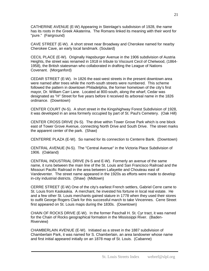CATHERINE AVENUE (E-W) Appearing in Steinlage's subdivision of 1928, the name has its roots in the Greek Aikaterina. The Romans linked its meaning with their word for "pure." (Fairground)

CAVE STREET (E-W). A short street near Broadway and Cherokee named for nearby Cherokee Cave, an early local landmark. (Soulard)

CECIL PLACE (E-W). Originally Hapsburger Avenue in the 1906 subdivision of Austria Heights, the street was renamed in 1918 in tribute to Viscount Cecil of Chelwood, (1864- 1958), the British statesman who collaborated in drafting the League of Nations Covenant. (Morganford)

CEDAR STREET (E-W). In 1826 the east-west streets in the present downtown area were named after trees while the north-south streets were numbered. This scheme followed the pattern in downtown Philadelphia, the former hometown of the city's first mayor, Dr. William Carr Lane. Located at 800-south, along the wharf, Cedar was designated as "H" Street for five years before it received its arboreal name in the 1826 ordinance. (Downtown)

CENTER COURT (N-S). A short street in the Kingshighway Forest Subdivision of 1928, it was developed in an area formerly occupied by part of St. Paul's Cemetery. (Oak Hill)

CENTER CROSS DRIVE (N-S). The drive within Tower Grove Park which is one block east of Tower Grove Avenue, connecting North Drive and South Drive. The street marks the apparent center of the park. (Shaw)

CENTERRE PLAZA (E-W). So named for its connection to Centerre Bank. (Downtown)

CENTRAL AVENUE (N-S). The "Central Avenue" in the Victoria Place Subdivision of 1906. (Oakland)

CENTRAL INDUSTRIAL DRIVE (N-S and E-W). Formerly an avenue of the same name, it runs between the main line of the St. Louis and San Francisco Railroad and the Missouri Pacific Railroad in the area between Lafayette and Chouteau east of Vandeventer. The street name appeared in the 1920s as efforts were made to develop in-city industrial districts. (Shaw) (Midtown)

CERRE STREET (E-W) One of the city's earliest French settlers, Gabriel Cerre came to St. Louis from Kaskaskia. A merchant, he invested his fortune in local real estate. He and a few other St. Louis merchants gained stature in 1778 when they used their stores to outfit George Rogers Clark for this successful march to take Vincennes. Cerre Street first appeared on St. Louis maps during the 1830s. (Downtown)

CHAIN OF ROCKS DRIVE (E-W). In the former Paschall H. St. Cyr tract, it was named for the Chain of Rocks geographical formation in the Mississippi River. (Baden-Riverview)

CHAMBERLAIN AVENUE (E-W). Initiated as a street in the 1887 subdivision of Chamberlain Park, it was named for S. Chamberlain, an area landowner whose name and first initial appeared initially on an 1878 map of St. Louis. (Cabanne)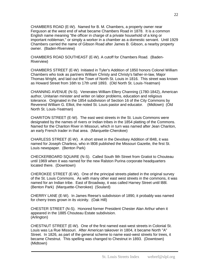CHAMBERS ROAD (E-W). Named for B. M. Chambers, a property owner near Ferguson at the west end of what became Chambers Road in 1878. It is a common English name meaning "the officer in charge of a private household of a king or important nobleman," or simply a worker in a chamber as a domestic servant. Until 1929 Chambers carried the name of Gibson Road after James B. Gibson, a nearby property owner. (Baden-Riverview)

CHAMBERS ROAD SOUTHEAST (E-W). A cutoff for Chambers Road. (Baden-Riverview)

CHAMBERS STREET (E-W) Initiated in Tyler's Addition of 1850 honors Colonel William Chambers who took as partners William Christy and Christy's father-in-law, Major Thomas Wright, and laid out the Town of North St. Louis in 1816. This street was known as Howard Street from 16th to 17th until 1893. (Old North St. Louis-Yeatman)

CHANNING AVENUE (N-S). Venerates William Ellery Channing (1780-1842), American author, Unitarian minister and writer on labor problems, education and religious tolerance. Originated in the 1854 subdivision of Section 16 of the City Commons by Reverend William G. Elliot, the noted St. Louis pastor and educator. (Midtown) (Old North St. Louis-Yeatman)

CHARITON STREET (E-W). The east west streets in the St. Louis Commons were designated by the names of rivers or Indian tribes in the 1854 platting of the Commons. Named for the Chariton River in Missouri, which in turn was named after Jean Chariton, an early French trader in that area. (Marquette-Cherokee)

CHARLESS STREET (E-W). A short street in the Devolsey Addition of l848, it was named for Joseph Charless, who in l808 published the Missouri Gazette, the first St. Louis newspaper. (Benton Park)

CHECKERBOARD SQUARE (N-S). Called South 9th Street from Gratiot to Chouteau until 1969 when it was named for the new Ralston Purina corporate headquarters located there. (Downtown)

CHEROKEE STREET (E-W). One of the principal streets platted in the original survey of the St. Louis Commons. As with many other east west streets in the commons, it was named for an Indian tribe. East of Broadway, it was called Harney Street until l88l. (Benton Park) (Marquette-Cherokee) (Soulard)

CHERRY LANE (E-W). In James Reese's subdivision of 1890, it probably was named for cherry trees grown in its vicinity. (Oak Hill)

CHESTER STREET (N-S). Honored former President Chester Alan Arthur when it appeared in the 1885 Chouteau Estate subdivision. (Arlington)

CHESTNUT STREET (E-W). One of the first named east-west streets in Colonial St. Louis was La Rue Missouri. After American takeover in 1804, it became North "A" Street. In 1826, as part of the general scheme to name east-west streets for trees, it became Chestnut. This spelling was changed to Chestnut in 1893. (Downtown) (Midtown)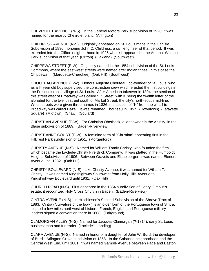CHEVROLET AVENUE (N-S). In the General Motors Park subdivision of 1920, it was named for the nearby Chevrolet plant. (Arlington)

CHILDRESS AVENUE (N-S). Originally appeared on St. Louis maps in the Carlisle Subdivision of 1890, honoring John C. Childress, a civil engineer of that period. It was extended into the Clifton neighborhood in 1925 where it appeared in the Arsenal-Watson Park subdivision of that year. (Clifton) (Oakland) (Southwest)

CHIPPEWA STREET (E-W). Originally named in the 1854 subdivision of the St. Louis Commons, where the east-west streets were named after Indian tribes, in this case the Chippewa. (Marquette-Cherokee) (Oak Hill) (Southwest)

CHOUTEAU AVENUE (E-W). Honors Auguste Chouteau, co-founder of St. Louis, who as a l4 year old boy supervised the construction crew which erected the first buildings in the French colonial village of St. Louis. After American takeover in 1804, the section of this street west of Broadway was called "K" Street, with K being the twelfth letter of the alphabet for the twelfth street south of Market Street, the city's north-south mid-line. When streets were given three names in 1826, the section of "K" from the wharf to Broadway was called Hazel. It was renamed Chouteau in 1857. (Downtown) (Lafayette Square) (Midtown) (Shaw) (Soulard)

CHRISTIAN AVENUE (E-W). For Christian Oberbeck, a landowner in the vicinity, in the Blase subdivision of 1889. (Baden-River-view)

CHRISTIANNE COURT (E-W). A feminine form of "Christian" appearing first in the Hillcrest Park subdivision of 1951. (Morganford)

CHRISTY AVENUE (N-S). Named for William Tandy Christy, who founded the firm which became the Laclede-Christy Fire Brick Company. It was platted in the Humboldt Heights Subdivision of 1906. Between Gravois and Eichelberger, it was named Elenore Avenue until 1932. (Oak Hill)

CHRISTY BOULEVARD (N-S). Like Christy Avenue, it was named for William T. Christy. It was named Kingshighway Southwest from Holly Hills Avenue to Kingshighway Boulevard until 1931. (Oak Hill)

CHURCH ROAD (N-S). First appeared in the 1854 subdivision of Henry Gimblin's estate, it recognized Holy Cross Church in Baden. (Baden-Riverview)

CINTRA AVENUE (N-S). In Hutchinson's Second Subdivision of the Shreve Tract of 1883. Cintra ("curvature of the bow") is an older form of the Portuguese town of Sintra, located a few miles northwest of Lisbon. French, English and Portuguese military leaders signed a convention there in 1808. (Fairground)

CLAMORGAN ALLEY (N-S). Named for Jacques Clamorgan (?-1814), early St. Louis businessman and fur trader. (Laclede's Landing)

CLARA AVENUE (N-S). Named in honor of a daughter of John W. Burd, the developer of Burd's Arlington Grove subdivision of 1868. In the Cabanne neighborhood and the Central West End, until 1881, it was named Gamble Avenue between Page and Easton.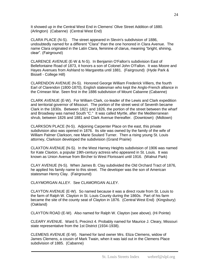It showed up in the Central West End in Clemens' Olive Street Addition of 1880. (Arlington) (Cabanne) (Central West End)

CLARA PLACE (N-S). The street appeared in Slevin's subdivision of 1886, undoubtedly named for a different "Clara" than the one honored in Clara Avenue. The name Clara originated in the Latin Clara, feminine of clarus, meaning "bright, shining, clear". (Fairground)

CLARENCE AVENUE (E-W & N-S). In Benjamin O'Fallon's subdivision East of Bellefontaine Road of 1873, it honors a son of Colonel John O'Fallon. It was Moore and Hayes Avenues from Ashland to Margaretta until 1881. (Fairground) (Hyde Park & Bissell - College Hill)

CLARENDON AVENUE (N-S). Honored George William Frederick Villiers, the fourth Earl of Clarendon (1800-1870), English statesman who kept the Anglo-French alliance in the Crimean War. Seen first in the 1886 subdivision of Mount Cabanne (Cabanne)

CLARK AVENUE (E-W). For William Clark, co-leader of the Lewis and Clark expedition and territorial governor of Missouri. The portion of the street west of Seventh became Clark in the 1830s. Between 1821 and 1826, the portion of the street between the wharf and Broadway was named South "C." It was called Myrtle, after the Mediterranean shrub, between 1826 and 1881 and Clark Avenue thereafter. (Downtown) (Midtown)

CLARKSON PLACE (N-S). Adjoining Carpenter Place on the east, this private subdivision also was opened in 1876. Its site was owned by the family of the wife of William Palmer Clarkson, nee Marie Soulard Turner. Then a rising young St. Louis attorney, Clarkson developed the subdivision (Grand Prairie)

CLAXTON AVENUE (N-S). In the West Harney Heights subdivision of 1906 was named for Kate Claxton, a popular 19th-century actress who appeared in St. Louis. It was known as Union Avenue from Bircher to West Florissant until 1916. (Walnut Park)

CLAY AVENUE (N-S). When James B. Clay subdivided the Old Orchard Tract of 1876, he applied his family name to this street. The developer was the son of American statesman Henry Clay. (Fairground)

CLAYMORGAN ALLEY. See CLAMORGAN ALLEY.

CLAYTON AVENUE (E-W). So named because it was a direct route from St. Louis to the farm of Ralph W. Clayton in St. Louis County during the 1860s. Part of his farm became the site of the county seat of Clayton in 1876. (Central West End) (Kingsbury) (Oakland)

CLAYTON ROAD (E-W). Also named for Ralph W. Clayton (see above). (Hi Pointe)

CLEARY AVENUE. Ward 5, Precinct 4. Probably named for Maurice J. Cleary, Missouri state representative from the 1st District (1934-1938).

CLEMENS AVENUE (E-W). Named for land owner Mrs. Eliza Clemens, widow of James Clemens, a cousin of Mark Twain, when it was laid out in the Clemens Place subdivision of 1885. (Cabanne)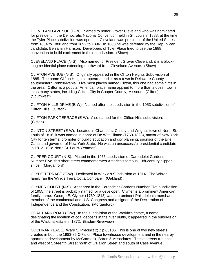CLEVELAND AVENUE (E-W). Named to honor Grover Cleveland who was nominated for president in the Democratic National Convention held in St. Louis in 1888, at the time the Tyler Place subdivision was opened. Cleveland was president of the United States from 1884 to 1888 and from 1892 to 1896. In 1888 he was defeated by the Republican candidate, Benjamin Harrison. Developers of Tyler Place tried to use the 1888 convention to build excitement in their subdivision. (Shaw)

CLEVELAND PLACE (N-S). Also named for President Grover Cleveland, it is a blocklong residential place extending northward from Cleveland Avenue. (Shaw)

CLIFTON AVENUE (N-S). Originally appeared in the Clifton Heights Subdivision of 1885. The name Clifton Heights appeared earlier as a town in Delaware County southeastern Pennsylvania. Like most places named Clifton, this one had some cliffs in the area. Clifton is a popular American place name applied to more than a dozen towns in as many states, including Clifton City in Cooper County, Missouri. (Clifton) (Southwest)

CLIFTON HILLS DRIVE (E-W). Named after the subdivision in the 1953 subdivision of Clifton Hills. (Clifton)

CLIFTON PARK TERRACE (E-W). Also named for the Clifton Hills subdivision. (Clifton)

CLINTON STREET (E-W). Located in Chambers, Christy and Wright's town of North St. Louis of 1816, it was named in honor of De Witt Clinton (1769-1828), mayor of New York City for ten terms, promoter of public education and city planning, sponsor of the Erie Canal and governor of New York State. He was an unsuccessful presidential candidate in 1812. (Old North St. Louis-Yeatman)

CLIPPER COURT (N-S). Platted in the 1955 subdivision of Carondelet Gardens Number Five, this short street commemorates America's famous 19th-century clipper ships. (Morganford)

CLYDE TERRACE (E-W). Dedicated in Winkle's Subdivision of 1914. The Winkle family ran the Winkle Terra Cotta Company. (Oakland)

CLYMER COURT (N-S). Appeared in the Carondelet Gardens Number Five subdivision of 1955, the street is probably named for a developer. Clymer is a prominent American family name. George E. Clymer (1739-1813) was a prominent Philadelphia merchant, member of the continental and U.S. Congress and a signer of the Declaration of Independence and the Constitution. (Morganford)

COAL BANK ROAD (E-W). In the subdivision of the Watkin's estate, a name designating the location of coal deposits in the river bluffs, it appeared in the subdivision of the Watkin's estate in 1872. (Baden-Riverview)

COCHRAN PLACE. Ward 5, Precinct 2; Zip 63106. This is one of two new streets created in both the 1983-85 O'Fallon Place townhouse development and in the nearby apartment development by McCormack, Baron & Associates. These streets run east and west of Sixteenth Street north of O'Fallon Street and south of Cass Avenue.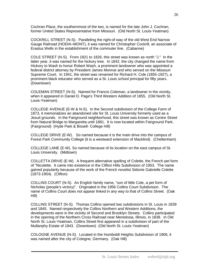Cochran Place, the southernmost of the two, is named for the late John J. Cochran, former United States Representative from Missouri. (Old North St. Louis-Yeatman)

COCKRILL STREET (N-S). Paralleling the right-of-way of the old West End Narrow Gauge Railroad (HODIA¬MONT), it was named for Christopher Cockrill, an associate of Erastus Wells in the establishment of the commuter line. (Cabanne)

COLE STREET (N-S). From 1821 to 1826, this street was known as north "J." In the latter year, it was named for the hickory tree. In 1842, the city changed the name from Hickory to Wash to honor Robert Wash, a prominent landowner who was appointed a federal district attorney by President James Monroe and who served on the Missouri Supreme Court. In 1941, the street was renamed for Richard H. Cole (1855-1927), a prominent black educator who served as a St. Louis school principal for fifty years. (Downtown)

COLEMAN STREET (N-S). Named for Francis Coleman, a landowner in the vicinity, when it appeared in Daniel D. Page's Third Western Addition of 1855. (Old North St. Louis-Yeatman)

COLLEGE AVENUE (E-W & N-S). In the Second subdivision of the College Farm of 1873, it memorializes an abandoned site for St. Louis University formerly used as a Jesuit grounds. In the Fairground neighborhood, this street was known as Centre Street from Natural Bridge to Margaretta until 1881. It is now located within Fairground Park. (Fairground) (Hyde Park & Bissell- College Hill)

COLLEGE DRIVE (E-W). So named because it is the main drive into the campus of Forest Park Community College (it is a westward extension of Macklind). (Cheltenham)

COLLEGE LANE (E-W). So named because of its location on the east campus of St. Louis University. (Midtown)

COLLETTA DRIVE (E-W). A frequent alternative spelling of Colette, the French pet form of "Nicolette. It came into existence in the Clifton Hills Subdivision of 1953. The name gained popularity because of the work of the French novelist Sidonie Gabrielle Colette (1873-1954). (Clifton)

COLLINS COURT (N-S). An English family name, "son of little Cole, a pet form of Nicholas (people's victory)". Originated in the 1956 Collins Court Subdivision. The name of Collins Court does not appear linked in any way to that of Collins Street. (Oak Hill)

COLLINS STREET (N-S). Thomas Collins opened two subdivisions in St. Louis in 1839 and 1845. Named respectively the Collins Northern and Western Additions, the developments were in the vicinity of Second and Brooklyn Streets. Collins participated in the opening of the Northern Cross Railroad near Meredosia, Illinois, in 1838. In Old North St. Louis-Yeatman, Collins Street first appeared in a subdivision of part of the Mullanphy Estate of 1843. (Downtown) (Old North St. Louis-Yeatman)

COLOGNE AVENUE (N-S). Located in the Humboldt Heights Subdivision of 1906, it was named after the city of Cologne, Germany. (Oak Hill)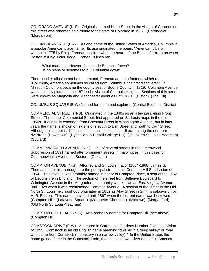COLORADO AVENUE (N-S). Originally named Ninth Street in the village of Carondelet, this street was renamed as a tribute to the state of Colorado in 1902. (Carondelet) (Morganford)

COLUMBIA AVENUE (E-W). As one name of the United States of America, Columbia is a popular American place name. Its use originated the poem, "American Liberty," written in 1775 by Philip Freneau inspired when he heard of the Battle of Lexington when Boston still lay under siege. Freneau's lines ran,

 What madness, Heaven, has made Britannia frown? Who plans or schemes to pull Columbia down?

Then, lest his allusion not be understood, Freneau added a footnote which read, "Columbia, America sometimes so called from Columbus, the first discoverer." In Missouri Columbia became the county seat of Boone County in 1819. Columbia Avenue was originally platted in the 1871 subdivision of St. Louis Heights. Sections of this street were known as Magnolia and Manchester avenues until 1881. (Clifton) (The Hill)

COLUMBUS SQUARE (E-W) Named for the famed explorer. (Central Business District)

COMMERCIAL STREET (N-S). Originated in the 1840s as an alley paralleling Front Street. The name, Commercial Street, first appeared on St. Louis maps in the mid-1850s. It originally extended from Chestnut Street in Washington Avenue, but in later years the name is shown on extensions south to Elm Street and north to Carr Street. Although this street is difficult to find, small pieces of it still exist along the northern riverfront. (Downtown) (Hyde Park & Bissell-College Hill) (Old North St. Louis-Yeatman) (Soulard)

COMMONWEALTH AVENUE (N-S). One of several streets in the Greenwood Subdivision of 1891 named after prominent streets in major cities, in this case for Commonwealth Avenue in Boston. (Oakland)

COMPTON AVENUE (N-S). Attorney and St. Louis mayor (1864-1868) James S. Thomas made this thoroughfare the principal street in his Compton Hill Subdivision of 1854. This avenue was probably named in honor of Compton Place, a seat of the Duke of Devonshire in England. The section of the street from Bellerive Boulevard to Wilmington Avenue in the Morganford community was known as East Virginia Avenue until 1928 when it was rechristened Compton Avenue. A section of the street in the Old North St. Louis neighborhood originated in 1852 as Alby Street in Smith's subdivision by A. R. Easton. This name persisted until 1867 when the current name was bestowed. (Compton Hill) (Lafayette Square) (Marquette-Cherokee) (Midtown) (Morganford) (Old North St. Louis-Yeatman)

COMPTON HILL PLACE (N-S). Also probably named for Compton Hill (see above). (Compton Hill)

COMSTOCK DRIVE (E-W). Appeared in Carondelet Gardens Number Five subdivision of 1955. Comstock is an old English name meaning "dweller in a deep valley" or "one who came from Comstock (monastery in a narrow valley)." In the United States the name gained fame in the Comstock Lode, the richest known silver deposit in America,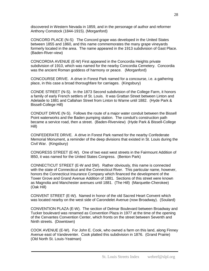discovered in Western Nevada in 1859, and in the personage of author and reformer Anthony Comstock (1844-1915). (Morganford)

CONCORD PLACE (N-S) The Concord grape was developed in the United States between 1855 and 1860, and this name commemorates the many grape vineyards formerly located in the area. The name appeared in the 1913 subdivision of Gast Place. (Baden-River-view)

CONCORDIA AVENUE (E-W) First appeared in the Concordia Heights private subdivision of 1910, which was named for the nearby Concordia Cemetery. Concordia was the ancient Roman goddess of harmony or peace. (Morganford)

CONCOURSE DRIVE. A drive in Forest Park named for a concourse, i.e. a gathering place, in this case a broad thoroughfare for carriages. (Kingsbury)

CONDE STREET (N-S). In the 1873 Second subdivision of the College Farm, it honors a family of early French settlers of St. Louis. It was Grattan Street between Linton and Adelaide to 1881 and Callahan Street from Linton to Warne until 1882. (Hyde Park & Bissell-College Hill)

CONDUIT DRIVE (N-S). Follows the route of a major water conduit between the Bissell Point waterworks and the Baden pumping station. The conduit's construction path became a service road, then a street. (Baden-Riverview) (Hyde Park & Bissell-College Hill)

CONFEDERATE DRIVE. A drive in Forest Park named for the nearby Confederate Memorial Monument, a reminder of the deep divisions that existed in St. Louis during the Civil War. (Kingsbury)

CONGRESS STREET (E-W). One of two east west streets in the Fairmount Addition of l850, it was named for the United States Congress. (Benton Park)

CONNECTICUT STREET (E-W and SW). Rather obviously, this name is connected with the state of Connecticut and the Connecticut River. This particular name, however, honors the Connecticut Insurance Company which financed the development of the Tower Grove and Grand Avenue Addition of 1881. Sections of this street were known as Magnolia and Manchester avenues until 1881. (The Hill) (Marquette-Cherokee) (Oak Hill)

CONVENT STREET (E-W). Named in honor of the old Sacred Heart Convent which was located nearby on the west side of Carondelet Avenue (now Broadway). (Soulard)

CONVENTION PLAZA (E-W). The section of Delmar Boulevard between Broadway and Tucker boulevard was renamed as Convention Plaza in 1977 at the time of the opening of the Cervantes Convention Center, which fronts on the street between Seventh and Ninth streets. (Downtown)

COOK AVENUE (E-W). For John E. Cook, who owned a farm on this land, along Finney Avenue east of Vandeventer. Cook platted this subdivision in 1876. (Grand Prairie) (Old North St. Louis-Yeatman)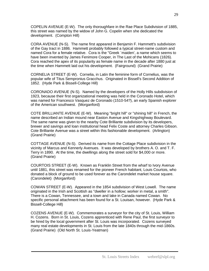COPELIN AVENUE (E-W). The only thoroughfare in the Rae Place Subdivision of 1885, this street was named by the widow of John G. Copelin when she dedicated the development. (Compton Hill)

CORA AVENUE (N-S). The name first appeared in Benjamin F. Hammett's subdivision of the Gay tract in 1886. Hammett probably followed a typical street-name custom and named Cora for a female relative. Cora is the "Greek `maiden', a name which seems to have been invented by James Fenimore Cooper, in The Last of the Mohicans (1826). Cora reached the apex of its popularity as female name in the decade after 1880 just at the time when Hammett laid out his development. (Fairground) (Grand Prairie)

CORNELIA STREET (E-W). Cornelia, in Latin the feminine form of Cornelius, was the popular wife of Titus Sempronius Gracchus. Originated in Bissell's Second Addition of 1852. (Hyde Park & Bissell-College Hill)

CORONADO AVENUE (N-S). Named by the developers of the Holly Hills subdivision of 1923, because their first organizational meeting was held in the Coronado Hotel, which was named for Francesco Vasquez de Coronado (1510-54?), an early Spanish explorer of the American southwest. (Morganford)

COTE BRILLIANTE AVENUE (E-W). Meaning "bright hill" or "shining hill" in French, the name described an Indian mound near Easton Avenue and Kingshighway Boulevard. The same name was given to the nearby Cote Brilliante subdivision by its developers, brewer and savings and loan institutional head Felix Coste and attorney Charles Gibson. Cote Brilliante Avenue was a street within this fashionable development. (Arlington) (Grand Prairie)

COTTAGE AVENUE (N-S). Derived its name from the Cottage Place subdivision in the vicinity of Marcus and Kennerly Avenues. It was developed by brothers A. O. and T. F. Terry in 1890. At the time, the dwellings along the street sold for \$4,000 or more. (Grand Prairie)

COURTOIS STREET (E-W). Known as Franklin Street from the wharf to Ivory Avenue until 1881, this street was renamed for the pioneer French habitant, Louis Courtois, who donated a block of ground to be used forever as the Carondelet market house square. (Carondelet) (Morganford)

COWAN STREET (E-W). Appeared in the 1854 subdivision of West Lowell. The name originated in the Irish and Scottish as "dweller in a hollow; worker in metal, a smith". There is a Cowan, Tennessee, and a town and lake in Canada named Cowan. No specific personal attachment has been found for a St. Louisan, however. (Hyde Park & Bissell-College Hill)

COZENS AVENUE (E-W). Commemorates a surveyor for the city of St. Louis, William H. Cozens. Born in St. Louis, Cozens apprenticed with Rene Paul, the first surveyor to be hired by the local government after St. Louis was incorporated. Cozens surveyed many real estate developments in St. Louis from the late 1840s through the mid-1860s. (Grand Prairie) (Old North St. Louis-Yeatman)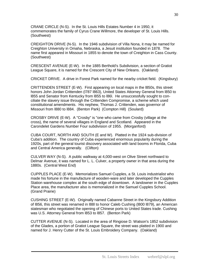CRANE CIRCLE (N-S). In the St. Louis Hills Estates Number 4 in 1950, it commemorates the family of Cyrus Crane Willmore, the developer of St. Louis Hills. (Southwest)

CREIGHTON DRIVE (N-S). In the 1946 subdivision of Villa Nona, it may be named for Creighton University in Omaha, Nebraska, a Jesuit institution founded in 1878. The name first appeared in Missouri in 1855 to denote the town of Creighton in Cass County. (Southwest)

CRESCENT AVENUE (E-W). In the 1885 Berthold's Subdivision, a section of Gratiot League Square, it is named for the Crescent City of New Orleans. (Oakland)

CRICKET DRIVE. A drive in Forest Park named for the nearby cricket field. (Kingsbury)

CRITTENDEN STREET (E-W). First appearing on local maps in the l850s, this street honors John Jordan Crittenden (l787 l863), United States Attorney General from l850 to l855 and Senator from Kentucky from l855 to l86l. He unsuccessfully sought to conciliate the slavery issue through the Crittenden Compromise, a scheme which used constitutional amendments. His nephew, Thomas J. Crittenden, was governor of Missouri from l880 to l884. (Benton Park) (Compton Hill) (Soulard)

CROSBY DRIVE (E-W). A "Crosby" is "one who came from Crosby (village at the cross), the name of several villages in England and Scotland. Appeared in the Carondelet Gardens Number Four subdivision of 1955. (Morganford)

CUBA COURT, NORTH AND SOUTH (E and W). Platted in the 1924 sub-division of Cuba's addition. The country of Cuba experienced enormous popularity during the 1920s, part of the general tourist discovery associated with land booms in Florida, Cuba and Central America generally. (Clifton)

CULVER WAY (N-S). A public walkway at 4,000-west on Olive Street northward to Delmar Avenue, it was named for L. L. Culver, a property owner in that area during the 1880s. (Central West End)

CUPPLES PLACE (E-W). Memorializes Samuel Cupples, a St. Louis industrialist who made his fortune in the manufacture of wooden-ware and later developed the Cupples Station warehouse complex at the south edge of downtown. A landowner in the Cupples Place area, the manufacturer also is memorialized in the Samuel Cupples School. (Grand Prairie)

CUSHING STREET (E-W). Originally named Cabanne Street in the Kingsbury Addition of l856, this street was renamed in l88l to honor Caleb Cushing (l800 l879), an American statesman who negotiated the opening of Chinese ports to United States trade. Cushing was U.S. Attorney General from l853 to l857. (Benton Park)

CUTTER AVENUE (N-S). Located in the area of Ringiose D. Watson's 1852 subdivision of the Glades, a portion of Gratiot League Square, the street was platted in 1900 and named for J. Henry Cutter of the St. Louis Embroidery Company. (Oakland)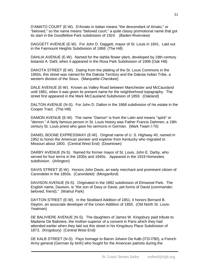D'AMATO COURT (E-W). D'Amato in Italian means "the descendant of Amato," or "beloved," so the name means "beloved court," a quite classy promotional name that got its start in the Goodfellow Park subdivision of 1924. (Baden-Riverview)

DAGGETT AVENUE (E-W). For John D. Daggett, mayor of St. Louis in 1841. Laid out in the Fairmount Heights Subdivision of 1868. (The Hill)

DAHLIA AVENUE (E-W). Named for the dahlia flower plant, developed by 18th-century botanist A. Dahl, when it appeared in the Rosa Park Subdivision of 1906 (Oak Hill)

DAKOTA STREET (E-W). Dating from the platting of the St. Louis Commons in the 1850s, this street was named for the Dakota Territory and the Dakota Indian Tribe, a western division of the Sioux. (Marquette-Cherokee)

DALE AVENUE (E-W). Known as Valley Road between Manchester and McCausland until 1881, when it was given its present name for the neighborhood topography. The street first appeared in the Mark McCausland Subdivision of 1859. (Oakland)

DALTON AVENUE (N-S). For John D. Dalton in the 1868 subdivision of his estate in the Cooper Tract. (The Hill)

DAMON AVENUE (E-W). The name "Damon" is from the Latin and means "spirit" or "demon." A fairly famous person in St. Louis history was Father Francis Dahmen, a 19th century St. Louis priest who gave his sermons in German. (Mark Twain I-70)

DANIEL BOONE EXPRESSWAY (E-W). Original name of U. S. Highway 40, named in 1952 to honor the American pioneer and explorer from Kentucky who migrated to Missouri about 1800. (Central West End) (Downtown)

DARBY AVENUE (N-S). Named for former mayor of St. Louis, John E. Darby, who served for four terms in the 1830s and 1840s. Appeared in the 1919 Homesites subdivision. (Arlington)

DAVIS STREET (E-W). Honors John Davis, an early merchant and prominent citizen of Carondelet in the 1850s. (Carondelet) (Morganford)

DAVISON AVENUE (N-S). Originated in the 1892 subdivision of Elmwood Park. The English name, Davison, is "the son of Davy or Davie, pet forms of David (commander; beloved; friend)." (Walnut Park)

DAYTON STREET (E-W). In the Stoddard Addition of 1851, it honors Bernard B. Dayton, an associate developer of the Union Addition of 1850. (Old North St. Louis-Yeatman)

DE BALIVIERE AVENUE (N-S). The daughters of James W. Kingsbury paid tribute to Madame De Baliviere, the mother-superior of a convent in Paris which they had attended earlier when they laid out this street in his Kingsbury Place Subdivision of 1873. (Kingsbury) (Central West End)

DE KALB STREET (N-S). Pays homage to Baron Johann De Kalb (l72l-l780), a French Army general (German by birth) who fought for the American patriots during the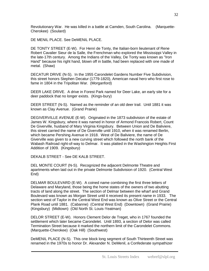Revolutionary War. He was killed in a battle at Camden, South Carolina. (Marquette-Cherokee) (Soulard)

DE MENIL PLACE. See DeMENIL PLACE.

DE TONTY STREET (E-W). For Henri de Tonty, the Italian-born lieutenant of Rene Robert Cavalier Sieur de la Salle, the Frenchman who explored the Mississippi Valley in the late-17th century. Among the Indians of the Valley, De Tonty was known as "Iron Hand" because his right hand, blown off in battle, had been replaced with one made of metal. (Shaw)

DECATUR DRIVE (N-S). In the 1955 Carondelet Gardens Number Five Subdivision, this street honors Stephen Decatur (1779-1820), American naval hero who first rose to fame in 1804 in the Tripolitan War. (Morganford)

DEER LAKE DRIVE. A drive in Forest Park named for Deer Lake, an early site for a deer paddock that no longer exists. (Kings-bury)

DEER STREET (N-S). Named as the reminder of an old deer trail. Until 1881 it was known as Clay Avenue. (Grand Prairie)

DEGIVERVILLE AVENUE (E-W). Originated in the 1873 subdivision of the estate of James W. Kingsbury, where it was named in honor of Armond Francois Robert, Count De Giverville, husband of Mary Virginia Kingsbury. Between Union and De Baliviere, this street carried the name of De Giverville until 1910, when it was renamed Berlin, which became Pershing Avenue in 1918. West of De Baliviere, the name of De Giverville was given to a new curving street which followed the north bank of the Wabash Railroad right-of-way to Delmar. It was platted in the Washington Heights First Addition of 1909. (Kingsbury)

DEKALB STREET - See DE KALB STREET.

DEL MONTE COURT (N-S). Recognized the adjacent Delmonte Theatre and apartments when laid out in the private Delmonte Subdivision of 1920. (Central West End)

DELMAR BOULEVARD (E-W). A coined name combining the first three letters of Delaware and Maryland, those being the home states of the owners of two abutting tracts of land along the street. The section of Delmar between the wharf and Grand Boulevard was known as Morgan Street until it received its present name in 1933. The section west of Taylor in the Central West End was known as Olive Street or the Central Plank Road until 1881. (Cabanne) (Central West End) (Downtown) (Grand Prairie) (Kingsbury) (Midtown) (Old North St. Louis-Yeatman)

DELOR STREET (E-W). Honors Clement Delor de Treget, who in 1767 founded the settlement which later became Carondelet. Until 1893, a section of Delor was called Termination Street because it marked the northern limit of the Carondelet Commons. (Marquette-Cherokee) (Oak Hill) (Southwest)

DeMENIL PLACE (N-S). This one block long segment of South Thirteenth Street was renamed in the 1970s to honor Dr. Alexander N. DeMenil, a Confederate sympathizer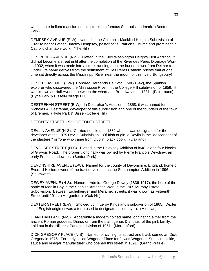whose ante bellum mansion on this street is a famous St. Louis landmark. (Benton Park)

DEMPSEY AVENUE (E-W). Named in the Columbia-Macklind Heights Subdivision of 1922 to honor Father Timothy Dempsey, pastor of St. Patrick's Church and prominent in Catholic charitable work. (The Hill)

DES PERES AVENUE (N-S). Platted in the 1909 Washington Heights First Addition, it did not become a street until after the completion of the River des Peres Drainage Work in 1932, when it was made into a street running atop the buried sewer from Delmar to Lindell. Its name derives from the settlement of Des Peres Catholic priests that at one time sat directly across the Mississippi River near the mouth of this river. (Kingsbury)

DESOTO AVENUE (E-W). Honored Hernando De Soto (1500-1542), the Spanish explorer who discovered the Mississippi River, in the College Hill subdivision of 1859. It was known as Hall Avenue between the wharf and Broadway until 1881. (Fairground) (Hyde Park & Bissell-College Hill)

DESTREHAN STREET (E-W). In Destrehan's Addition of 1858, it was named for Nicholas A. Destrehan, developer of this subdivision and one of the founders of the town of Bremen. (Hyde Park & Bissell-College Hill)

DETONTY STREET - See DE TONTY STREET.

DEVLIN AVENUE (N-S). Carried no title until 1882 when it was designated for the developer of the 1875 Devlin Subdivision. Of Irish origin, a Devlin is the "descendant of the plasterer" or "one who came from Dublin (black pool)." (Oakland)

DEVOLSEY STREET (N-S). Platted in the Devolsey Addition of l848, along four blocks of Gravois Road. The property originally was owned by Pierre Francois Devolsey, an early French landowner. (Benton Park)

DEVONSHIRE AVENUE (E-W). Named for the county of Devonshire, England, home of Everard Horton, owner of the tract developed as the Southampton Addition in 1896. (Southwest)

DEWEY AVENUE (N-S). Honored Admiral George Dewey (1836-1917), the hero of the battle of Manila Bay in the Spanish-American War, in the 1905 Murphy Estate Subdivision. Between Eichelberger and Meramec streets, it was known as Fifteenth Street until 1911. (Morganford) (Oak Hill)

DEXTER STREET (E-W). Showed up in Leroy Kingsland's subdivision of 1865. Dexter is of English origin (it was a term used to designate a cloth dyer). (Midtown)

DIANTHAN LANE (N-S). Apparently a modern coined name, originating either from the ancient Roman goddess, Diana, or from the plant genus Dianthus, of the pink family. Laid out in the Hillcrest Park subdivision of 1951. (Morganford)

DICK GREGORY PLACE (N-S). Named for civil rights activist and black comedian Dick Gregory in 1976. Formerly called Wagoner Place for Jewett Wagoner, St. Louis pickle, sauce and vinegar manufacturer who opened this street in 1891. (Grand Prairie)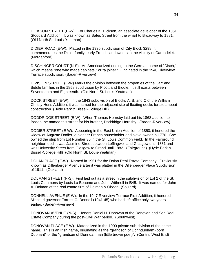DICKSON STREET (E-W). For Charles K. Dickson, an associate developer of the 1851 Stoddard Addition. It was known as Bates Street from the wharf to Broadway to 1881. (Old North St. Louis-Yeatman)

DIDIER ROAD (E-W). Platted in the 1936 subdivision of City Block 3298, it commemorates the Didier family, early French landowners in the vicinity of Carondelet. (Morganford)

DISCHINGER COURT (N-S). An Americanized ending to the German name of "Disch," which means "one who made cabinets," or "a joiner." Originated in the 1940 Riverview Terrace subdivision. (Baden-Riverview)

DIVISION STREET (E-W) Marks the division between the properties of the Carr and Biddle families in the 1858 subdivision by Picott and Biddle. It still exists between Seventeenth and Eighteenth. (Old North St. Louis-Yeatman)

DOCK STREET (E-W). In the 1843 subdivision of Blocks A, B, and C of the William Christy Heris Addition, it was named for the adjacent site of floating docks for steamboat construction. (Hyde Park & Bissell-College Hill)

DODDRIDGE STREET (E-W). When Thomas Hornsby laid out his 1868 addition to Baden, he named this street for his brother, Doddridge Hornsby. (Baden-Riverview)

DODIER STREET (E-W). Appearing in the East Union Addition of 1850, it honored the widow of Auguste Dodier, a pioneer French householder and slave owner in 1770. She owned the strip from Lot Number 35 in the St. Louis Common Field. In the Fairground neighborhood, it was Jasmine Street between Leffingwell and Glasgow until 1881 and was University Street from Glasgow to Grand until 1882. (Fairground) (Hyde Park & Bissell-College Hill) (Old North St. Louis-Yeatman)

DOLAN PLACE (E-W). Named in 1951 for the Dolan Real Estate Company. Previously known as Dillenberger Avenue after it was platted in the Dillenberger Place Subdivision of 1911. (Oakland)

DOLMAN STREET (N-S). First laid out as a street in the subdivision of Lot 2 of the St. Louis Commons by Louis La Beaume and John Withnell in l845. It was named for John A. Dolman of the real estate firm of Dolman & Obear. (Soulard)

DONNELL AVENUE (E-W). In the 1947 Riverview Terrace First Addition, it honored Missouri governor Forrest C. Donnell (1941-45) who had left office only two years earlier. (Baden-Riverview)

DONOVAN AVENUE (N-S). Honors Daniel H. Donovan of the Donovan and Son Real Estate Company during the post-Civil War period. (Southwest)

DONOVAN PLACE (E-W). Materialized in the 1900 private sub-division of the same name. This is an Irish name, originating as the "grandson of Donndubham (born Dubhan)" or the "grandson of Donndamhan (little brown poet)". (Central West End)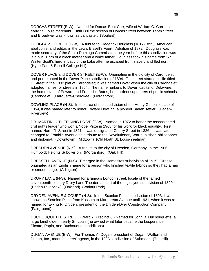DORCAS STREET (E-W). Named for Dorcas Bent Carr, wife of William C. Carr, an early St. Louis merchant. Until l88l the section of Dorcas Street between Tenth Street and Broadway was known as Lancaster. (Soulard)

DOUGLASS STREET (E-W). A tribute to Frederick Douglass (1817-1895), American abolitionist and editor, in the Lewis Bissell's Fourth Addition of 1872. Douglass was made secretary of the Santo Domingo Commission the year before this subdivision was laid out. Born of a black mother and a white father, Douglass took his name from Sir Walter Scott's hero in Lady of the Lake after he escaped from slavery and fled north. (Hyde Park & Bissell-College Hill)

DOVER PLACE and DOVER STREET (E-W). Originating in the old city of Carondelet and perpetuated in the Dover Place subdivision of 1894. The street started its life titled D Street in the 1832 plat of Carondelet; it was named Dover when the city of Carondelet adopted names for streets in 1854. The name harkens to Dover, capital of Delaware, the home state of Edward and Frederick Bates, both ardent supporters of public schools. (Carondelet) (Marquette-Cherokee) (Morganford)

DOWLING PLACE (N-S). In the area of the subdivision of the Henry Gimblin estate of 1854, it was named later to honor Edward Dowling, a pioneer Baden settler. (Baden-Riverview)

DR. MARTIN LUTHER KING DRIVE (E-W). Named in 1972 to honor the assassinated civil rights leader who won a Nobel Prize in 1968 for his work for black equality. First named North "I" Street in 1821, it was designated Cherry Street in 1826. It was later changed to Franklin Avenue as a tribute to the Revolutionary War publisher, philosopher and diplomat. (Downtown) (Midtown) (Old North St. Louis-Yeatman)

DRESDEN AVENUE (N-S). A tribute to the city of Dresden, Germany, in the 1906 Humboldt Heights Subdivision. (Morganford) (Oak Hill)

DRESSELL AVENUE (N-S). Emerged in the Homesites subdivision of 1919. Dressel originated as an English name for a person who finished textile fabrics so they had a nap or smooth edge. (Arlington)

DRURY LANE (N-S). Named for a famous London street, locale of the famed seventeenth-century Drury Lane Theater, as part of the Inglesyde subdivision of 1890. (Baden-Riverview) (Oakland) (Walnut Park)

DRYDEN AVENUE & COURT (N-S). In the Scanlon Place subdivision of 1893, it was known as Scanlon Place from Kossuth to Margaretta Avenue until 1931, when it was renamed for Ewing R. Dryden, president of the Dryden-Dyer Construction Company. (Fairground)

DUCHOUQUETTE STREET. (Ward 7, Precinct 6.) Named for John B. Duchouquette, a large landholder in early St. Louis (he owned what later became the Lesperance, Picotte, Papin, and Duchouquette additions).

DUGAN AVENUE (E-W). For Thomas A. Dugan, president of Dugan, Walfort and Dugan, Inc., manufacturers' agents, in the 1923 subdivision of Submoor. (The Hill)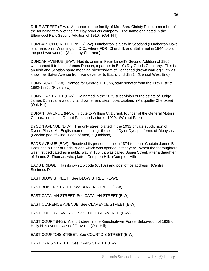DUKE STREET (E-W). An honor for the family of Mrs. Sara Christy Duke, a member of the founding family of the fire clay products company. The name originated in the Ellenwood Park Second Addition of 1910. (Oak Hill)

DUMBARTON CIRCLE DRIVE (E-W). Dumbarton is a city in Scotland (Dumbarton Oaks is a mansion in Washington, D.C., where FDR, Churchill, and Stalin met in 1944 to plan the post-war world). (Academy-Sherman)

DUNCAN AVENUE (E-W). Had its origin in Peter Lindell's Second Addition of 1865, who named it to honor James Duncan, a partner in Barr's Dry Goods Company. This is an Irish and Scottish name meaning "descendant of Donnchad (brown warrior)." It was known as Bates Avenue from Vandeventer to Euclid until 1881. (Central West End)

DUNN ROAD (E-W). Named for George T. Dunn, state senator from the 11th District 1892-1896. (Riverview)

DUNNICA STREET (E-W). So named in the 1875 subdivision of the estate of Judge James Dunnica, a wealthy land owner and steamboat captain. (Marquette-Cherokee) (Oak Hill)

DURANT AVENUE (N-S). Tribute to William C. Durant, founder of the General Motors Corporation, in the Durant Park subdivision of 1920. (Walnut Park)

DYSON AVENUE (E-W). The only street platted in the 1932 private subdivision of Dyson Place. An English name meaning "the son of Dy or Dye, pet forms of Dionysus (Grecian god of wine; judge of men)." (Oakland)

EADS AVENUE (E-W). Received its present name in 1874 to honor Captain James B. Eads, the builder of Eads Bridge which was opened in that year. When the thoroughfare was first dedicated as a public way in 1854, it was called Susan Street, after a daughter of James S. Thomas, who platted Compton Hill. (Compton Hill)

EADS BRIDGE. Has its own zip code (63102) and post office address. (Central Business District)

EAST BLOW STREET. See BLOW STREET (E-W).

EAST BOWEN STREET. See BOWEN STREET (E-W).

EAST CATALAN STREET. See CATALAN STREET (E-W).

EAST CLARENCE AVENUE. See CLARENCE STREET (E-W).

EAST COLLEGE AVENUE. See COLLEGE AVENUE (E-W).

EAST COURT (N-S). A short street in the Kingshighway Forest Subdivision of 1928 on Holly Hills avenue west of Gravois. (Oak Hill)

EAST COURTOIS STREET. See COURTOIS STREET (E-W).

EAST DAVIS STREET. See DAVIS STREET (E-W).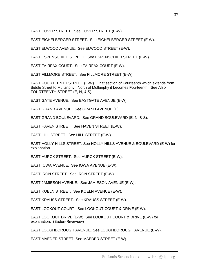EAST DOVER STREET. See DOVER STREET (E-W).

EAST EICHELBERGER STREET. See EICHELBERGER STREET (E-W).

EAST ELWOOD AVENUE. See ELWOOD STREET (E-W).

EAST ESPENSCHIED STREET. See ESPENSCHIED STREET (E-W).

EAST FAIRFAX COURT. See FAIRFAX COURT (E-W).

EAST FILLMORE STREET. See FILLMORE STREET (E-W).

EAST FOURTEENTH STREET (E-W). That section of Fourteenth which extends from Biddle Street to Mullanphy. North of Mullanphy it becomes Fourteenth. See Also FOURTEENTH STREET (E, N, & S).

EAST GATE AVENUE. See EASTGATE AVENUE (E-W).

EAST GRAND AVENUE. See GRAND AVENUE (E).

EAST GRAND BOULEVARD. See GRAND BOULEVARD (E, N, & S).

EAST HAVEN STREET. See HAVEN STREET (E-W).

EAST HILL STREET. See HILL STREET (E-W).

EAST HOLLY HILLS STREET. See HOLLY HILLS AVENUE & BOULEVARD (E-W) for explanation.

EAST HURCK STREET. See HURCK STREET (E-W).

EAST IOWA AVENUE. See IOWA AVENUE (E-W).

EAST IRON STREET. See IRON STREET (E-W).

EAST JAMIESON AVENUE. See JAMIESON AVENUE (E-W).

EAST KOELN STREET. See KOELN AVENUE (E-W).

EAST KRAUSS STREET. See KRAUSS STREET (E-W).

EAST LOOKOUT COURT. See LOOKOUT COURT & DRIVE (E-W).

EAST LOOKOUT DRIVE (E-W). See LOOKOUT COURT & DRIVE (E-W) for explanation. (Baden-Riverview)

EAST LOUGHBOROUGH AVENUE. See LOUGHBOROUGH AVENUE (E-W).

EAST MAEDER STREET. See MAEDER STREET (E-W).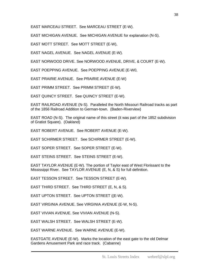EAST MARCEAU STREET. See MARCEAU STREET (E-W).

EAST MICHIGAN AVENUE. See MICHIGAN AVENUE for explanation (N-S).

EAST MOTT STREET. See MOTT STREET (E-W),

EAST NAGEL AVENUE. See NAGEL AVENUE (E-W).

EAST NORWOOD DRIVE. See NORWOOD AVENUE, DRIVE, & COURT (E-W).

EAST POEPPING AVENUE. See POEPPING AVENUE (E-W0,

EAST PRAIRIE AVENUE. See PRAIRIE AVENUE (E-W)

EAST PRIMM STREET. See PRIMM STREET (E-W).

EAST QUINCY STREET. See QUINCY STREET (E-W).

EAST RAILROAD AVENUE (N-S). Paralleled the North Missouri Railroad tracks as part of the 1856 Railroad Addition to German-town. (Baden-Riverview)

EAST ROAD (N-S). The original name of this street (it was part of the 1852 subdivision of Gratiot Square). (Oakland)

EAST ROBERT AVENUE. See ROBERT AVENUE (E-W).

EAST SCHIRMER STREET. See SCHIRMER STREET (E-W).

EAST SOPER STREET. See SOPER STREET (E-W).

EAST STEINS STREET. See STEINS STREET (E-W).

EAST TAYLOR AVENUE (E-W). The portion of Taylor east of West Florissant to the Mississippi River. See TAYLOR AVENUE (E, N, & S) for full definition.

EAST TESSON STREET. See TESSON STREET (E-W).

EAST THIRD STREET. See THIRD STREET (E, N, & S).

EAST UPTON STREET. See UPTON STREET ((E-W).

EAST VIRGINIA AVENUE. See VIRGINIA AVENUE (E-W, N-S).

EAST VIVIAN AVENUE. See VIVIAN AVENUE (N-S).

EAST WALSH STREET. See WALSH STREET (E-W).

EAST WARNE AVENUE. See WARNE AVENUE (E-W).

EASTGATE AVENUE (E-W). Marks the location of the east gate to the old Delmar Gardens Amusement Park and race track. (Cabanne)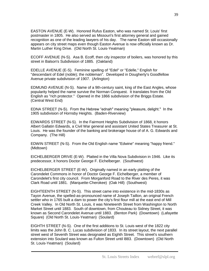EASTON AVENUE (E-W). Honored Rufus Easton, who was named St. Louis' first postmaster in 1805. He also served as Missouri's first attorney general and gained recognition as one of the leading lawyers of his day. The name Easton still occasionally appears on city street maps even though Easton Avenue is now officially known as Dr. Martin Luther King Drive. (Old North St. Louis-Yeatman)

ECOFF AVENUE (N-S). Asa B. Ecoff, then city inspector of boilers, was honored by this street in Balson's Subdivision of 1885. (Oakland)

EDELLE AVENUE (E-S). Feminine spelling of "Edel" or "Edelle," English for "descendant of Edel (noble); the nobleman". Developed in Dougherty's Goodfellow Avenue private subdivision of 1907. (Arlington)

EDMUND AVENUE (N-S). Name of a 9th-century saint, king of the East Angles, whose popularity helped the name survive the Norman Conquest. It translates from the Old English as "rich protector." Opened in the 1866 subdivision of the Briggs Estate. (Central West End)

EDNA STREET (N-S). From the Hebrew "ednah" meaning "pleasure, delight." In the 1905 subdivision of Hornsby Heights. (Baden-Riverview)

EDWARDS STREET (N-S). In the Fairmont Heights Subdivision of 1868, it honors Albert Gallatin Edwards, a Civil War general and assistant United States Treasurer at St. Louis. He was the founder of the banking and brokerage house of of A. G. Edwards and Company. (The Hill)

EDWIN STREET (N-S). From the Old English name "Edwine" meaning "happy friend." (Midtown)

EICHELBERGER DRIVE (E-W). Platted in the Villa Nova Subdivision in 1946. Like its predecessor, it honors Doctor George F. Eichelberger. (Southwest)

EICHELBERGER STREET (E-W). Originally named in an early platting of the Carondelet Commons in honor of Doctor George F. Eichelberger, a member of Carondelet's first city council. From Morganford Road to the River des Peres, it was Clark Road until 1881. (Marquette-Cherokee) (Oak Hill) (Southwest)

EIGHTEENTH STREET (N-S). This street came into existence in the mid-1830s as Tayon Avenue, the spelled-as-pronounced name of Joseph Taillon, an original French settler who in 1765 built a dam to power the city's first flour mill at the east end of Mill Creek Valley. In Old North St. Louis, it was Nineteenth Street from Washington to North Market Street until 1883. South of downtown, from Chouteau to Sidney Street, it was known as Second Carondelet Avenue until 1883. (Benton Park) (Downtown) (Lafayette Square) (Old North St. Louis-Yeatman) (Soulard)

EIGHTH STREET (N-S). One of the first additions to St. Louis west of the 1822 city limits was the John B. C. Lucas subdivision of 1833. In its street layout, the next parallel street west of Seventh Street was designated as Eighth Street. This street's southern extension into Soulard was known as Fulton Street until l883. (Downtown) (Old North St. Louis-Yeatman) (Soulard)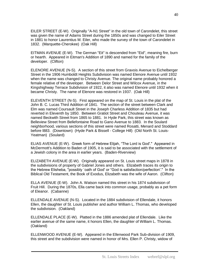EILER STREET (E-W). Originally "A-N1 Street" in the old town of Carondelet, this street was given the name of Adams Street during the 1850s and was changed to Eiler Street in 1881 to honor Laurentius M. Eiler, who made the survey of the town of Carondelet in 1832. (Marquette-Cherokee) (Oak Hill)

EITMAN AVENUE (E-W). The German "Eit" is descended from "Eid", meaning fire, burn or hearth. Appeared in Eitman's Addition of 1890 and named for the family of the developer. (Clifton)

ELENORE AVENUE (N-S). A section of this street from Gravois Avenue to Eichelberger Street in the 1906 Humboldt Heights Subdivision was named Elenore Avenue until 1932 when the name was changed to Christy Avenue. The original name probably honored a female relative of the developer. Between Delor Street and Wilcox Avenue, in the Kingshighway Terrace Subdivision of 1922, it also was named Elenore until 1932 when it became Christy. The name of Elenore was restored in 1937. (Oak Hill)

ELEVENTH STREET (N-S). First appeared on the map of St. Louis in the plat of the John B. C. Lucas Third Addition of 1841. The section of the street between Clark and Elm was named Coursault Street in the Joseph Charless Addition of 1835 but had reverted in Eleventh by 1850. Between Gratiot Street and Chouteau Avenue, it was named Beckwith Street from 1865 to 1881. In Hyde Park, this street was known as Belleview Street from Bellefontaine Road to Gano Avenue to 1883. In the Soulard neighborhood, various sections of this street were named Rosatti, Menard and Stoddard before l883. (Downtown) (Hyde Park & Bissell - College Hill) (Old North St. Louis-Yeatman) (Soulard)

ELIAS AVENUE (E-W). Greek form of Hebrew Elijah, "The Lord is God'." Appeared in McDermott's Addition to Baden of 1905, it is said to be associated with the settlement of a Jewish colony in the area in earlier years. (Baden-Riverview)

ELIZABETH AVENUE (E-W). Originally appeared on St. Louis street maps in 1878 in the subdivisions of property of Gabriel Jones and others. Elizabeth traces its origin to the Hebrew Elisheba, "possibly `oath of God' or "God is satisfaction/perfection'." In the Biblical Old Testament, the Book of Exodus, Elizabeth was the wife of Aaron. (Clifton)

ELLA AVENUE (E-W). John A. Watson named this street in his 1874 subdivision of Fruit Hill. During the 1870s, Ella came back into common usage, probably as a pet form of Eleanor. (Cabanne)

ELLENDALE AVENUE (N-S). Located in the 1884 subdivision of Ellendale, it honors Ellen, the daughter of St. Louis publisher and author William L. Thomas, who developed the subdivision. (Oakland)

ELLENDALE PLACE (E-W). Platted in the 1886 amended plat of Ellendale. Like the earlier avenue of the same name, it honors Ellen, the daughter of William L. Thomas. (Oakland)

ELLENWOOD AVENUE (E-W). Appeared in the Ellenwood Park Sub-division of 1909, this street and the subdivision were named in honor of Mrs. Ellen P. Christy, widow of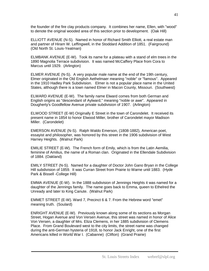the founder of the fire clay products company. It combines her name, Ellen, with "wood" to denote the original wooded area of this section prior to development. (Oak Hill)

ELLIOTT AVENUE (N-S). Named in honor of Richard Smith Elliott, a real estate man and partner of Hiram W. Leffingwell, in the Stoddard Addition of 1851. (Fairground) (Old North St. Louis-Yeatman)

ELMBANK AVENUE (E-W). Took its name for a plateau with a stand of elm trees in the 1890 Magnolia Terrace subdivision. It was named McCaffery Place from Cora to Marcus until 1929. (Arlington)

ELMER AVENUE (N-S). A very popular male name at the end of the 19th century, Elmer originated in the Old English Aethelmaer meaning "noble" or "famous". Appeared in the 1910 Hadley Park Subdivision. Elmer is not a popular place name in the United States, although there is a town named Elmer in Macon County, Missouri. (Southwest)

ELWARD AVENUE (E-W). The family name Elward comes from both German and English origins as "descendant of Aylward," meaning "noble or awe". Appeared in Dougherty's Goodfellow Avenue private subdivision of 1907. (Arlington)

ELWOOD STREET (E-W) Originally E Street in the town of Carondelet. It received its present name in 1854 to honor Elwood Miller, brother of Carondelet mayor Madison Miller. (Carondelet)

EMERSON AVENUE (N-S). Ralph Waldo Emerson, (1808-1882), American poet, essayist and philosopher, was honored by this street in the 1906 subdivision of West Harney Heights. (Walnut Park)

EMILIE STREET (E-W). The French form of Emily, which is from the Latin Aemilia, feminine of Amilius, the name of a Roman clan. Originated in the Ellendale Subdivision of 1884. (Oakland)

EMILY STREET (N-S). Named for a daughter of Doctor John Gano Bryan in the College Hill subdivision of 1859. It was Curran Street from Prairie to Warne until 1883. (Hyde Park & Bissell -College Hill)

EMMA AVENUE (E-W). In the 1888 subdivision of Jennings Heights it was named for a daughter of the Jennings family. The name goes back to Emma, queen to Ethelred the Unready and later to King Canute. (Walnut Park)

EMMET STREET (E-W). Ward 7, Precinct 6 & 7. From the Hebrew word "emet" meaning truth. (Soulard)

ENRIGHT AVENUE (E-W). Previously known along some of its sections as Morgan Street, Hogan Avenue and Von Versen Avenue, this street was named in honor of Alice Von Versen, a daughter of Mrs. Eliza Clemens, in her 1885 subdivision of Clemens Place. From Grand Boulevard west to the city limits, the street name was changed during the anti-German hysteria of 1918, to honor Jack Enright, one of the first Americans killed in World War I. (Cabanne) (Clifton) (Grand Prairie)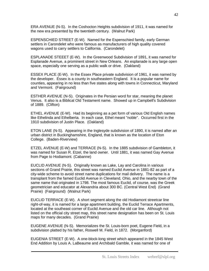ERA AVENUE (N-S). In the Coshocton Heights subdivision of 1911, it was named for the new era presented by the twentieth century. (Walnut Park)

ESPENSCHIED STREET (E-W). Named for the Espenschied family, early German settlers in Carondelet who were famous as manufacturers of high quality covered wagons used to carry settlers to California. (Carondelet)

ESPLANADE STEEET (E-W). In the Greenwood Subdivision of 1891, it was named for Esplanade Avenue, a prominent street in New Orleans. An esplanade is any large open space, especially one serving as a public walk or drive. (Oakland)

ESSEX PLACE (E-W). In the Essex Place private subdivision of 1961, it was named by the developer. Essex is a county in southeastern England. It is a popular name for counties, appearing in no less than five states along with towns in Connecticut, Maryland and Vermont. (Fairground)

ESTHER AVENUE (N-S). Originates in the Persian word for star, meaning the planet Venus. It also is a Biblical Old Testament name. Showed up in Campbell's Subdivision of 1889. (Clifton)

ETHEL AVENUE (E-W). Had its beginning as a pet form of various Old English names like Ethelinda and Ethelberta. In each case, Ethel meant "noble". Occurred first in the 1910 subdivision of Justin Place. (Oakland)

ETON LANE (N-S). Appearing in the Inglesyde subdivision of 1890, it is named after an urban district in Buckinghamshire, England, that is known as the location of Eton College. (Baden-Riverview)

ETZEL AVENUE (E-W) and TERRACE (N-S). In the 1885 subdivision of Gambleton, it was named for Susan R. Etzel, the land owner. Until 1881, it was named Gay Avenue from Page to Hodiamont. (Cabanne)

EUCLID AVENUE (N-S). Originally known as Lake, Lay and Carolina in various sections of Grand Prairie, this street was named Euclid Avenue in 1881-82 as part of a city-wide scheme to avoid street name duplications for mail delivery. The name is a transplant from the famed Euclid Avenue in Cleveland, Ohio, and the nearby town of the same name that originated in 1798. The most famous Euclid, of course, was the Greek geometrician and educator at Alexandria about 300 BC. (Central West End) (Grand Prairie) (Fairground) (Walnut Park)

EUCLID TERRACE (E-W). A short segment along the old Hodiamont streetcar line right-of-way, it is named for a large apartment building, the Euclid Terrace Apartments, located at the southeast corner of Euclid Avenue and the old car line. Although not listed on the official city street map, this street name designation has been on St. Louis maps for many decades. (Grand Prairie)

EUGENE AVENUE (N-S). Memorializes the St. Louis-born poet, Eugene Field, in a subdivision platted by his father, Roswell M. Field, in 1872. (Morganford)

EUGENIA STREET (E-W). A one-block-long street which appeared in the 1845 West End Addition by Louis A. LaBeaume and Archibald Gamble, it was named for one of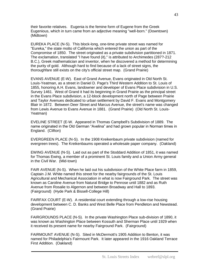their favorite relatives. Eugenia is the femine form of Eugene from the Greek Eugenious, which in turn came from an adjective meaning "well-born." (Downtown) (Midtown)

EUREKA PLACE (N-S). This block-long, one-time private street was named for "Eureka," the state motto of California which entered the union as part of the Compromise of 1850. The street originated as a private subdivision partitioned in 1871. The exclamation, translated "I have found (it)," is attributed to Archimedes (287?-212 B.C.), Greek mathematician and inventor, when he discovered a method for determining the purity of gold. Although hard to find because of a lack of street signs, the thoroughfare still exists on the city's official street map. (Grand Prairie)

EVANS AVENUE (E-W). East of Grand Avenue, Evans originated in Old North St. Louis-Yeatman, as a street in Daniel D. Page's Third Western Addition to St. Louis of 1855, honoring A.H. Evans, landowner and developer of Evans Place subdivision in U.S. Survey 1461. West of Grand it had its beginning in Grand Prairie as the principal street in the Evans Place subdivision, a 12-block development north of Page between Prairie and Taylor Avenues dedicated to urban settlement by David F. Evans and Montgomery Blair in 1872. Between Deer Street and Marcus Avenue, the street's name was changed from Lewis Avenue to Evans Avenue in 1881. (Grand Prairie) (Old North St. Louis-Yeatman)

EVELINE STREET (E-W. Appeared in Thomas Campbell's Subdivision of 1889. The name originated in the Old German "Avelina" and had grown popular in Norman times in England. (Clifton)

EVERGREEN PLACE (N-S). In the 1908 Kreikenbaum private subdivision (named for evergreen trees). The Kreikenbaums operated a wholesale paper company. (Oakland)

EWING AVENUE (N-S). Laid out as part of the Stoddard Addition of 1851, it was named for Thomas Ewing, a member of a prominent St. Louis family and a Union Army general in the Civil War. (Mid-town)

FAIR AVENUE (N-S). When he laid out his subdivision of the White Place farm in 1859, Captain J.M. White named this street for the nearby fairgrounds of the St. Louis Agricultural and Mechanical Association in what is now Fairground Park. The street was known as Caroline Avenue from Natural Bridge to Penrose until 1882 and as Ruth Avenue from Rosalie to Algernon and between Broadway and Hall to 1893. (Fairground) (Hyde Park & Bissell-College Hill)

FAIRFAX COURT (E-W). A residential court extending through a low-rise housing development between C. D. Banks and West Belle Place from Pendleton and Newstead. (Grand Prairie)

FAIRGROUNDS PLACE (N-S). In the private Washington Place sub-division of 1890, it was known as Washington Place between Kossuth and Sherman Place until 1929 when it received its present name for nearby Fairground Park. (Fairground)

FAIRMOUNT AVENUE (N-S). Sited in McDermott's 1905 Addition to Benton, it was named for Philadelphia's Fairmount Park. It later appeared in the 1916 Oakland Terrace First Addition. (Oakland)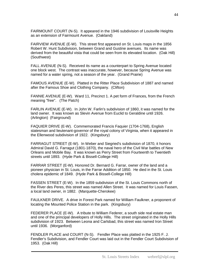FAIRMOUNT COURT (N-S). It appeared in the 1946 subdivision of Louisville Heights as an extension of Fairmount Avenue. (Oakland)

FAIRVIEW AVENUE (E-W). This street first appeared on St. Louis maps in the 1856 Robert W. Hunt Subdivision, between Grand and Gustine avenues. Its name was derived from the beautiful vista that could be seen from its elevated location. (Oak Hill) (Southwest)

FALL AVENUE (N-S). Received its name as a counterpart to Spring Avenue located one block west. The contrast was inaccurate, however, because Spring Avenue was named for a water spring, not a season of the year. (Grand Prairie)

FAMOUS AVENUE (E-W). Platted in the Ritter Place Subdivision of 1887 and named after the Famous Shoe and Clothing Company. (Clifton)

FANNIE AVENUE (E-W). Ward 11, Precinct 1. A pet form of Frances, from the French meaning "free". (The Patch)

FARLIN AVENUE (E-W). In John W. Farlin's subdivision of 1860, it was named for the land owner. It was known as Slevin Avenue from Euclid to Geraldine until 1926. (Arlington) (Fairground)

FAQUIER DRIVE (E-W). Commemorated Francis Faquier (1704-1768), English statesman and lieutenant-governor of the royal colony of Virginia, when it appeared in the Ellenwood subdivision of 1922. (Kingsbury)

FARRAGUT STREET (E-W). In Weber and Siegried's subdivision of 1870, it honors Admiral David G. Farragut (1801-1870), the naval hero of the Civil War battles of New Orleans and Mobile Bay. It was known as Perry Street from Fourteenth to Twentieth streets until 1893. (Hyde Park & Bissell-College Hill)

FARRAR STREET (E-W). Honored Dr. Bernard G. Farrar, owner of the land and a pioneer physician in St. Louis, in the Farrar Addition of 1850. He died in the St. Louis cholera epidemic of 1849. (Hyde Park & Bissell-College Hill)

FASSEN STREET (E-W). In the 1859 subdivision of the St. Louis Commons north of the River des Peres, this street was named Allen Street. It was named for Louis Fassen, a local land owner, in 1882. (Marquette-Cherokee)

FAULKNER DRIVE. A drive in Forest Park named for William Faulkner, a proponent of locating the Mounted Police Station in the park. (Kingsbury)

FEDERER PLACE (E-W). A tribute to William Federer, a south side real estate man and one of the principal developers of Holly Hills. The street originated in the Holly Hills subdivision of 1923. Between Leona and Carlsbad, this street was named Iron Street until 1936. (Morganford)

FENDLER PLACE and COURT (N-S). Fendler Place was platted in the 1925 F. J. Fendler's Subdivision, and Fendler Court was laid out in the Fendler Court Subdivision of 1953. (Oak Hill)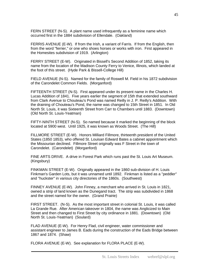FERN STREET (N-S). A plant name used infrequently as a feminine name which occurred first in the 1884 subdivision of Ellendale. (Oakland)

FERRIS AVENUE (E-W). If from the Irish, a variant of Farris. If from the English, then from the word "ferrier," or one who shoes horses or works with iron. First appeared in the Homesites subdivision of 1919. (Arlington)

FERRY STREET (E-W). Originated in Bissell's Second Addition of 1852, taking its name from the location of the Madison County Ferry to Venice, Illinois, which landed at the foot of this street. (Hyde Park & Bissell-College Hill)

FIELD AVENUE (N-S). Named for the family of Roswell M. Field in his 1872 subdivision of the Carondelet Common Fields. (Morganford)

FIFTEENTH STREET (N-S). First appeared under its present name in the Charles H. Lucas Addition of 1841. Five years earlier the segment of 15th that extended southward from Clark Avenue to Chouteau's Pond was named Reilly in J. P. Reilly's Addition. With the draining of Chouteau's Pond, the name was changed to 15th Street in 1851. In Old North St. Louis, it was Sixteenth Street from Carr to Chambers until 1883. (Downtown) (Old North St. Louis-Yeatman)

FIFTY-NINTH STREET (N-S). So named because it marked the beginning of the block located at 5900 west. Until 1925, it was known as Woods Street. (The Hill)

FILLMORE STREET (E-W). Honors Milliard Fillmore, thirteenth president of the United States (1850 1853), who offered St. Louisan Edward Bates a cabinet appointment which the Missourian declined. Fillmore Street originally was F Street in the town of Carondelet. (Carondelet) (Morganford)

FINE ARTS DRIVE. A drive in Forest Park which runs past the St. Louis Art Museum. (Kingsbury)

FINKMAN STREET (E-W). Originally appeared in the 1860 sub-division of H. Louis Finkman's Garden Lots, but it was unnamed until 1892. Finkman is listed as a "peddler" and "huckster" in various city directories of the 1860s. (Southwest)

FINNEY AVENUE (E-W). John Finney, a merchant who arrived in St. Louis in 1821, owned a strip of land known as the Dunegand tract. The strip was subdivided in 1868 and the street named for the owner. (Grand Prairie)

FIRST STREET. (N-S). As the most important street in colonial St. Louis, it was called La Grande Rue. After American takeover in 1804, the name was Anglicized to Main Street and then changed to First Street by city ordinance in 1881. (Downtown) (Old North St. Louis-Yeatman) (Soulard)

FLAD AVENUE (E-W). For Henry Flad, civil engineer, water commissioner and assistant engineer to James B. Eads during the construction of the Eads Bridge between 1867 and 1874. (Shaw)

FLORA AVENUE (E-W). See explanation for FLORA PLACE (E-W).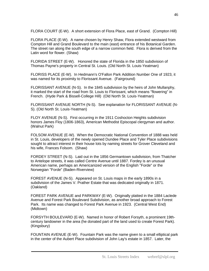FLORA COURT (E-W). A short extension of Flora Place, east of Grand. (Compton Hill)

FLORA PLACE (E-W). A name chosen by Henry Shaw, Flora extended westward from Compton Hill and Grand Boulevard to the main (east) entrance of his Botanical Garden. The street ran along the south edge of a narrow common field. Flora is derived from the Latin word for flower. (Shaw)

FLORIDA STREET (E-W). Honored the state of Florida in the 1850 subdivision of Thomas Payne's property in Central St. Louis. (Old North St. Louis-Yeatman)

FLORISS PLACE (E-W). In Hedmann's O'Fallon Park Addition Number One of 1923, it was named for its proximity to Florissant Avenue. (Fairground)

FLORISSANT AVENUE (N-S). In the 1845 subdivision by the heirs of John Mullanphy, it marked the start of the road from St. Louis to Florissant, which means "flowering" in French. (Hyde Park & Bissell-College Hill) (Old North St. Louis-Yeatman)

FLORISSANT AVENUE NORTH (N-S). See explanation for FLORISSANT AVENUE (N-S). (Old North St. Louis-Yeatman)

FLOY AVENUE (N-S). First occurring in the 1911 Coshocton Heights subdivision honors James Floy (1806-1863), American Methodist Episcopal clergyman and author. (Walnut Park)

FOLSOM AVENUE (E-W). When the Democratic National Convention of 1888 was held in St. Louis, developers of the newly opened Dundee Place and Tyler Place subdivisions sought to attract interest in their house lots by naming streets for Grover Cleveland and his wife, Frances Folsom. (Shaw)

FORDEY STREET (N-S). Laid out in the 1856 Germantown subdivision, from Thatcher to Antelope streets, it was called Centre Avenue until 1887. Fordey is an unusual American name, perhaps an Americanized version of the English "Forde" or the Norwegian "Forde" (Baden-Riverview)

FOREST AVENUE (N-S). Appeared on St. Louis maps in the early 1890s in a subdivision of the James V. Prather Estate that was dedicated originally in 1871. (Oakland)

FOREST PARK AVENUE and PARKWAY (E-W). Originally platted in the 1884 Laclede Avenue and Forest Park Boulevard Subdivision, as another broad approach to Forest Park. Its name was changed to Forest Park Avenue in 1923. (Central West End) (Midtown)

FORSYTH BOULEVARD (E-W). Named in honor of Robert Forsyth, a prominent 19thcentury landowner in the area (he donated part of the land used to create Forest Park). (Kingsbury)

FOUNTAIN AVENUE (E-W). Fountain Park was the name given to a small elliptical park in the center of the Aubert Place subdivision of John Lay's estate in 1857. Later, the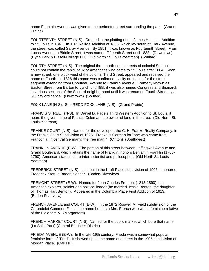name Fountain Avenue was given to the perimeter street surrounding the park. (Grand Prairie)

FOURTEENTH STREET (N-S). Created in the platting of the James H. Lucas Addition to St. Louis in 1841. In J. P. Reilly's Addition of 1836, which lay south of Clark Avenue, the street was called Sarpy Avenue. By 1851, it was known as Fourteenth Street. From Lucas Avenue to Biddle Street, it was named Fifteenth Street until 1883. (Downtown) (Hyde Park & Bissell-College Hill) (Old North St. Louis-Yeatman) (Soulard)

FOURTH STREET (N-S). The original three north-south streets of colonial St. Louis could not contain the rapid influx of Americans who came to St. Louis after 1804. Soon a new street, one block west of the colonial Third Street, appeared and received the name of Fourth. In 1826 this name was confirmed by city ordinance for the street segment extending from Chouteau Avenue to Franklin Avenue. Formerly known as Easton Street from Barton to Lynch until l88l, it was also named Congress and Bismarck in various sections of the Soulard neighborhood until it was renamed Fourth Street by a l9l8 city ordinance. (Downtown) (Soulard)

FOXX LANE (N-S). See REDD FOXX LANE (N-S). (Grand Prairie)

FRANCIS STREET (N-S). In Daniel D. Page's Third Western Addition to St. Louis, it hears the given name of Francis Coleman, the owner of land in the area. (Old North St. Louis-Yeatman)

FRANKE COURT (N-S). Named for the developer, the C. H. Franke Realty Company, in the Franke Court Subdivision of 1926. Franke is German for "one who came from Franconia, in central Germany; the free man." (Clifton) (Southwest)

FRANKLIN AVENUE (E-W). The portion of this street between Leffingwell Avenue and Grand Boulevard, which retains the name of Franklin, honors Benjamin Franklin (1706- 1790), American statesman, printer, scientist and philosopher. (Old North St. Louis-Yeatman)

FREDERICK STREET (N-S). Laid out in the Kraft Place subdivision of 1906, it honored Frederick Kraft, a Baden pioneer. (Baden-Riverview)

FREMONT STREET (E-W). Named for John Charles Fremont (1813-1890), the American explorer, soldier and political leader (he married Jessie Benton, the daughter of Thomas Hart Benton). Appeared in the Columbia Place First Addition of 1913. (Baden-Riverview)

FRENCH AVENUE and COURT (E-W). In the 1872 Roswell M. Field subdivision of the Carondelet Common Fields, the name honors a Mrs. French who was a feminine relative of the Field family. (Morganford)

FRENCH MARKET COURT (N-S). Named for the public market which bore that name. (La Salle Park) (Central Business District)

FRIEDA AVENUE (E-W). In the late-19th century, Frieda was a somewhat popular feminine form of "Fred". It showed up as the name of a street in the 1905 subdivision of Morgan Place. (Oak Hill)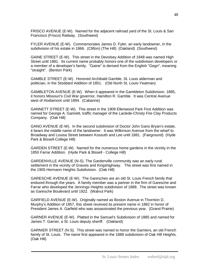FRISCO AVENUE (E-W). Named for the adjacent railroad yard of the St. Louis & San Francisco (Frisco) Railway. (Southwest)

FYLER AVENUE (E-W). Commemorates James D. Fyler, an early landowner, in the subdivision of his estate in 1866. (Clifton) (The Hill) (Oakland) (Southwest)

GAINE STREET (E-W). This street in the Devolsey Addition of 1848 was named High Street until 1881. Its current name probably honors one of the subdivision developers or a member of a developer's family. "Gaine" is derived from the English "Gegn", meaning "straight". (Benton Park)

GAMBLE STREET (E-W). Honored Archibald Gamble, St. Louis alderman and politician, in the Stoddard Addition of 1851. (Old North St. Louis-Yeatman)

GAMBLETON AVENUE (E-W). When it appeared in the Gambleton Subdivision, 1885, it honors Missouri's Civil War governor, Hamilton R. Gamble. It was Central Avenue west of Hodiamont until 1894. (Cabanne)

GANNETT STREET (E-W). This street in the 1909 Ellenwood Park First Addition was named for George A. Gannett, traffic manager of the Laclede-Christy Fire Clay Products Company. (Oak Hill)

GANO AVENUE (E-W). In the second subdivision of Doctor John Gano Bryan's estate, it bears the middle name of the landowner. It was Wilkinson Avenue from the wharf to Broadway and Louisa Street between Kossuth and Lee until 1881. (Fairground) (Hyde Park & Bissell-College Hill)

GARDEN STREET (E-W). Named for the numerous home gardens in the vicinity in the 1850 Farrar Addition. (Hyde Park & Bissell - College Hill)

GARDENVILLE AVENUE (N-S). The Gardenville community was an early rural settlement in the vicinity of Gravois and Kingshighway. The street was first named in the 1905 Hermann Heights Subdivision. (Oak Hill)

GARESCHE AVENUE (E-W). The Garesches are an old St. Louis French family that endured through the years. A family member was a partner in the firm of Garesche and Farrar who developed the Jennings Heights subdivision of 1888. The street was known as Garesche Boulevard until 1922. (Walnut Park)

GARFIELD AVENUE (E-W). Originally named as Boston Avenue in Thornton D. Murphy's Addition of 1857, this street received its present name in 1882 in honor of President James A. Garfield who was assassinated the previous year. (Grand Prairie)

GARNER AVENUE (E-W). Platted in the Samuel's Subdivision of 1885 and named for James T. Garner, a St. Louis deputy sheriff. (Oakland)

GARNIER STREET (N-S). This street was named to honor the Garniers, an old French family of St. Louis. The name first appeared in the 1888 subdivision of Oak Hill Heights. (Oak Hill)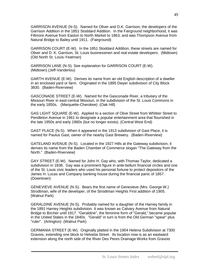GARRISON AVENUE (N-S). Named for Oliver and D.K. Garrison, the developers of the Garrison Addition in the 1851 Stoddard Addition. In the Fairground neighborhood, it was Fillmore Avenue from Easton to North Market to 1863, and was Thompson Avenue from Natural Bridge to Bailey until 1911. (Fairground)

GARRISON COURT (E-W). In the 1851 Stoddard Addition, these streets are named for Oliver and D. K. Garrison, St. Louis businessmen and real estate developers. (Midtown) (Old North St. Louis-Yeatman)

GARRISON LANE (N-S). See explanation for GARRISON COURT (E-W). (Midtown) (Jeff-Vanderlou)

GARTH AVENUE (E-W). Derives its name from an old English description of a dweller in an enclosed yard or farm. Originated in the 1895 Dwyer subdivision of City Block 3830. (Baden-Riverview)

GASCONADE STREET (E-W). Named for the Gasconade River, a tributary of the Missouri River in east-central Missouri, in the subdivision of the St. Louis Commons in the early 1850s. (Marquette-Cherokee) (Oak Hill)

GAS LIGHT SQUARE (E-W). Applied to a section of Olive Street from Whittier Street to Pendleton Avenue in 1961 to designate a popular entertainment area that flourished in the late 1950s and early 1960s (but no longer exists). (Central West End)

GAST PLACE (N-S). When it appeared in the 1913 subdivision of Gast Place, it is named for Paulus Gast, owner of the nearby Gast Brewery. (Baden-Riverview)

GATELAND AVENUE (N-S). Located in the 1927 Hills at the Gateway subdivision, it derives its name from the Baden Chamber of Commerce slogan "The Gateway from the North." (Baden-Riverview)

GAY STREET (E-W). Named for John H. Gay who, with Thomas Taylor, dedicated a subdivision in 1838. Gay was a prominent figure in ante-bellum financial circles and one of the St. Louis civic leaders who used his personal fortune to protect depositors of the James H. Lucas and Company banking house during the financial panic of 1857. (Downtown)

GENEVIEVE AVENUE (N-S). Bears the first name of Genevieve (Mrs. George W.) Strodtman, wife of the developer, of the Strodtman Heights First addition of 1905. (Walnut Park)

GERALDINE AVENUE (N-S). Probably named for a daughter of the Harney family in the 1891 Harney Heights subdivision. It was known as Calvary Avenue from Natural Bridge to Bircher until 1917. "Geraldine", the feminine form of "Gerald," became popular in the United States in the 1840s. "Gerald" in turn is from the Old German "spear" plus "ruler". (Arlington) (Walnut Park)

GERMANIA STREET (E-W). Originally platted in the 1904 Helena Subdivision at 7300 Gravois, extending one block to Helvetia Street. Its location now is as an eastward extension along the north side of the River Des Peres Drainage Works from Gravois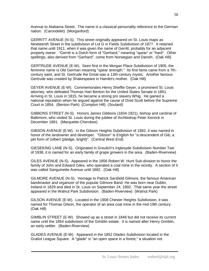Avenue to Alabama Street. The name is a classical personality reference to the German nation. (Carondelet) (Morganford)

GERRITT AVENUE (N-S). This street originally appeared on St. Louis maps as Nineteenth Street in the subdivision of Lot G in Fields Subdivision of 1877. It retained that name until 1911, when it was given the name of Gerritt, probably for an adjacent property owner. "Gerritt is a Dutch form of "Gerhard," meaning "spear" or "hard". Other spellings, also derived from "Gerhard", come from Norwegian and Danish. (Oak Hill)

GERTRUDE AVENUE (E-W). Seen first in the Morgan Place Subdivision of 1905, the feminine name is Old German meaning "spear strength." Its first fame came from a 7thcentury saint, and St. Gertrude the Great was a 13th-century mystic. Another famous Gertrude was created by Shakespeare in Hamlet's mother. (Oak Hill)

GEYER AVENUE (E-W). Commemorates Henry Sheffie Geyer, a prominent St. Louis attorney, who defeated Thomas Hart Benton for the United States Senate in 1851. Arriving in St. Louis in 1815, he became a strong pro slavery Whig. He gained a national reputation when he argued against the cause of Dred Scott before the Supreme Court in 1854. (Benton Park) (Compton Hill) (Soulard)

GIBBONS STREET (N-S). Honors James Gibbons (1834-1921), bishop and cardinal of Baltimore, who visited St. Louis during the jubilee of Archbishop Peter Kenrick in December 1891. (Marquette-Cherokee)

GIBSON AVENUE (E-W). In the Gibson Heights Subdivision of 1892, it was named in honor of the landowner and developer. "Gibson" is English for "a descendent of Gib, a pet form of Gilbert (pledge, bright)". (Central West End)

GIESEKING LANE (N-S). Originated in Greulich's Inglesyde Subdivision Number Two of 1938, it is named for an early family of grape growers in the area. (Baden-Riverview)

GILES AVENUE (N-S). Appeared in the 1856 Robert W. Hunt Sub-division to honor the family of John and Edward Giles, who operated a coal mine in the vicinity. A section of it was called Sanguinette Avenue until 1882. (Oak Hill)

GILMORE AVENUE (N-S). Homage to Patrick Sarsfield Gilmore, the famous American bandmaster and organizer of the popular Gilmore Band. He was born near Dublin, Ireland in 1829 and died in St. Louis on September 24, 1892. That same year the street appeared in the Walnut Park Subdivision. (Baden-Riverview) (Walnut Park)

GILSON AVENUE (E-W). Located in the 1908 Chester Heights Subdivision, it was named for Thomas Gilson, the operator of an area coal mine in the mid-19th century. (Oak Hill)

GIMBLIN STREET (E-W). Showed up as a street in 1848 but did not receive its current name until the 1854 subdivision of the Gimblin estate. It is named after Henry Gimblin, an early settler. (Baden-Riverview)

GLADES AVENUE (E-W). Appeared in the 1852 Glades Subdivision located in the Gratiot League Square. A "glade" is "an open space in a forest," a situation not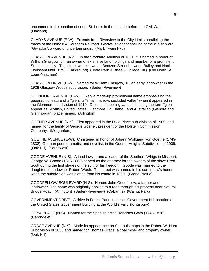uncommon in this section of south St. Louis in the decade before the Civil War. (Oakland)

GLADYS AVENUE (E-W). Extends from Riverview to the City Limits paralleling the tracks of the Norfolk & Southern Railroad. Gladys is variant spelling of the Welsh word "Gwladus", a word of uncertain origin. (Mark Twain I-70)

GLASGOW AVENUE (N-S). In the Stoddard Addition of 1851, it is named in honor of William Glasgow, Jr., an owner of extensive land holdings and member of a prominent St. Louis family. This street was known as Bentzen Street between Bailey and North Florissant until 1879. (Fairground) (Hyde Park & Bissell- College Hill) (Old North St. Louis-Yeatman)

GLASGOW DRIVE (E-W). Named for William Glasgow, Jr., an early landowner in the 1928 Glasgow Woods subdivision. (Baden-Riverview)

GLENMORE AVENUE (E-W). Likely a made-up promotional name emphasizing the geographic feature of a "glen," a "small, narrow, secluded valley" when it appeared in the Glenmore subdivision of 1910. Dozens of spelling variations using the term "glen" appear as Scottish, United States (Glenmora, Louisiana), and Australian (Glenore and Glenmorgan) place names. (Arlington)

GOENER AVENUE (N-S). First appeared in the Dixie Place sub-division of 1905, and named for the family of George Goener, president of the Holstein Commission Company. (Morganford)

GOETHE AVENUE (E-W). Christened in honor of Johann Wolfgang von Goethe (1749- 1832), German poet, dramatist and novelist, in the Goethe Heights Subdivision of 1909. (Oak Hill) (Southwest)

GOODE AVENUE (N-S). A land lawyer and a leader of the Southern Whigs in Missouri, George W. Goode (1815-1863) served as the attorney for the owners of the slave Dred Scott during the first stages of the suit for his freedom. Goode was married to the daughter of landowner Robert Wash. The street was named in his son-in-law's honor when the subdivision was platted from his estate in 1860. (Grand Prairie)

GOODFELLOW BOULEVARD (N-S). Honors John Goodfellow, a farmer and landowner. The name was originally applied to a road through his property near Natural Bridge Road. (Arlington) (Baden-Riverview) (Cabanne) (Walnut Park)

GOVERNMENT DRIVE. A drive in Forest Park, it passes Government Hill, location of the United States Government Building at the World's Fair. (Kingsbury)

GOYA PLACE (N-S). Named for the Spanish artist Francisco Goya (1746-1828). (Carondelet)

GRACE AVENUE (N-S). Made its appearance on St. Louis maps in the Robert W. Hunt Subdivision of 1856 and named for Thomas Grace, a coal miner and property owner. (Oak Hill)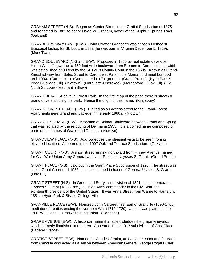GRAHAM STREET (N-S). Began as Center Street in the Gratiot Subdivision of 1875 and renamed in 1882 to honor David W. Graham, owner of the Sulphur Springs Tract. (Oakland)

GRANBERRY WAY LANE (E-W). John Cowper Granberry was chosen Methodist Episcopal bishop for St. Louis in 1882 (he was born in Virginia December 5, 1829). (Mark Twain)

GRAND BOULEVARD (N-S and E-W). Proposed in 1850 by real estate developer Hiram W. Leffingwell as a 450-foot wide boulevard from Bremen to Carondelet, its width was established at 80 feet by the St. Louis County Court in the 1860s. Known as Grand-Kingshighway from Bates Street to Carondelet Park in the Morganford neighborhood until 1930. (Carondelet) (Compton Hill) (Fairground) (Grand Prairie) (Hyde Park & Bissell-College Hill) (Midtown) (Marquette-Cherokee) (Morganford) (Oak Hill) (Old North St. Louis-Yeatman) (Shaw)

GRAND DRIVE. A drive in Forest Park. In the first map of the park, there is shown a grand drive encircling the park. Hence the origin of this name. (Kingsbury)

GRAND-FOREST PLACE (E-W). Platted as an access street to the Grand-Forest Apartments near Grand and Laclede in the early 1960s. (Midtown)

GRANDEL SQUARE (E-W). A section of Delmar Boulevard between Grand and Spring that was isolated by the rerouting of Delmar in 1933. It is a coined name composed of parts of the names of Grand and Delmar. (Midtown)

GRANDVIEW PLACE (N-S). Acknowledges the pleasant vista to be seen from its elevated location. Appeared in the 1907 Oakland Terrace Subdivision. (Oakland)

GRANT COURT (N-S). A short street running northward from Finney Avenue, named for Civil War Union Army General and later President Ulysses S. Grant. (Grand Prairie)

GRANT PLACE (N-S). Laid out in the Grant Place Subdivision of 1923. The street was called Grant Court until 1925. It is also named in honor of General Ulysses S. Grant. (Oak Hill)

GRANT STREET (N-S). In Green and Berry's subdivision of 1891, it commemorates Ulysses S. Grant (1822-1885), a Union Army commander in the Civil War and eighteenth president of the United States. It was Anna Street from Warne to Harris until 1881. (Hyde Park & Bissell-College Hill)

GRANVILLE PLACE (E-W). Honored John Carteret, first Earl of Granville (1690-1765), mediator of treaties ending the Northern War (1719-1720), when it was platted in the 1890 W. P. and L. Croswhite subdivision. (Cabanne)

GRAPE AVENUE (E-W). A historical name that acknowledges the grape vineyards which formerly flourished in the area. Appeared in the 1913 subdivision of Gast Place. (Baden-Riverview)

GRATIOT STREET (E-W). Named for Charles Gratiot, an early merchant and fur trader from Cahokia who acted as a liaison between American General George Rogers Clark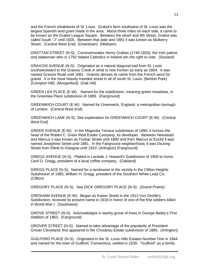and the French inhabitants of St. Louis. Gratiot's farm southwest of St. Louis was the largest Spanish land grant made in the area. About three miles on each side, it came to be known as the Gratiot League Square. Between the wharf and 4th Street, Gratiot was called South "J" until 1826. Between that date and 1881 it was known as Mulberry Street. (Central West End) (Downtown) (Midtown)

GRATTAN STREET (N-S). Commemorates Henry Grattan (1746 1820), the Irish patriot and statesman who in 1792 helped Catholics in Ireland win the right to vote. (Soulard)

GRAVOIS AVENUE (N-S). Originated as a natural diagonal trail from St. Louis southwestward to the Gravois Creek in what is now Fenton as early as 1804. It was named Gravois Road until 1881. Gravois derives its name from the French word for gravel. It is the most heavily traveled street in all of south St. Louis. (Benton Park) (Compton Hill) (Morganford) (Oak Hill)

GREEN LEA PLACE (E-W). Named for the subdivision, meaning green meadows, in the Greenlea Place subdivision of 1889. (Fairground)

GREENWICH COURT (E-W). Named for Greenwich, England, a metropolitan borough of London. (Central West End)

GREENWICH LANE (N-S). See explanation for GREENWICH COURT (E-W). (Central West End)

GREER AVENUE (E-W). In the Magnolia Terrace subdivision of 1890, it honors the head of the Robert C. Greer Real Estate Company, its developer. Between Newstead and Marcus it was known as Foxbar Street until 1890 and from Marcus to Euclid it was named Josephine Street until 1881. In the Fairground neighborhood, it was DeJong Street from Elliott to Glasgow until 1910. (Arlington) (Fairground)

GREGG AVENUE (N-S). Platted in Laclede J. Howard's Subdivision of 1909 to honor Cecil D. Gregg, president of a local coffee company. (Oakland)

GREGG PLACE (N-S). Named for a landowner in the vicinity in the Clifton Heights Subdivision of 1885, William H. Gregg, president of the Southern White Lead Co. (Clifton)

GREGORY PLACE (N-S). See DICK GREGORY PLACE (N-S). (Grand Prairie)

GRESHAM AVENUE (E-W). Began as Kaiser Street in the 1913 Von Drehle's Subdivision; received its present name in 1918 in honor of one of the first soldiers killed in World War I. (Southwest)

GROVE STREET (N-S). Acknowledges a nearby grove of trees in George Bailey's First Addition of 1863. (Fairground)

GROVER STREET (N-S). Named to take advantage of the popularity of President Grover Cleveland; first appeared in the Chouteau Estate subdivision of 1885. (Arlington)

GUILFORD PLACE (N-S). Originated in the St. Louis Hills Estates Number One in 1944 and named for the town of Guilford, Connecticut, settled in 1639. "Guilford" as a family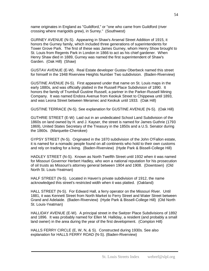name originates in England as "Guildford," or "one who came from Guildford (river crossing where marigolds grew), in Surrey." (Southwest)

GURNEY AVENUE (N-S). Appearing in Shaw's Arsenal Street Addition of 1915, it honors the Gurney family, which included three generations of superintendents for Tower Grove Park. The first of these was James Gurney, whom Henry Show brought to St. Louis from Regents Park in London in 1866 to act as his chief gardener. When Henry Shaw died in 1889, Gurney was named the first superintendent of Shaw's Garden. (Oak Hill) (Shaw)

GUSTAV AVENUE (E-W). Real Estate developer Gustav Oberbeck named this street for himself in the 1948 Riverview Heights Number Two subdivision. (Baden-Riverview)

GUSTINE AVENUE (N-S). First appeared under that name on St. Louis maps in the early 1880s, and was officially platted in the Russell Place Subdivision of 1890. It honors the family of Trumbull Gustine Russell, a partner in the Parker-Russell Mining Company. It was named Endora Avenue from Keokuk Street to Chippewa until 1893, and was Leona Street between Meramec and Keokuk until 1933. (Oak Hill)

GUSTINE TERRACE (N-S). See explanation for GUSTINE AVENUE (N-S). (Oak Hill)

GUTHRIE STREET (E-W) Laid out in an undedicated School Land Subdivision of the 1860s on land owned by H. and J. Kayser, the street is named for James Guthrie (1793 1869), United States Secretary of the Treasury in the 1850s and a U.S. Senator during the 1860s. (Marquette-Cherokee)

GYPSY STREET (N-S). Originated in the 1870 subdivision of the John O'Fallon estate, it is named for a nomadic people found on all continents who hold to their own customs and rely on trading for a living. (Baden-Riverview) (Hyde Park & Bissell-College Hill)

HADLEY STREET (N-S). Known as North Twelfth Street until 1932 when it was named for Missouri Governor Herbert Hadley, who won a national reputation for his prosecution of oil trusts as Missouri's attorney general between 1904 and 1908. (Downtown) (Old North St. Louis-Yeatman)

HALF STREET (N-S). Located in Haven's private subdivision of 1912, the name acknowledged this street's restricted width when it was platted. (Oakland)

HALL STREET (N-S). For Edward Hall, a ferry operator on the Missouri River. Until 1881, it was Kennett Street from North Market to Ferry Street and Water Street between Grand and Adelaide. (Baden-Riverview) (Hyde Park & Bissell-College Hill) (Old North St. Louis-Yeatman)

HALLIDAY AVENUE (E-W). A principal street in the Switzer Place Subdivisions of 1892 and 1896. It was probably named for Ellen M. Halliday, a resident (and probably a small land owner) in the area during the year of the first development. (Compton Hill)

HALLS FERRY CIRCLE (E, W, N, & S). Constructed during 1930s. See also explanation for HALLS FERRY ROAD (N-S). (Baden-Riverview)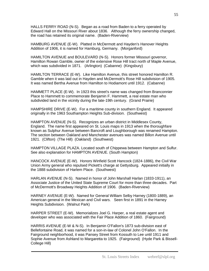HALLS FERRY ROAD (N-S). Began as a road from Baden to a ferry operated by Edward Hall on the Missouri River about 1836. Although the ferry ownership changed, the road has retained its original name. (Baden-Riverview)

HAMBURG AVENUE (E-W). Platted in McDermott and Hayden's Hanover Heights Addition of 1906, it is named for Hamburg, Germany. (Morganford)

HAMILTON AVENUE and BOULEVARD (N-S). Honors former Missouri governor, Hamilton Rowan Gamble, owner of the extensive Rose Hill tract north of Maple Avenue, which was subdivided in 1871. (Arlington) (Cabanne) (Kingsbury)

HAMILTON TERRACE (E-W). Like Hamilton Avenue, this street honored Hamilton R. Gamble when it was laid out in Hayden and McDermott's Rose Hill subdivision of 1905. It was named Bertha Avenue from Hamilton to Hodiamont until 1912. (Cabanne)

HAMMETT PLACE (E-W). In 1923 this street's name was changed from Branconnier Place to Hammett to commemorate Benjamin F. Hammett, a real estate man who subdivided land in the vicinity during the late-19th century. (Grand Prairie)

HAMPSHIRE DRIVE (E-W). For a maritime county in southern England. It appeared originally in the 1963 Southampton Heights Sub-division. (Southwest)

HAMPTON AVENUE (N-S). Recognizes an urban district in Middlesex County, England. The name first appeared on St. Louis maps in 1913 when the thoroughfare known as Sulphur Avenue between Bancroft and Loughborough was renamed Hampton. The section between Oakland and Manchester avenues was named Billon Avenue until 1921. (Clifton) (The Hill) (Oakland) (Southwest)

HAMPTON VILLAGE PLAZA. Located south of Chippewa between Hampton and Sulfur. See also explanation for HAMPTON AVENUE. (South Hampton)

HANCOCK AVENUE (E-W). Honors Winfield Scott Hancock (1824-1886), the Civil War Union Army general who repulsed Pickett's charge at Gettysburg. Appeared initially in the 1888 subdivision of Harlem Place. (Southwest)

HARLAN AVENUE (N-S). Named in honor of John Marshall Harlan (1833-1911), an Associate Justice of the United State Supreme Court for more than three decades. Part of McDermott's Broadway Heights Addition of 1906. (Baden-Riverview)

HARNEY AVENUE (E-W). Named for General William Selby Harney (1800-1889), an American general in the Mexican and Civil wars. Seen first in 1891 in the Harney Heights Subdivision. (Walnut Park)

HARPER STREET (E-W). Memorializes Joel G. Harper, a real estate agent and developer who was associated with the Fair Place Addition of 1860. (Fairground)

HARRIS AVENUE (E-W & N-S). In Benjamin O'Fallon's 1873 sub-division east of Bellefontaine Road, it was named for a son-in-law of Colonel John O'Fallon. In the Fairground neighborhood, it was Pansey Street from Kossuth to Lee until 1911 and Sophie Avenue from Ashland to Margaretta to 1925. (Fairground) (Hyde Park & Bissell-College Hill)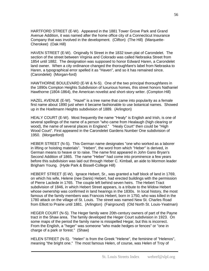HARTFORD STREET (E-W). Appeared in the 1881 Tower Grove Park and Grand Avenue Addition, it was named after the home office city of a Connecticut Insurance Company that was involved in the development. (Clifton) (The Hill) (Marquette-Cherokee) (Oak Hill)

HAVEN STREET (E-W). Originally N Street in the 1832 town plat of Carondelet. The section of the street between Virginia and Colorado was called Nebraska Street from 1854 until 1882. The designation was supposed to honor Edward Haren, a Carondelet land owner. When a city ordinance changed the thoroughfare's label from Nebraska to Haren, a typographical error spelled it as "Haven", and so it has remained since. (Carondelet) (Morgan-ford)

HAWTHORNE BOULEVARD (E-W & N-S). One of the two principal thoroughfares in the 1890s Compton Heights Subdivision of luxurious homes, this street honors Nathaniel Hawthorne (1804-1864), the American novelist and short-story writer. (Compton Hill)

HAZEL AVENUE (E-W). "Hazel" is a tree name that came into popularity as a female first name about 1890 just when it became fashionable to use botanical names. Showed up in the Hoeltmann Heights subdivision of 1889. (Arlington)

HEALY COURT (E-W). Most frequently the name "Healy" is English and Irish, is one of several spellings of the name of a person "who came from Healaugh (high clearing or wood), the name of several places in England." "Healy Court" then could be "High Wood Court". First appeared in the Carondelet Gardens Number One subdivision of 1950. (Morganford)

HEBER STREET (N-S). This German name designates "one who worked as a laborer in lifting or hoisting materials". "Heben", the word from which "Heber" is derived, in German means to heave or to raise. The name first appeared in John Gano Bryan's Second Addition of 1865. The name "Heber" had come into prominence a few years before this subdivision was laid out through Heber C. Kimball, an aide to Mormon leader Brigham Young. (Hyde Park & Bissell-College Hill)

HEBERT STREET (E-W). Ignace Hebert, Sr., was granted a half block of land in 1769, on which his wife, Helene (nee Danis) Hebert, had erected buildings with the permission of Pierre Laclede in 1765. The couple left behind seven heirs. The Hebert Tract subdivision of 1846, in which Hebert Street appears, is a tribute to the Widow Hebert whose ownership was confirmed in land hearings in the 1830s. In local history, the most famous of the family members was Francois Hebert, born in 1750, who was killed in the 1780 attack on the village of St. Louis. The street was named New St. Charles Road from Elliott to Prairie until 1881. (Arlington) (Fairground) (Old North St. Louis-Yeatman)

HEGER COURT (N-S). The Heger family were 20th-century owners of part of the Payne tract in the Shaw area. The family developed the Heger Court subdivision in 1923. On some maps of the period the family name is misspelled Hegar, but this is incorrect. From the English, a "heger" was someone "who made hedges or fences" or "one in charge of a park or forest." (Shaw)

HELEN STREET (N-S). "Helen" is from the Greek "Helene", the feminine of "Helenos", meaning "the bright one." The most famous Helen, of course, was Helen of Troy of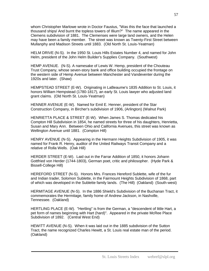whom Christopher Marlowe wrote in Doctor Faustus, "Was this the face that launched a thousand ships/ And burnt the topless towers of Illium?" The name appeared in the Clemens subdivision of 1881. The Clemenses were large land owners, and the Helen may have been a family member. The street was known as Twenty-First Street between Mullanphy and Madison Streets until 1883. (Old North St. Louis-Yeatman)

HELM DRIVE (N-S). In the 1950 St. Louis Hills Estates Number 4, and named for John Helm, president of the John Helm Builder's Supplies Company. (Southwest)

HEMP AVENUE. (N-S). A namesake of Lewis W. Hemp, president of the Chouteau Trust Company, whose seven-story bank and office building occupied the frontage on the western side of Hemp Avenue between Manchester and Vandeventer during the 1920s and later. (Shaw)

HEMPSTEAD STREET (E-W). Originating in LaBeaume's 1835 Addition to St. Louis, it honors William Hempstead (1780-1817), an early St. Louis lawyer who adjusted land grant claims. (Old North St. Louis-Yeatman)

HENNER AVENUE (E-W). Named for Emil E. Henner, president of the Star Construction Company, in Bircher's subdivision of 1906, (Arlington) (Walnut Park)

HENRIETTA PLACE & STREET (E-W). When James S. Thomas dedicated his Compton Hill Subdivision in 1854, he named streets for three of his daughters, Henrietta, Susan and Mary Ann. Between Ohio and California Avenues, this street was known as Wellington Avenue until 1881. (Compton Hill)

HENRY AVENUE (N-S). Appearing in the Hermann Heights Subdivision of 1905, it was named for Frank R. Henry, auditor of the United Railways Transit Company and a relative of Rolla Wells. (Oak Hill)

HERDER STREET (E-W). Laid out in the Farrar Addition of 1850, it honors Johann Gottfried von Herder (1744-1803), German poet, critic and philosopher. (Hyde Park & Bissell-College Hill)

HEREFORD STREET (N-S). Honors Mrs. Frances Hereford Sublette, wife of the fur and Indian trader, Solomon Sublette, in the Fairmount Heights Subdivision of 1868, part of which was developed in the Sublette family lands. (The Hill) (Oakland) (South-west)

HERMITAGE AVENUE (N-S). In the 1886 Shield's Subdivision of the Buchanan Tract, it commemorates the Hermitage, family home of Andrew Jackson, in Nashville, Tennessee. (Oakland)

HERTLING PLACE (E-W). "Hertling" is from the German, a "descendent of little Hart, a pet form of names beginning with Hart (hard)". Appeared in the private McRee Place Subdivision of 1892. (Central West End)

HEWITT AVENUE (N-S). When it was laid out in the 1885 subdivision of the Sutton Tract, the name recognized Charles Hewitt, a St. Louis real estate man of the period. (Oakland)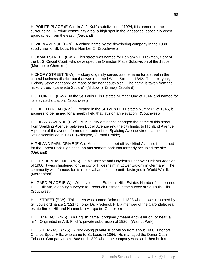HI POINTE PLACE (E-W). In A. J. Kuh's subdivision of 1924, it is named for the surrounding Hi-Pointe community area, a high spot in the landscape, especially when approached from the east. (Oakland)

HI VIEW AVENUE (E-W). A coined name by the developing company in the 1930 subdivision of St. Louis Hills Number 2. (Southwest)

HICKMAN STREET (E-W). This street was named for Benjamin F. Hickman, clerk of the U. S. Circuit Court, who developed the Ormiston Place Subdivision of the 1860s. (Marquette-Cherokee)

HICKORY STREET (E-W). Hickory originally served as the name for a street in the central business district, but that was renamed Wash Street in 1842. The next year, Hickory Street appeared on maps of the near south side. The name is taken from the hickory tree. (Lafayette Square) (Midtown) (Shaw) (Soulard)

HIGH CIRCLE (E-W). In the St. Louis Hills Estates Number One of 1944, and named for its elevated situation. (Southwest)

HIGHFIELD ROAD (N-S). Located in the St. Louis Hills Estates Number 2 of 1945, it appears to be named for a nearby field that lays on an elevation. (Southwest)

HIGHLAND AVENUE (E-W). A 1929 city ordinance changed the name of this street from Spalding Avenue, between Euclid Avenue and the city limits, to Highland Avenue. A portion of the avenue formed the route of the Spalding Avenue street car line until it was discontinued in 1930. (Arlington) (Grand Prairie)

HIGHLAND PARK DRIVE (E-W). An industrial street off Macklind Avenue, it is named for the Forest Park Highlands, an amusement park that formerly occupied the site. (Oakland)

HILDESHEIM AVENUE (N-S). In McDermott and Hayden's Hannover Heights Addition of 1906, it was christened for the city of Hildesheim in Lower Saxony in Germany. The community was famous for its medieval architecture until destroyed in World War II. (Morganford)

HILGARD PLACE (E-W). When laid out in St. Louis Hills Estates Number 4, it honored H. C. Hilgard, a deputy surveyor to Frederick Pitzman in the survey of St. Louis Hills. (Southwest)

HILL STREET (E-W). This street was named Delor until 1893 when it was renamed by St. Louis ordinance 17121 to honor Dr. Frederick Hill, a member of the Carondelet real estate firm of Hill and Hammel. (Marquette-Cherokee)

HILLER PLACE (N-S). An English name, it originally meant a "dweller on, or near, a hill". Originated in A.B. Finch's private subdivision of 1920. (Walnut Park)

HILLS TERRACE (N-S). A block-long private subdivision from about 1900, it honors Charles Spear Hills, who came to St. Louis in 1866. He managed the Daniel Catlin Tobacco Company from 1868 until 1899 when the company was sold, then built a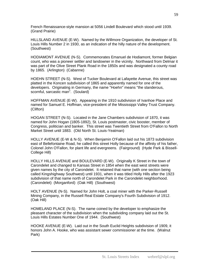French Renaissance-style mansion at 5056 Lindell Boulevard which stood until 1939. (Grand Prairie)

HILLSLAND AVENUE (E-W). Named by the Willmore Organization, the developer of St. Louis Hills Number 2 in 1930, as an indication of the hilly nature of the development. (Southwest)

HODIAMONT AVENUE (N-S). Commemorates Emanuel de Hodiamont, former Belgian count, who was a pioneer settler and landowner in the vicinity. Northward from Delmar it was part of the Olive Street Plank Road in the 1850s and was designated a county road by 1865. (Arlington) (Cabanne)

HOEHN STREET (N-S). West of Tucker Boulevard at Lafayette Avenue, this street was platted in the Koncen subdivision of 1865 and apparently named for one of the developers. Originating in Germany, the name "Hoehn" means "the slanderous, scornful, sarcastic man". (Soulard)

HOFFMAN AVENUE (E-W). Appearing in the 1910 subdivision of Ivanhoe Place and named for Samuel E. Hoffman, vice-president of the Mississippi Valley Trust Company. (Clifton)

HOGAN STREET (N-S). Located in the Jane Chambers subdivision of 1870, it was named for John Hogan (1805-1892), St. Louis postmaster, civic booster, member of Congress, politician and banker. This street was Twentieth Street from O'Fallon to North Market Street until 1883. (Old North St. Louis-Yeatman)

HOLLY AVENUE (E-W & N-S). When Benjamin O'Fallon laid out his 1873 subdivision east of Bellefontaine Road, he called this street Holly because of the affinity of his father, Colonel John O'Fallon, for plant life and evergreens. (Fairground) (Hyde Park & Bissell-College Hill)

HOLLY HILLS AVENUE and BOULEVARD (E-W). Originally K Street in the town of Carondelet and changed to Kansas Street in 1854 when the east west streets were given names by the city of Carondelet. It retained that name (with one section being called Kingshighway Southwest) until 1931, when it was titled Holly Hills after the 1923 subdivision of that name north of Carondelet Park in the Carondelet neighborhood. (Carondelet) (Morganford) (Oak Hill) (Southwest)

HOLT AVENUE (N-S). Named for John Holt, a coal miner with the Parker-Russell Mining Company, in the Russell Real Estate Company's Fourth Subdivision of 1912. (Oak Hill)

HOMELAND PLACE (N-S). The name coined by the developer to emphasize the pleasant character of the subdivision when the subdividing company laid out the St. Louis Hills Estates Number One of 1944. (Southwest)

HOOKE AVENUE (E-W). Laid out in the South Euclid Heights subdivision of 1909, it honors John A. Hooke, who was assistant sewer commissioner at the time. (Walnut Park)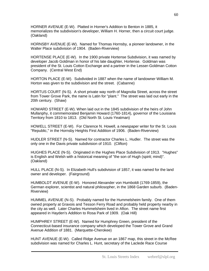HORNER AVENUE (E-W). Platted in Horner's Addition to Benton in 1885, it memorializes the subdivision's developer, William H. Horner, then a circuit court judge. (Oakland)

HORNSBY AVENUE (E-W). Named for Thomas Hornsby, a pioneer landowner, in the Walter Place subdivision of 1904. (Baden-Riverview)

HORTENSE PLACE (E-W). In the 1900 private Hortense Subdivision, it was named by developer Jacob Goldman in honor of his late daughter, Hortense. Goldman was president of the St. Louis Cotton Exchange and a partner in the Lesser-Goldman Cotton Company. (Central West End)

HORTON PLACE (E-W). Subdivided in 1887 when the name of landowner William M. Horton was given to the subdivision and the street. (Cabanne)

HORTUS COURT (N-S). A short private way north of Magnolia Street, across the street from Tower Grove Park, the name is Latin for "plant." The street was laid out early in the 20th century. (Shaw)

HOWARD STREET (E-W). When laid out in the 1845 subdivision of the heirs of John Mullanphy, it commemorated Benjamin Howard (1760-1814), governor of the Louisiana Territory from 1810 to 1813. (Old North St. Louis-Yeatman)

HOWELL STREET (E-W). For Clarence N. Howell, a newspaper writer for the St. Louis "Republic," in the Hornsby Heights First Addition of 1906. (Baden-Riverview)

HUDLER STREET (N-S). Named for contractor Charles L. Hudler. The street was the only one in the Davis private subdivision of 1910. (Clifton)

HUGHES PLACE (N-S). Originated in the Hughes Place Subdivision of 1913. "Hughes" is English and Welsh with a historical meaning of "the son of Hugh (spirit; mind)". (Oakland)

HULL PLACE (N-S). In Elizabeth Hull's subdivision of 1857, it was named for the land owner and developer. (Fairground)

HUMBOLDT AVENUE (E-W). Honored Alexander von Humboldt (1769-1859), the German explorer, scientist and natural philosopher, in the 1868 Garden suburb. (Baden-Riverview)

HUMMEL AVENUE (N-S). Probably named for the Hummelsheim family. One of them owned property at Gravois and Tesson Ferry Road and probably held property nearby in the city as well. Later Charles Hummelsheim lived in Afton. The street name first appeared in Hayden's Addition to Rosa Park of 1909. (Oak Hill)

HUMPHREY STREET (E-W). Named for Humphrey Green, president of the Connecticut-based insurance company which developed the Tower Grove and Grand Avenue Addition of 1881. (Marquette-Cherokee)

HUNT AVENUE (E-W). Called Ridge Avenue on an 1867 map, this street in the McRee subdivision was named for Charles L. Hunt, secretary of the Laclede Race Course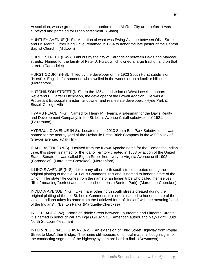Association, whose grounds occupied a portion of the McRee City area before it was surveyed and parceled for urban settlement. (Shaw)

HUNTLEY AVENUE (N-S). A portion of what was Ewing Avenue between Olive Street and Dr. Martin Luther King Drive, renamed in 1984 to honor the late pastor of the Central Baptist Church. (Midtown)

HURCK STREET (E-W). Laid out by the city of Carondelet between Davis and Marceau streets. Named for the family of Peter J. Hurck which owned a large tract of land on that street. (Carondelet)

HURST COURT (N-S). Titled by the developer of the 1923 South Hurst subdivision. "Hurst" is English, for someone who dwelled in the woods or on a knoll or hillock. (Morganford)

HUTCHINSON STREET (N-S). In the 1854 subdivision of West Lowell, it honors Reverend E. Carter Hutchinson, the developer of the Lowell Addition. He was a Protestant Episcopal minister, landowner and real estate developer. (Hyde Park & Bissell-College Hill)

HYAMS PLACE (N-S). Named for Henry M. Hyams, a salesman for the Davis Realty and Development Company, in the St. Louis Avenue Cutoff subdivision of 1921. (Fairground)

HYDRAULIC AVENUE (N-S). Located in the 1913 South End Park Subdivision, it was named for the nearby yard of the Hydraulic Press Brick Company in the 4900 block of Gravois avenue. (Oak Hill)

IDAHO AVENUE (N-S). Derived from the Kiowa-Apache name for the Comanche Indian tribe, this street is named for the Idaho Territory created in 1863 by action of the United States Senate. It was called Eighth Street from Ivory to Virginia Avenue until 1902. (Carondelet) (Marquette-Cherokee) (Morganford)

ILLINOIS AVENUE (N-S). Like many other north south streets created during the original platting of the old St. Louis Commons, this one is named to honor a state of the Union. The state title comes from the name of an Indian tribe who called themselves "Illini," meaning "perfect and accomplished men". (Benton Park) (Marquette-Cherokee)

INDIANA AVENUE (N-S). Like many other north south streets created during the original platting of the old St. Louis Commons, this one is named to honor a state of the Union. Indiana takes its name from the Latinized form of "Indian" with the meaning "land of the Indians". (Benton Park) (Marquette-Cherokee)

INGE PLACE (E-W). North of Biddle Street between Fourteenth and Fifteenth Streets, it is named in honor of William Inge (1913-1973), American author and playwright. (Old North St. Louis-Yeatman)

INTER-REGIONAL HIGHWAY (N-S). An extension of Third Street Highway from Poplar Street to MacArthur Bridge. The name still appears on official maps, although signs for the connecting segment of the highway system are hard to find. (Downtown)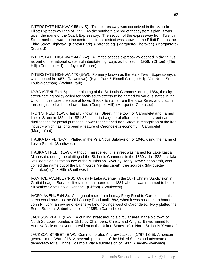INTERSTATE HIGHWAY 55 (N-S). This expressway was conceived in the Malcolm Elliott Expressway Plan of 1952. As the southern anchor of that system's plan, it was given the name of the Ozark Expressway. The section of the expressway from Twelfth Street northeastward to the central business district was shown in the Elliott Plan as the Third Street Highway. (Benton Park) (Carondelet) (Marquette-Cherokee) (Morganford) (Soulard)

INTERSTATE HIGHWAY 44 (E-W). A limited access expressway opened in the 1970s as part of the national system of interstate highways authorized in 1956. (Clifton) (The Hill) (Compton Hill) (Lafayette Square)

INTERSTATE HIGHWAY 70 (E-W). Formerly known as the Mark Twain Expressway, it was opened in 1957. (Downtown) (Hyde Park & Bissell-College Hill) (Old North St. Louis-Yeatman) (Walnut Park)

IOWA AVENUE (N-S). In the platting of the St. Louis Commons during 1854, the city's street-naming policy called for north-south streets to be named for various states in the Union, in this case the state of Iowa. It took its name from the Iowa River, and that, in turn, originated with the Iowa tribe. (Compton Hill) (Marquette-Cherokee)

IRON STREET (E-W). Initially known as I Street in the town of Carondelet and named Illinois Street in 1854. In 1881 82, as part of a general effort to eliminate street name duplications for postal purposes, it was rechristened Iron Street in recognition of the iron industry which has long been a feature of Carondelet's economy. (Carondelet) (Morganford)

ITASKA DRIVE (E-W). Platted in the Villa Nova Subdivision of 1946, using the name of Itaska Street. (Southwest)

ITASKA STREET (E-W). Although misspelled, this street was named for Lake Itasca, Minnesota, during the platting of the St. Louis Commons in the 1850s. In 1832, this lake was identified as the source of the Mississippi River by Henry Rowe Schoolcraft, who coined the name out of the Latin words "veritas caput" (true source). (Marquette-Cherokee) (Oak Hill) (Southwest)

IVANHOE AVENUE (N-S). Originally Lake Avenue in the 1871 Christy Subdivision in Gratiot League Square. It retained that name until 1881 when it was renamed to honor Sir Walter Scott's novel Ivanhoe. (Clifton) (Southwest)

IVORY AVENUE (N-S). A diagonal route from Lemay Ferry Road to Carondelet, this street was known as the Old County Road until 1882, when it was renamed to honor John P. Ivory, an owner of extensive land holdings west of Carondelet. Ivory platted the South St. Louis Suburb addition of 1858. (Carondelet)

JACKSON PLACE (E-W). A curving street around a circular area in the old town of North St. Louis founded in 1816 by Chambers, Christy and Wright. It was named for Andrew Jackson, seventh president of the United States. (Old North St. Louis-Yeatman)

JACKSON STREET (E-W). Commemorates Andrew Jackson (1767-1845), American general in the War of 1812, seventh president of the United States and advocate of democracy for all, in the Columbia Place subdivision of 1907. (Baden-Riverview)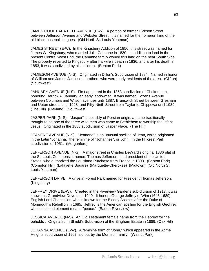JAMES COOL PAPA BELL AVENUE (E-W). A portion of former Dickson Street between Jefferson Avenue and Webster Street, it is named for the homerun king of the old black baseball leagues. (Old North St. Louis-Yeatman)

JAMES STREET (E-W). In the Kingsbury Addition of 1856, this street was named for James W. Kingsbury, who married Julia Cabanne in 1830. In addition to land in the present Central West End, the Cabanne family owned this land on the near South Side. The property reverted to Kingsbury after his wife's death in 1836, and after his death in 1853, it was subdivided by his children. (Benton Park)

JAMIESON AVENUE (N-S). Originated in Dillon's Subdivision of 1884. Named in honor of William and James Jamieson, brothers who were early residents of the area. (Clifton) (Southwest)

JANUARY AVENUE (N-S). First appeared in the 1853 subdivision of Cheltenham, honoring Derrick A. January, an early landowner. It was named Cozens Avenue between Columbia and Wilson avenues until 1887; Brunswick Street between Gresham and Upton streets until 1928; and Fifty-Ninth Street from Taylor to Chippewa until 1939. (The Hill) (Oakland) (Southwest)

JASPER PARK (N-S). "Jasper" is possibly of Persian origin, a name traditionally thought to be one of the three wise men who came to Bethlehem to worship the infant Jesus. Originated in the 1888 subdivision of Jasper Place. (The Hill)

JEANENE AVENUE (N-S). "Jeanene" is an unusual spelling of Jean, which originated in the Latin "Johanna," the feminine of "Johannes", or John. In the Hillcrest Park subdivision of 1951. (Morganford)

JEFFERSON AVENUE (N-S). A major street in Charles DeWard's original 1836 plat of the St. Louis Commons, it honors Thomas Jefferson, third president of the United States, who authorized the Louisiana Purchase from France in 1803. (Benton Park) (Compton Hill) (Lafayette Square) (Marquette-Cherokee) (Midtown) (Old North St. Louis-Yeatman)

JEFFERSON DRIVE. A drive in Forest Park named for President Thomas Jefferson. (Kingsbury)

JEFFREY DRIVE (E-W). Created in the Riverview Gardens sub-division of 1917, it was known as Grandview Drive until 1940. It honors George Jeffrey of Wim (1648-1689), English Lord Chancellor, who is known for the Bloody Assizes after the Duke of Monmouth's Rebellion in 1685. Jeffrey is the American spelling for the English Geoffrey, whose second element means "peace." (Baden-Riverview)

JESSICA AVENUE (N-S). An Old Testament female name from the Hebrew for "he beholds". Originated in Shield's Subdivision of the Bingham Estate in 1889. (Oak Hill)

JOHANNA AVENUE (E-W). A feminine form of "John," which appeared in the Acme Heights subdivision of 1907 laid out by the Morrison family. (Walnut Park)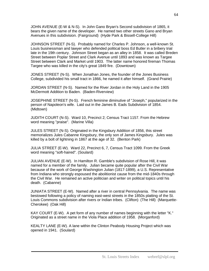JOHN AVENUE (E-W & N-S). In John Gano Bryan's Second subdivision of 1865, it bears the given name of the developer. He named two other streets Gano and Bryan Avenues in this subdivision. (Fairground) (Hyde Park & Bissell-College Hill)

JOHNSON STREET (N-S). Probably named for Charles P. Johnson, a well-known St. Louis businessman and lawyer who defended political boss Ed Butler in a bribery trial late in the 19th century. Johnson Street began as an alley in 1858. It was called Breden Street between Poplar Street and Clark Avenue until 1893 and was known as Targee Street between Clark and Market until 1903. The latter name honored fireman Thomas Targee who was killed in the city's great 1849 fire. (Downtown)

JONES STREET (N-S). When Jonathan Jones, the founder of the Jones Business College, subdivided his small tract in 1866, he named it after himself. (Grand Prairie)

JORDAN STREET (N-S). Named for the River Jordan in the Holy Land in the 1905 McDermott Addition to Baden. (Baden-Riverview)

JOSEPHINE STREET (N-S). French feminine diminutive of "Joseph," popularized in the person of Napoleon's wife. Laid out in the James B. Eads Subdivision of 1854. (Midtown)

JUDITH COURT (N-S). Ward 10, Precinct 2; Census Tract 1157. From the Hebrew word meaning "praise". (Marine Villa)

JULES STREET (N-S). Originated in the Kingsbury Addition of 1856, this street memorializes Jules Cabanne Kingsbury, the only son of James Kingsbury. Jules was killed by a bolt of lightning in 1867 at the age of 32. (Benton Park)

JULIA STREET (E-W). Ward 22, Precinct 6, 7, Census Tract 1099. From the Greek word meaning "soft-haired". (Soulard)

JULIAN AVENUE (E-W). In Hamilton R. Gamble's subdivision of Rose Hill, it was named for a member of the family. Julian became quite popular after the Civil War because of the work of George Washington Julian (1817-1899), a U.S. Representative from Indiana who strongly espoused the abolitionist cause from the mid-1840s through the Civil War. He remained an active politician and writer on political topics until his death. (Cabanne)

JUNIATA STREET (E-W). Named after a river in central Pennsylvania. The name was bestowed following a policy of naming east-west streets in the 1850s platting of the St. Louis Commons subdivision after rivers or Indian tribes. (Clifton) (The Hill) (Marquette-Cherokee) (Oak Hill)

KAY COURT (E-W). A pet form of any number of names beginning with the letter "K." Originated as a street name in the Viola Place addition of 1958. (Morganford)

KEALTY LANE (E-W). A lane within the Clinton Peabody Housing Project which was opened in 1941. (Soulard)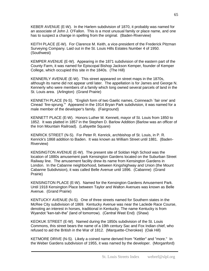KEBER AVENUE (E-W). In the Harlem subdivision of 1870, it probably was named for an associate of John J. O'Fallon. This is a most unusual family or place name, and one has to suspect a change in spelling from the original. (Baden-Riverview)

KEITH PLACE (E-W). For Clarence M. Keith, a vice-president of the Frederick Pitzman Surveying Company. Laid out in the St. Louis Hills Estates Number 4 of 1950. (Southwest)

KEMPER AVENUE (E-W). Appearing in the 1871 subdivision of the eastern part of the County Farm, it was named for Episcopal Bishop Jackson Kemper, founder of Kemper College, which occupied this site in the 1840s. (The Hill)

KENNERLY AVENUE (E-W). This street appeared on street maps in the 1870s, although its name did not appear until later. The appellation is for James and George N. Kennerly who were members of a family which long owned several parcels of land in the St. Louis area. (Arlington) (Grand Prairie)

KENNETH PLACE (N-S). "English form of two Gaelic names, Coinneach `fair one' and Cinead `fire-sprung.'" Appeared in the 1914 Bryan Park subdivision, it was named for a male member of the developer's family. (Fairground)

KENNETT PLACE (E-W). Honors Luther M. Kennett, mayor of St. Louis from 1850 to 1852. It was platted in 1857 in the Stephen D. Barlow Addition (Barlow was an officer of the Iron Mountain Railroad). (Lafayette Square)

KENRICK STREET (N-S). For Peter R. Kenrick, archbishop of St. Louis, in P. R. Kenrick's 1868 addition to Baden. It was known as William Street until 1881. (Baden-Riverview)

KENSINGTON AVENUE (E-W). The present site of Soldan High School was the location of 1880s amusement park Kensington Gardens located on the Suburban Street Railway line. The amusement facility drew its name from Kensington Gardens in London. In the Cabanne neighborhood, between Kingshighway and Union (the Mount Cabanne Subdivision), it was called Belle Avenue until 1896. (Cabanne) (Grand Prairie)

KENSINGTON PLACE (E-W). Named for the Kensington Gardens Amusement Park. Until 1918 Kensington Place between Taylor and Walton Avenues was known as Belle Avenue. (Grand Prairie)

KENTUCKY AVENUE (N-S). One of three streets named for Southern states in the McRee City subdivision of 1869. Kentucky Avenue was near the Laclede Race Course, denoting an interest in horses, traditional in Kentucky. The name Kentucky is from Wyandot "ken-tah-the" (land of tomorrow). (Central West End) (Shaw)

KEOKUK STREET (E-W). Named during the 1850s subdivision of the St. Louis Commons, this street bears the name of a 19th century Sac and Fox Indian chief, who refused to aid the British in the War of 1812. (Marquette-Cherokee) (Oak Hill)

KETMORE DRIVE (N-S). Likely a coined name derived from "Kettler" and "more." In the Weber Gardens subdivision of 1955, it was named by the developer. (Morganford)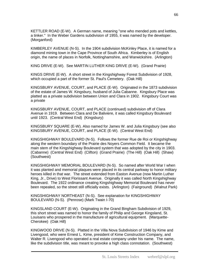KETTLER ROAD (E-W). A German name, meaning "one who mended pots and kettles, a tinker." In the Weber Gardens subdivision of 1955, it was named by the developer. (Morganford)

KIMBERLEY AVENUE (N-S). In the 1904 subdivision McKinley Place, it is named for a diamond mining town in the Cape Province of South Africa. Kimberley is of English origin, the name of places in Norfolk, Nottinghamshire, and Warwickshire. (Arlington)

KING DRIVE (E-W). See MARTIN LUTHER KING DRIVE (E-W). (Grand Prairie)

KINGS DRIVE (E-W). A short street in the Kingshighway Forest Subdivision of 1928, which occupied a part of the former St. Paul's Cemetery. (Oak Hill)

KINGSBURY AVENUE, COURT, and PLACE (E-W). Originated in the 1873 subdivision of the estate of James W. Kingsbury, husband of Julia Cabanne. Kingsbury Place was platted as a private subdivision between Union and Clara in 1902. Kingsbury Court was a private

KINGSBURY AVENUE, COURT, and PLACE (continued) subdivision off of Clara Avenue in 1919. Between Clara and De Baliviere, it was called Kingsbury Boulevard until 1923. (Central West End) (Kingsbury)

KINGSBURY SQUARE (E-W). Also named for James W. and Julia Kingsbury (see also KINGSBURY AVENUE, COURT, and PLACE (E-W). (Central West End)

KINGSHIGHWAY BOULEVARD (N-S). Follows the former Rue de Roi or Kingshighway along the western boundary of the Prairie des Noyers Common Field. It became the main stem of the Kingshighway Boulevard system that was adopted by the city in 1903. (Cabanne) (Central West End) (Clifton) (Grand Prairie) (The Hill) (Oak Hill) (Shaw) (Southwest)

KINGSHIGHWAY MEMORIAL BOULEVARD (N-S). So named after World War I when it was planted and memorial plaques were placed in its central parkway to honor military heroes killed in that war. The street extended from Easton Avenue (now Martin Luther King, Jr., Drive) to West Florissant Avenue. Originally it was called North Kingshighway Boulevard. The 1922 ordinance creating Kingshighway Memorial Boulevard has never been repealed, so the street still officially exists. (Arlington) (Fairground) (Walnut Park)

KINGSHIGHWAY NORTHEAST (N-S). See explanation for KINGSHIGHWAY BOULEVARD (N-S). (Penrose) (Mark Twain I-70)

KINGSLAND COURT (E-W). Originating in the Grand Bingham Subdivision of 1929, this short street was named to honor the family of Philip and George Kingsland, St. Louisans who prospered in the manufacture of agricultural equipment. (Marquette-Cherokee) (Oak Hill)

KINGWOOD DRIVE (N-S). Platted in the Villa Nova Subdivision of 1946 by Kime and Livengood, who were Ernest L. Kime, president of Kime Construction Company, and Walter R. Livengood who operated a real estate company under his name. The name, like the subdivision title, was meant to provoke a high class connotation. (Southwest)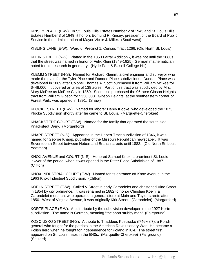KINSEY PLACE (E-W). In St. Louis Hills Estates Number 2 of 1945 and St. Louis Hills Estates Number 3 of 1949, it honors Edmund R. Kinsey, president of the Board of Public Service in the administration of Mayor Victor J. Miller. (Southwest)

KISLING LANE (E-W). Ward 6, Precinct 1, Census Tract 1266. (Old North St. Louis)

KLEIN STREET (N-S). Platted in the 1850 Farrar Addition¬, it was not until the 1880s that the street was named in honor of Felix Klein (1849-1925), German mathematician noted for his research in geometry. (Hyde Park & Bissell-College Hill)

KLEMM STREET (N-S). Named for Richard Klemm, a civil engineer and surveyor who made the plats for the Tyler Place and Dundee Place subdivisions. Dundee Place was developed in 1889 after Colonel Thomas A. Scott purchased it from William McRee for \$448,000. It covered an area of 138 acres. Part of this tract was subdivided by Mrs. Mary McRee as McRee City in 1869. Scott also purchased the 96-acre Gibson Heights tract from William Gibson for \$330,000. Gibson Heights, at the southeastern corner of Forest Park, was opened in 1891. (Shaw)

KLOCKE STREET (E-W). Named for laborer Henry Klocke, who developed the 1873 Klocke Subdivision shortly after he came to St. Louis. (Marquette-Cherokee)

KNACKSTEDT COURT (E-W). Named for the family that operated the south side Knackstedt Dairy. (Morganford)

KNAPP STREET (N-S). Appearing in the Hebert Tract subdivision of 1846, it was named for George Knapp, publisher of the Missouri Republican newspaper. It was Seventeenth Street between Hebert and Branch streets until 1883. (Old North St. Louis-Yeatman)

KNOX AVENUE and COURT (N-S). Honored Samuel Knox, a prominent St. Louis lawyer of the period, when it was opened in the Ritter Place Subdivision of 1887. (Clifton)

KNOX INDUSTRIAL COURT (E-W). Named for its entrance off Knox Avenue in the 1963 Knox Industrial Subdivision. (Clifton)

KOELN STREET (E-W). Called V Street in early Carondelet and christened Vine Street in 1854 by city ordinance. It was renamed in 1882 to honor Christian Koeln, a Carondelet merchant who operated a general store at Main and Taylor streets after 1850. West of Virginia Avenue, it was originally Kirk Street. (Carondelet) (Morganford)

KORTE PLACE (E-W). A self-tribute by the subdivision developer in the 1927 Korte subdivision. The name is German, meaning "the short stubby man". (Fairground)

KOSCIUSKO STREET (N-S). A tribute to Thaddeus Kosciusko (l746¬l8l7), a Polish general who fought for the patriots in the American Revolutionary War. He became a Polish hero when he fought for independence for Poland in l8l4. The street first appeared on St. Louis maps in the l840s. (Marquette-Cherokee) (Fairground) (Soulard)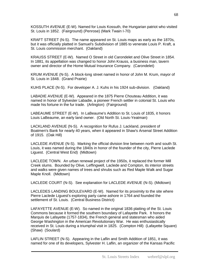KOSSUTH AVENUE (E-W). Named for Louis Kossuth, the Hungarian patriot who visited St. Louis in 1852. (Fairground) (Penrose) (Mark Twain I-70)

KRAFT STREET (N-S). The name appeared on St. Louis maps as early as the 1870s, but it was officially platted in Samuel's Subdivision of 1885 to venerate Louis P. Kraft, a St. Louis commission merchant. (Oakland)

KRAUSS STREET (E-W). Named O Street in old Carondelet and Olive Street in 1854. In 1881, its appellation was changed to honor John Krauss, a business man, tavern owner and director of the Home Mutual Insurance Company. (Carondelet)

KRUM AVENUE (N-S). A block-long street named in honor of John M. Krum, mayor of St. Louis in 1848. (Grand Prairie)

KUHS PLACE (N-S). For developer A. J. Kuhs in his 1924 sub-division. (Oakland)

LABADIE AVENUE (E-W). Appeared in the 1875 Pierre Chouteau Addition, it was named in honor of Sylvester Labadie, a pioneer French settler in colonial St. Louis who made his fortune in the fur trade. (Arlington) (Fairground)

LABEAUME STREET (E-W). In LaBeaume's Addition to St. Louis of 1835, it honors Louis LaBeaume, an early land owner. (Old North St. Louis-Yeatman)

LACKLAND AVENUE (N-S). A recognition for Rufus J. Lackland, president of Boatmen's Bank for nearly 40 years, when it appeared in Shaw's Arsenal Street Addition of 1915. (Oak Hill)

LACLEDE AVENUE (N-S). Marking the official division line between north and south St. Louis, it was named during the 1840s in honor of the founder of the city, Pierre Laclede Liguest. (Central West End) (Midtown)

LACLEDE TOWN. An urban renewal project of the 1950s, it replaced the former Mill Creek slums. Bounded by Olive, Leffingwell, Laclede and Compton, its interior streets and walks were given names of trees and shrubs such as Red Maple Walk and Sugar Maple Knoll. (Midtown)

LACLEDE COURT (N-S). See explanation for LACLEDE AVENUE (N-S). (Midtown)

LACLEDES LANDING BOULEVARD (E-W). Named for its proximity to the site where Pierre Laclede Liguest's exploring party came ashore in 1764 and founded the settlement of St. Louis. (Central Business District)

LAFAYETTE AVENUE (E-W). So named in the original 1836 platting of the St. Louis Commons because it formed the southern boundary of Lafayette Park. It honors the Marquis de Lafayette (1757-1834), the French general and statesman who aided George Washington in the American Revolutionary War. He was enthusiastically received in St. Louis during a triumphal visit in 1825. (Compton Hill) (Lafayette Square) (Shaw) (Soulard)

LAFLIN STREET (N-S). Appearing in the Laflin and Smith Addition of 1851, it was named for one of its developers, Sylvester H. Laflin, an organizer of the Kansas Pacific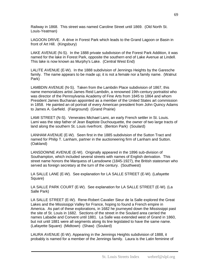Railway in 1868. This street was named Caroline Street until 1869. (Old North St. Louis-Yeatman)

LAGOON DRIVE. A drive in Forest Park which leads to the Grand Lagoon or Basin in front of Art Hill. (Kingsbury)

LAKE AVENUE (N-S). In the 1888 private subdivision of the Forest Park Addition, it was named for the lake in Forest Park, opposite the southern end of Lake Avenue at Lindell. This lake is now known as Murphy's Lake. (Central West End)

LALITE AVENUE (E-W). In the 1888 subdivision of Jennings Heights by the Garesche family. The name appears to be made up; it is not a female nor a family name. (Walnut Park)

LAMBDIN AVENUE (N-S). Taken from the Lambdin Place subdivision of 1867, this name memorializes artist James Reid Lambdin, a renowned 19th-century portraitist who was director of the Pennsylvania Academy of Fine Arts from 1845 to 1864 and whom President James Buchanan appointed as a member of the United States art commission in 1858. He painted an oil portrait of every American president from John Quincy Adams to James A. Garfield. (Fairground) (Grand Prairie)

LAMI STREET (N-S). Venerates Michael Lami, an early French settler in St. Louis. Lami was the step father of Jean Baptiste Duchouquette, the owner of two large tracts of land along the southern St. Louis riverfront. (Benton Park) (Soulard)

LANHAM AVENUE (E-W). Seen first in the 1885 subdivision of the Sutton Tract and named for Philip T. Lanham, partner in the auctioneering firm of Lanham and Sutton. (Oakland)

LANSDOWNE AVENUE (E-W). Originally appeared in the 1896 sub-division of Southampton, which included several streets with names of English derivation. This street name honors the Marquess of Lansdowne (1845-1927), the British statesman who served as foreign secretary at the turn of the century. (Southwest)

LA SALLE LANE (E-W). See explanation for LA SALLE STREET (E-W). (Lafayette Square)

LA SALLE PARK COURT (E-W). See explanation for LA SALLE STREET (E-W). (La Salle Park)

LA SALLE STREET (E-W). Rene-Robert Cavalier Sieur de la Salle explored the Great Lakes and the Mississippi Valley for France, hoping to found a French empire in America. As part of these explorations, in 1682 he journeyed down the Mississippi past the site of St. Louis in 1682. Sections of the street in the Soulard area carried the names Labadie and Convent until 1881. La Salle was extended west of Grand in 1860, but not until 1881 were all segments along its line legislated to have the same name. (Lafayette Square) (Midtown) (Shaw) (Soulard)

LAURA AVENUE (E-W). Appearing in the Jennings Heights subdivision of 1888, it probably is named for a member of the Jennings family. Laura is the Latin feminine of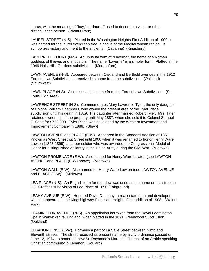laurus, with the meaning of "bay," or "laurel," used to decorate a victor or other distinguished person. (Walnut Park)

LAUREL STREET (N-S). Platted in the Washington Heights First Addition of 1909, it was named for the laurel evergreen tree, a native of the Mediterranean region. It symbolizes victory and merit to the ancients. (Cabanne) (Kingsbury)

LAVERNELL COURT (N-S). An unusual form of "Laverna", the name of a Roman goddess of thieves and impostors. The name "Laverne" is a simpler form. Platted in the 1949 Holly Hills Gardens subdivision. (Morganford)

LAWN AVENUE (N-S). Appeared between Oakland and Berthold avenues in the 1912 Forest Lawn Subdivision, it received its name from the subdivision. (Oakland) (Southwest)

LAWN PLACE (N-S). Also received its name from the Forest Lawn Subdivision. (St. Louis High Area)

LAWRENCE STREET (N-S). Commemorates Mary Lawrence Tyler, the only daughter of Colonel William Chambers, who owned the present area of the Tyler Place subdivision until his death in 1819. His daughter later married Robert Tyler. Mrs. Tyler retained ownership of the property until May 1887, when she sold it to Colonel Samuel F. Scott for \$750,000. Tyler Place was developed by the Western Investment and Improvement Company in 1888. (Shaw)

LAWTON AVENUE and PLACE (E-W). Appeared in the Stoddard Addition of 1851. Known as West Chestnut Street until 1900 when it was renamed to honor Henry Ware Lawton (1843-1899), a career soldier who was awarded the Congressional Medal of Honor for distinguished gallantry in the Union Army during the Civil War. (Midtown)

LAWTON PROMENADE (E-W). Also named for Henry Ware Lawton (see LAWTON AVENUE and PLACE (E-W) above). (Midtown)

LAWTON WALK (E-W). Also named for Henry Ware Lawton (see LAWTON AVENUE and PLACE (E-W)). (Midtown)

LEA PLACE (N-S). An English term for meadow was used as the name or this street in J.E. Greffet's subdivision of Lea Place of 1890 (Fairground)

LEAHY AVENUE (E-W). Honored David D. Leahy, a real estate man and developer, when it appeared in the Kingshighway-Florissant Heights First addition of 1908. (Walnut Park)

LEAMINGTON AVENUE (N-S). An appellation borrowed from the Royal Leamington Spa in Warwickshire, England, when platted in the 1891 Greenwood Subdivision. (Oakland)

LEBANON DRIVE (E-W). Formerly a part of La Salle Street between Ninth and Eleventh streets. The street received its present name by a city ordinance passed on June 12, 1974, to honor the new St. Raymond's Maronite Church, of an Arabic-speaking Christian community in Lebanon. (Soulard)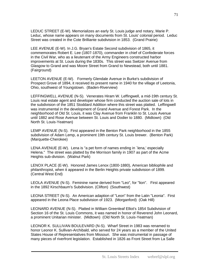LEDUC STREET (E-W). Memorializes an early St. Louis judge and notary, Marie P. Leduc, whose name appears on many documents from St. Louis' colonial period. Leduc Street was created in the Cote Brilliante subdivision in 1853. (Grand Prairie)

LEE AVENUE (E-W). In J.G. Bryan's Estate Second subdivision of 1865, it commemorates Robert E. Lee (1807-1870), commander in chief of Confederate forces in the Civil War, who as a lieutenant of the Army Engineers constructed harbor improvements at St. Louis during the 1830s. This street was Switzer Avenue from Glasgow to Grand and was Moore Street from Grand to Newstead, both until 1881. (Fairground)

LEETON AVENUE (E-W). Formerly Glendale Avenue in Burke's subdivision of Prospect Grove of 1894, it received its present name in 1940 for the village of Leetonia, Ohio, southwest of Youngstown. (Baden-Riverview)

LEFFINGWELL AVENUE (N-S). Venerates Hiram W. Leffingwell, a mid-19th century St. Louis real estate agent and developer whose firm conducted the auction sale of lots in the subdivision of the 1851 Stoddard Addition where this street was platted. Leffingwell was instrumental in the development of Grand Avenue and Forest Park. In the neighborhood of Old St. Louis, it was Clay Avenue from Franklin to St. Louis Avenue until 1882 and Rose Avenue between St. Louis and Dodier to 1880. (Midtown) (Old North St. Louis-Yeatman)

LEMP AVENUE (N-S). First appeared in the Benton Park neighborhood in the 1855 subdivision of Adam Lemp, a prominent 19th century St. Louis brewer. (Benton Park) (Marquette-Cherokee)

LENA AVENUE (E-W). Lena is "a pet form of names ending in `lena,' especially Helena." The street was platted by the Morrison family in 1907 as part of the Acme Heights sub-division. (Walnut Park)

LENOX PLACE (E-W). Honored James Lenox (1800-1880), American bibliophile and philanthropist, when it appeared in the Berlin Heights private subdivision of 1899. (Central West End)

LEOLA AVENUE (N-S). Feminine name derived from "Leo", for "lion". First appeared in the 1892 Kirschbaum's Subdivision. (Clifton) (Southwest)

LEONA STREET (N-S). An American adaption of "Leon" from the Latin "Leonia". First appeared in the Leona Place subdivision of 1923. (Morganford) (Oak Hill)

LEONARD AVENUE (N-S). Platted in William Greenleaf Elliot's 1854 Subdivision of Section 16 of the St. Louis Commons, it was named in honor of Reverend John Leonard, a prominent Unitarian minister. (Midtown) (Old North St. Louis-Yeatman)

LEONOR K. SULLIVAN BOULEVARD (N-S). Wharf Street in 1983 was renamed to honor Leonor K. Sullivan-Archibald, who served for 24 years as a member of the United States House of Representatives from Missouri. She was instrumental in passage of many pieces of riverfront legislation. Established in 1826 as Front Street from La Salle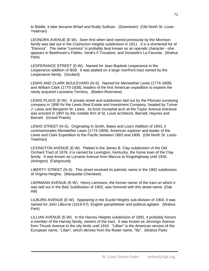to Biddle, it later became Wharf and finally Sullivan. (Downtown) (Old North St. Louis-Yeatman)

LEONORA AVENUE (E-W). Seen first when land owned previously by the Morrison family was laid out in the Coshocton Heights subdivision in 1911. It is a shortened for of "Elenora". The name "Leonora" is probably best known as an operatic character --she appears in Beethoven's Fidelio, Verdi's Il Trovatore, and Donizetti's La Favorita. (Walnut Park)

LESPERANCE STREET (E-W). Named for Jean Baptiste Lesperance in the Lesperance addition of l839. It was platted on a large riverfront tract owned by the Lesperance family. (Soulard)

LEWIS AND CLARK BOULEVARD (N-S). Named for Meriwether Lewis (1774-1809) and William Clark (1770-1838), leaders of the first American expedition to explore the newly acquired Louisiana Territory. (Baden-Riverview)

LEWIS PLACE (E-W). A private street and subdivision laid out by the Pitzman surveying company in 1890 for the Lewis Real Estate and Investment Company, headed by Turner J. Lewis and Benjamin W. Lewis. Its brick triumphal arch at the Taylor Avenue entrance was erected in 1897 by the notable firm of St. Louis architects, Barnett, Haynes and Barnett. (Grand Prairie)

LEWIS STREET (N-S). Originating In Smith, Bates and Lisa's Addition of 1843, it commemorates Meriwether Lewis (1774-1809), American explorer and leader of the Lewis and Clark Expedition to the Pacific between 1803 and 1806. (Old North St. Louis-Yeatman)

LEXINGTON AVENUE (E-W). Platted in the James B. Clay subdivision of the Old Orchard Tract of 1876, it is named for Lexington, Kentucky, the home town of the Clay family. It was known as Lorraine Avenue from Marcus to Kingshighway until 1926. (Arlington) (Fairground)

LIBERTY STREET (N-S). This street received its patriotic name in the 1902 subdivision of Virginia Heights. (Marquette-Cherokee)

LIERMANN AVENUE (E-W). Henry Liermann, the former owner of the tract on which it was laid out in the Belz Subdivision of 1902, was honored with this street name. (Oak Hill)

LILBURN AVENUE (E-W). Appearing in the Euclid Heights sub-division of 1904, it was named for John Lilburne (1619-57), English pamphleteer and political agitator. (Walnut Park)

LILLIAN AVENUE (E-W). In the Harney Heights subdivision of 1891, it probably honors a member of the Harney family, owners of the tract. It was known as Jennings Avenue from Thrush Avenue to the city limits until 1916. "Lillian" is the American version of the European name, "Lilian", which derives from the flower name, "lily". (Walnut Park)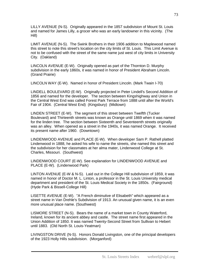LILLY AVENUE (N-S). Originally appeared in the 1857 subdivision of Mount St. Louis and named for James Lilly, a grocer who was an early landowner in this vicinity. (The Hill)

LIMIT AVENUE (N-S). The Swink Brothers in their 1906 addition to Maplewood named this street to note this street's location on the city limits of St. Louis. This Limit Avenue is not to be confused with the street of the same name just west of city limits in University City. (Oakland)

LINCOLN AVENUE (E-W). Originally opened as part of the Thornton D. Murphy subdivision in the early 1860s, it was named in honor of President Abraham Lincoln. (Grand Prairie)

LINCOLN WAY (E-W). Named in honor of President Lincoln. (Mark Twain I-70)

LINDELL BOULEVARD (E-W). Originally projected in Peter Lindell's Second Addition of 1856 and named for the developer. The section between Kingshighway and Union in the Central West End was called Forest Park Terrace from 1888 until after the World's Fair of 1904. (Central West End) (Kingsbury) (Midtown)

LINDEN STREET (E-W). The segment of this street between Twelfth (Tucker Boulevard) and Thirteenth streets was known as Orange until 1869 when it was named for the linden tree. The section between Sixteenth and Seventeenth streets originally was an alley. When opened as a street in the 1940s, it was named Orange. It received its present name after 1960. (Downtown)

LINDENWOOD AVENUE and PLACE (E-W). When developer Sam P. Rathell platted Lindenwood in 1888, he asked his wife to name the streets, she named this street and the subdivision for her classmates at her alma mater, Lindenwood College at St. Charles, Missouri. (Southwest)

LINDENWOOD COURT (E-W). See explanation for LINDENWOOD AVENUE and PLACE (E-W). (Lindenwood Park)

LINTON AVENUE (E-W & N-S). Laid out in the College Hill subdivision of 1859, it was named in honor of Doctor M. L. Linton, a professor in the St. Louis University medical department and president of the St. Louis Medical Society in the 1850s. (Fairground) (Hyde Park & Bissell-College Hill)

LISETTE AVENUE (E-W). "A French diminutive of Elisabeth" which appeared as a street name in Van Drehle's Subdivision of 1913. An unusual given name, it is an even more unusual place name. (Southwest)

LISMORE STREET (N-S). Bears the name of a market town in County Waterford, Ireland, known for its ancient abbey and castle. The street name first appeared in the Union Addition of 1850. It was named Twenty-Second Street from Sullivan to Hebert until 1883. (Old North St. Louis-Yeatman)

LIVINGSTON DRIVE (N-S). Honors Donald Livingston, one of the principal developers of the 1923 Holly Hills subdivision. (Morganford)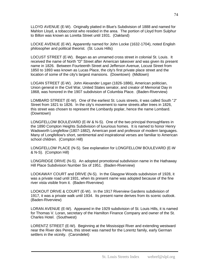LLOYD AVENUE (E-W). Originally platted in Blue's Subdivision of 1888 and named for Mahlon Lloyd, a tobacconist who resided in the area. The portion of Lloyd from Sulphur to Billon was known as Loretta Street until 1931. (Oakland)

LOCKE AVENUE (E-W). Apparently named for John Locke (1632-1704), noted English philosopher and political theorist. (St. Louis Hills)

LOCUST STREET (E-W). Began as an unnamed cross street in colonial St. Louis. It received the name of North "D" Street after American takeover and was given its present name in 1826. Between Fourteenth Street and Jefferson Avenue, Locust Street from 1850 to 1893 was known as Lucas Place, the city's first private place street and the location of some of the city's largest mansions. (Downtown) (Midtown)

LOGAN STREET (E-W). John Alexander Logan (1826-1886), American politician, Union general in the Civil War, United States senator, and creator of Memorial Day in 1868, was honored in the 1907 subdivision of Columbia Place. (Baden-Riverview)

LOMBARD STREET (E-W). One of the earliest St. Louis streets, it was called South "J" Street from 1821 to 1826. In the city's movement to name streets after trees in 1826, this street was chosen to represent the Lombardy poplar, hence the name Lombard. (Downtown)

LONGFELLOW BOULEVARD (E-W & N-S). One of the two principal thoroughfares in the 1890 Compton Heights Subdivision of luxurious homes. It is named to honor Henry Wadsworth Longfellow (1807-1882), American poet and professor of modern languages. Many of Longfellow's short, sentimental and inspirational verses are familiar to American school children. (Compton Hill)

LONGFELLOW PLACE (N-S). See explanation for LONGFELLOW BOULEVARD (E-W & N-S). (Compton Hill)

LONGRIDGE DRIVE (N-S). An adopted promotional subdivision name in the Hathaway Hill Place Subdivision Number Six of 1951. (Baden-Riverview)

LOOKAWAY COURT and DRIVE (N-S). In the Glasgow Woods subdivision of 1928, it was a private road until 1931, when its present name was adopted because of the fine river vista visible from it. (Baden-Riverview)

LOOKOUT DRIVE & COURT (E-W). In the 1917 Riverview Gardens subdivision of 1917, it was a private walk until 1934. Its present name derives from its scenic outlook. (Baden-Riverview)

LORAN AVENUE (E-W). Appeared in the 1929 subdivision of St. Louis Hills, it is named for Thomas V. Loran, secretary of the Hamilton Finance Company and owner of the St. Charles Hotel. (Southwest)

LORENTZ STREET (E-W). Beginning at the Mississippi River and extending westward near the River des Peres, this street was named for the Lorentz family, early German settlers in the vicinity. (Carondelet)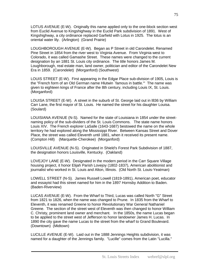LOTUS AVENUE (E-W). Originally this name applied only to the one-block section west from Euclid Avenue to Kingshighway in the Euclid Park subdivision of 1891. West of Kingshighway, a city ordinance replaced Garfield with Lotus in 1925. The lotus is an oriental water lily. (Arlington) (Grand Prairie)

LOUGHBOROUGH AVENUE (E-W). Began as P Street in old Carondelet. Renamed Pine Street in 1854 from the river west to Virginia Avenue. From Virginia west to Colorado, it was called Gamashe Street. These names were changed to the current designation by an 1881 St. Louis city ordinance. The title honors James M. Loughborough, real estate man, land owner, politician and editor of the Carondelet New Era in 1859. (Carondelet) (Morganford) (Southwest)

LOUIS STREET (E-W). First appearing in the Edgar Place sub-division of 1905, Louis is the "French form of an Old German name Hlutwin `famous in battle.'" The name was given to eighteen kings of France after the 8th century, including Louis IX, St. Louis. (Morganford)

LOUISA STREET (E-W). A street in the suburb of St. George laid out in l836 by William Carr Lane, the first mayor of St. Louis. He named the street for his daughter Louisa. (Soulard)

LOUISIANA AVENUE (N-S). Named for the state of Louisiana in 1854 under the streetnaming policy of the sub-dividers of the St. Louis Commons. The state name honors Louis XIV. The French explorer LaSalle (1643-1687) bestowed the name on the whole territory he had explored along the Mississippi River. Between Kansas Street and Dover Place, the street was called Eleventh until 1881, when it received its present name. (Compton Hill) (Marquette-Cherokee) (Morganford)

LOUISVILLE AVENUE (N-S). Originated in Shield's Forest Park Subdivision of 1887, the designation honors Louisville, Kentucky. (Oakland)

LOVEJOY LANE (E-W). Designated in the modern period in the Carr Square Village housing project, it honor Elijah Parish Lovejoy (1802-1837), American abolitionist and journalist who worked in St. Louis and Alton, Illinois. (Old North St. Louis-Yeatman)

LOWELL STREET (N-S). James Russell Lowell (1819-1891), American poet, educator and essayist had this street named for him in the 1897 Hornsby Addition to Baden. (Baden-Riverview)

LUCAS AVENUE (E-W). From the Wharf to Third, Lucas was called North "G" Street from 1821 to 1826, when the name was changed to Prune. In 1835 from the Wharf to Eleventh, it was renamed Greene to honor Revolutionary War General Nathaniel Greene. The section of the street west of Eleventh was then changed to honor William C. Christy, prominent land owner and merchant. In the 1850s, the name Lucas began to be applied to the street west of Jefferson to honor landowner James H. Lucas. In 1890 the city gave the name Lucas to the street from the wharf to Grand Boulevard. (Downtown) (Midtown)

LUCILLE AVENUE (E-W). Laid out in the 1888 Jennings Heights subdivision, it was named for a daughter of the Jennings family. "Lucille" comes from the Latin "Lucilla."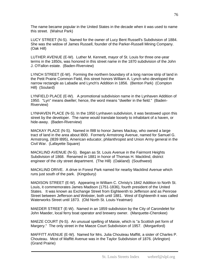The name became popular in the United States in the decade when it was used to name this street. (Walnut Park)

LUCY STREET (N-S). Named for the owner of Lucy Bent Russell's Subdivision of 1884. She was the widow of James Russell, founder of the Parker-Russell Mining Company. (Oak Hill)

LUTHER AVENUE (E-W). Luther M. Kennett, mayor of St. Louis for three one-year terms in the 1850s, was honored in this street name in the 1870 subdivision of the John J. O'Fallon estate. (Baden-Riverview)

LYNCH STREET (E-W). Forming the northern boundary of a long narrow strip of land in the Petit Prairie Common Field, this street honors William A. Lynch who developed the narrow rectangle as Labadie and Lynch's Addition in 1856. (Benton Park) (Compton Hill) (Soulard)

LYNFIELD PLACE (E-W). A promotional subdivision name in the Lynhaven Addition of 1950. "Lyn" means dweller; hence, the word means "dweller in the field." (Baden-Riverview)

LYNHAVEN PLACE (N-S). In the 1950 Lynhaven subdivision, it was bestowed upon this street by the developer. The name would translate loosely to inhabitant of a haven, or hide-away. (Baden-Riverview)

MACKAY PLACE (N-S). Named in l98l to honor James Mackay, who owned a large tract of land in the area about l800. Formerly Armstrong Avenue, named for Samuel G. Armstrong, (l839 l895), American educator, philanthropist and Union Army general in the Civil War. (Lafayette Square)

MACKLIND AVENUE (N-S). Began as St. Louis Avenue in the Fairmont Heights Subdivision of 1868. Renamed in 1881 in honor of Thomas H. Macklind, district engineer of the city street department. (The Hill) (Oakland) (Southwest)

MACKLIND DRIVE. A drive in Forest Park named for nearby Macklind Avenue which runs just south of the park. (Kingsbury)

MADISON STREET (E-W). Appearing in William C. Christy's 1842 Addition to North St. Louis, it commemorates James Madison (1751-1836), fourth president of the United States. It was known as Exchange Street from Eighteenth to Jefferson and as Penrose Street between Jefferson and Webster, both until 1881. West of Eighteenth it was called Waterworks Street until 1873. (Old North St. Louis-Yeatman)

MAEDER STREET (E-W). Named in an 1859 subdivision by the City of Carondelet for John Maeder, local ferry boat operator and brewery owner. (Marquette-Cherokee)

MAEZE COURT (N-S). An unusual spelling of Maisie, which is "a Scottish pet form of Margery." The only street in the Maeze Court Subdivision of 1957. (Morganford)

MAFFITT AVENUE (E-W). Named for Mrs. Julia Chouteau Maffitt, a sister of Charles P. Chouteau. Most of Maffitt Avenue was in the Taylor Subdivision of 1876. (Arlington) (Grand Prairie)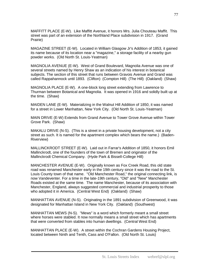MAFFITT PLACE (E-W). Like Maffitt Avenue, it honors Mrs. Julia Chouteau Maffit. This street was part of an extension of the Northland Place subdivision in 1917. (Grand Prairie)

MAGAZINE STREET (E-W). Located in William Glasgow Jr's Addition of 1853, it gained its name because of its location near a "magazine," a storage facility of a nearby gun powder works. (Old North St. Louis-Yeatman)

MAGNOLIA AVENUE (E-W). West of Grand Boulevard, Magnolia Avenue was one of several streets named by Henry Shaw as an indication of his interest in botanical subjects. The section of this street that runs between Gravois Avenue and Grand was called Rappahannock until 1893. (Clifton) (Compton Hill) (The Hill) (Oakland) (Shaw)

MAGNOLIA PLACE (E-W). A one-block long street extending from Lawrence to Thurman between Botanical and Magnolia. It was opened in 1916 and solidly built up at the time. (Shaw)

MAIDEN LANE (E-W). Materializing in the Walnut Hill Addition of 1850, it was named for a street in Lower Manhattan, New York City. (Old North St. Louis-Yeatman)

MAIN DRIVE (E-W) Extends from Grand Avenue to Tower Grove Avenue within Tower Grove Park. (Shaw)

MAKALU DRIVE (N-S). (This is a street in a private housing development, not a city street as such. It is named for the apartment complex which bears the name.) (Baden-Riverview)

MALLINCKRODT STREET (E-W). Laid out in Farrar's Addition of 1850, it honors Emil Mallinckrodt, one of the founders of the town of Bremen and originator of the Mallinckrodt Chemical Company. (Hyde Park & Bissell-College Hill)

MANCHESTER AVENUE (E-W). Originally known as Fox Creek Road, this old state road was renamed Manchester early in the 19th century since it was the road to the St. Louis County town of that name. "Old Manchester Road," the original connecting link, is now Vandeventer. For a time in the late-19th century, "Old" and "New" Manchester Roads existed at the same time. The name Manchester, because of its association with Manchester, England, always suggested commercial and industrial prosperity to those who adopted it in America. (Central West End) (Oakland) (Shaw)

MANHATTAN AVENUE (N-S). Originating in the 1891 subdivision of Greenwood, it was designated for Manhattan Island in New York City. (Oakland) (Southwest)

MANHATTAN MEWS (N-S). "Mews" is a word which formerly meant a small street where horses were stabled. It now normally means a small street which has apartments that were converted from stables into human dwellings. (Central West End)

MANHATTAN PLACE (E-W). A street within the Cochran Gardens Housing Project, located between Ninth and Tenth, Cass and O'Fallon. (Old North St. Louis)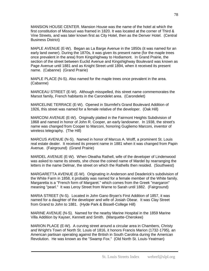MANSION HOUSE CENTER. Mansion House was the name of the hotel at which the first constitution of Missouri was framed in 1820. It was located at the corner of Third & Vine Streets, and was later known first as City Hotel, then as the Denver Hotel. (Central Business District)

MAPLE AVENUE (E-W). Began as La Barge Avenue in the 1850s (it was named for an early land owner). During the 1870s, it was given its present name (for the maple trees once prevalent in the area) from Kingshighway to Hodiamont. In Grand Prairie, the section of the street between Euclid Avenue and Kingshighway Boulevard was known as Page Avenue until 1881 and as Knight Street until 1894, when it received its present name. (Cabanne) (Grand Prairie)

MAPLE PLACE (N-S). Also named for the maple trees once prevalent in the area. (Cabanne)

MARCEAU STREET (E-W). Although misspelled, this street name commemorates the Marsot family, French habitants in the Carondelet area. (Carondelet)

MARCELINE TERRACE (E-W). Opened in Sturmfel's Grand Boulevard Addition of 1926, this street was named for a female relative of the developer. (Oak Hill)

MARCONI AVENUE (E-W). Originally platted in the Fairmont Heights Subdivision of 1868 and named in honor of John R. Cooper, an early landowner. In 1938, the street's name was changed from Cooper to Marconi, honoring Gugliemo Marconi, inventor of wireless telegraphy. (The Hill)

MARCUS AVENUE (N-S). Named in honor of Marcus A. Wolff, a prominent St. Louis real estate dealer. It received its present name in 1881 when it was changed from Papin Avenue. (Fairground) (Grand Prairie)

MARDEL AVENUE (E-W). When Oleatha Rathell, wife of the developer of Lindenwood was asked to name its streets, she chose the coined name of Mardel by rearranging the letters in the name Delmar, the street on which the Rathells then resided. (Southwest)

MARGARETTA AVENUE (E-W). Originating in Anderson and Deaderick's subdivision of the White Farm in 1858, it probably was named for a female member of the White family. Margaretta is a "French form of Margaret." which comes from the Greek "margaron" meaning "pearl." It was Leroy Street from Warne to Sarah until 1882. (Fairground)

MARIA STREET (N-S). Located in John Gano Bryan's First Addition of 1857, it was named for a daughter of the developer and wife of Josiah Obear. It was Clay Street from Grand to John to 1881. (Hyde Park & Bissell-College Hill)

MARINE AVENUE (N-S). Named for the nearby Marine Hospital in the 1859 Marine Villa Addition by Kayser, Kennett and Smith. (Marquette-Cherokee)

MARION PLACE (E-W). A curving street around a circular area in Chambers, Christy and Wright's Town of North St. Louis of 1816, it honors Francis Marion (1732-1795), an American partisan operating against the British in South Carolina during the American Revolution. He was known as the "Swamp Fox." (Old North St. Louis-Yeatman)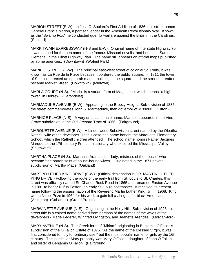MARION STREET (E-W). In Julia C. Soulard's First Addition of 1836, this street honors General Francis Marion, a partisan leader in the American Revolutionary War. Known as the "Swamp Fox," he conducted guerilla warfare against the British in the Carolinas. (Soulard)

MARK TWAIN EXPRESSWAY (N-S and E-W). Original name of Interstate Highway 70, it was named for the pen name of the famous Missouri novelist and humorist, Samuel Clemens, in the Elliott Highway Plan. The name still appears on official maps published by some agencies. (Downtown) (Walnut Park)

MARKET STREET (E-W). The principal east-west street of colonial St. Louis, it was known as La Rue de la Place because it bordered the public square. In 1811 the town of St. Louis erected an open-air market building in the square, and the street thereafter became Market Street. (Downtown) (Midtown)

MARLA COURT (N-S). "Marla" is a variant form of Magdalene, which means "a high tower" in Hebrew. (Carondelet)

MARMADUKE AVENUE (E-W). Appearing in the Breezy Heights Sub-division of 1885, the street commemorates John S. Marmaduke, then governor of Missouri. (Clifton)

MARNICE PLACE (N-S). A very unusual female name, Marnice appeared in the Vine Grove subdivision in the Old Orchard Tract of 1866. (Fairground)

MARQUETTE AVENUE (E-W). A Lindenwood Subdivision street named by the Oleatha Rathell, wife of the developer. In this case, the name honors the Marquette Elementary School, which the Rathell children attended. The school name honors Father Jacques Marquette, the 17th-century French missionary who explored the Mississippi Valley. (Southwest)

MARTHA PLACE (N-S). Martha is Aramaic for "lady, mistress of the house," who became "the patron saint of house-bound wives." Originated in the 1871 private subdivision of Martha Place. (Oakland)

MARTIN LUTHER KING DRIVE (E-W). (Official designation is DR. MARTIN LUTHER KING DRIVE.) Following the route of the early trail from St. Louis to St. Charles, this street was officially named St. Charles Rock Road in 1865 and renamed Easton Avenue in 1881 to honor Rufus Easton, an early St. Louis postmaster. It received its present name following the assassination of the Reverend Martin Luther King, Jr., in 1968. King won a Nobel Prize in 1964 for his work to gain full civil rights for black Americans. (Arlington) (Cabanne) (Grand Prairie)

MARWINETTE AVENUE (N-S). Originating in the Holly Hills Sub-division of 1923, this street title is a coined name derived from portions of the names of the wives of the developers - Marie Federer, Winifred Livingston, and Jeanette Arendes. (Morgan-ford)

MARY AVENUE (N-S). The Greek form of "Miriam" originating in Benjamin O'Fallon's subdivision of the O'Fallon Estate of 1875. "As the name of the Blessed Virgin, it was first considered to holy for ordinary use." but the most popular name for girls by the 16th century. This particular Mary probably was Mary O'Fallon, daughter of John O'Fallon and sister of Benjamin O'Fallon. (Fairground)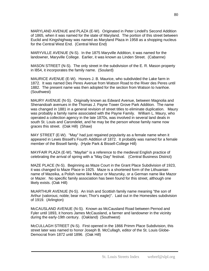MARYLAND AVENUE and PLAZA (E-W). Originated in Peter Lindell's Second Addition of 1865, when it was named for the state of Maryland. The portion of this street between Euclid and Kingshighway was named as Maryland Plaza in 1958 as a shopping nucleus for the Central West End. (Central West End)

MARYVILLE AVENUE (N-S). In the 1875 Maryville Addition, it was named for the landowner, Maryville College. Earlier, it was known as Linden Street. (Cabanne)

MASON STREET (N-S). The only street in the subdivision of the E. R. Mason property in l854, it incorporates the family name. (Soulard)

MAURICE AVENUE (E-W). Honors J. B. Maurice, who subdivided the Lake farm in 1872. It was named Des Peres Avenue from Watson Road to the River des Peres until 1882. The present name was then adopted for the section from Watson to Ivanhoe. (Southwest)

MAURY AVENUE (N-S). Originally known as Edward Avenue, between Magnolia and Shenandoah avenues in the Thomas J. Payne Tower Grove Park Addition. The name was changed in 1881 in a general revision of street titles to eliminate duplication. Maury was probably a family name associated with the Payne Family. William L. Maury, who operated a collection agency in the late 1870s, was involved in several land deals in south St. Louis and Carondelet, and he may be the person whose family name now graces this street. (Oak Hill) (Shaw)

MAY STREET (E-W). "May" had just regained popularity as a female name when it appeared in Lewis Bissell's Fourth Addition of 1872. It probably was named for a female member of the Bissell family. (Hyde Park & Bissell-College Hill)

MAYFAIR PLAZA (E-W). "Mayfair" is a reference to the medieval English practice of celebrating the arrival of spring with a "May Day" festival. (Central Business District)

MAZE PLACE (N-S). Beginning as Maze Court in the Grant Place Subdivision of 1923, it was changed to Maze Place in 1925. Maze is a shortened form of the Lithuanian name of Mazeika, a Polish name like Mazur or Mazursky, or a German name like Mazor or Mazer. No specific family association has been found for this street, although one likely exists. (Oak Hill)

McARTHUR AVENUE (N-S). An Irish and Scottish family name meaning "the son of Arthur (valorous; noble; bear man; Thor's eagle)". Laid out in the Homesites subdivision of 1919. (Arlington)

McCAUSLAND AVENUE (N-S). Known as McCausland Road between Pernod and Fyler until 1893, it honors James McCausland, a farmer and landowner in the vicinity during the early-19th century. (Oakland) (Southwest)

McCULLAGH STREET (N-S). First opened in the 1866 Primm Place Subdivision, this street later was named to honor Joseph B. McCullagh, editor of the St. Louis Globe-Democrat from 1872 until 1896. (Oak Hill)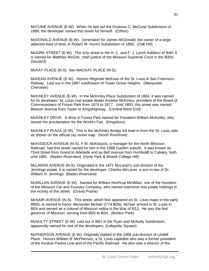McCUNE AVENUE (E-W). When he laid out the Octavius C. McCune Subdivision of 1886, the developer named this street for himself. (Clifton)

McDONALD AVENUE (E-W). Veneration for James McDonald, the owner of a large adjacent tract of land, in Robert W. Hunt's Subdivision of 1856. (Oak Hill)

McGIRK STREET (E-W). The only street in the H. C. and F. J. Lynch Addition of l840, it is named for Matthias McGirk, chief justice of the Missouri Supreme Court in the l830s. (Soulard)

McKAY PLACE (N-S). See MACKAY PLACE (N-S).

McKEAN AVENUE (E-W). Honors Reginald McKean of the St. Louis & San Francisco Railway. Laid out in the 1897 subdivision of Tower Grove Heights. (Marquette-Cherokee)

McKINLEY AVENUE (E-W). In the McKinley Place Subdivision of 1884, it was named for its developer, St. Louis real estate dealer Andrew McKinley, president of the Board of Commissioners of Forest Park from 1874 to 1877. Until 1893, this street was named Beacon Avenue from Taylor to Kingshighway. (Central West End)

McKINLEY DRIVE. A drive in Forest Park named for President William McKinley, who issued the proclamation for the World's Fair. (Kingsbury)

McKINLEY PLAZA (E-W). This is the McKinley Bridge toll lead-in from the St. Louis side as shown on the official city street map. (North Riverfront)

McKISSOCK AVENUE (N-S). F.M. McKissock, a manager for the North Missouri Railroad, had this street named for him in the 1868 Garden suburb. It was known as Third Street from Grand to Adelaide and as Bell Avenue from Humboldt to Calvary, both until 1881. (Baden-Riverview) (Hyde Park & Bissell-College Hill)

McLARAN AVENUE (N-S). Originated in the 1871 McLaran's sub-division of the Jennings estate, it is named for the developer, Charles McLaran, a son-in-law of Dr. William H. Jennings. (Baden-Riverview)

McMILLAN AVENUE (E-W). Named for William Northrup McMillan, one of the founders of the Missouri Car and Foundry Company, who owned extensive real estate holdings in the vicinity of this street. (Grand Prairie)

McNAIR AVENUE (N-S). This street, which first appeared on St. Louis maps in the early l850s, is named to honor Alexander McNair (l774 l826). McNair arrived in St. Louis in l804 and served as a colonel of Missouri militia in the War of l812. He was the first governor of Missouri, serving from l820 to l824. (Benton Park)

McNULTY STREET (E-W). Laid out in l867 in the Ryan and McNulty Subdivision, apparently named for one of the developers. (Lafayette Square)

McPHERSON AVENUE (E-W). Originally platted in the 1868 sub-division of Lindell Place. Honors William B. McPherson, a St. Louis capitalist who was a former president of the Keokuk Packet Line and of the Pacific Railroad. He also was a director of the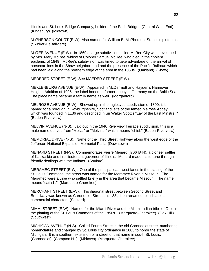Illinois and St. Louis Bridge Company, builder of the Eads Bridge. (Central West End) (Kingsbury) (Midtown)

McPHERSON COURT (E-W). Also named for William B. McPherson, St. Louis plutocrat. (Skinker-DeBaliviere)

McREE AVENUE (E-W). In 1869 a large subdivision called McRee City was developed by Mrs. Mary McRee, widow of Colonel Samuel McRee, who died in the cholera epidemic of 1849. McRee's subdivision was timed to take advantage of the arrival of horsecar lines in the Shaw neighborhood and the presence of the Pacific Railroad which had been laid along the northern edge of the area in the 1850s. (Oakland) (Shaw)

MEDERER STREET (E-W). See MAEDER STREET (E-W).

MEKLENBURG AVENUE (E-W). Appeared in McDermott and Hayden's Hannover Heights Addition of 1906, the label honors a former duchy in Germany on the Baltic Sea. The place name became a family name as well. (Morganford)

MELROSE AVENUE (E-W). Showed up in the Inglesyde subdivision of 1890, it is named for a borough in Roxburghshire, Scotland, site of the famed Melrose Abbey which was founded in 1136 and described in Sir Walter Scott's "Lay of the Last Minstrel." (Baden-Riverview)

MELVIN AVENUE (N-S). Laid out in the 1940 Riverview Terrace subdivision, this is a male name derived from "Melva" or "Melvina," which means "chief." (Baden-Riverview)

MEMORIAL DRIVE (N-S). Name of the Third Street Highway along the west edge of the Jefferson National Expansion Memorial Park. (Downtown)

MENARD STREET (N-S). Commemorates Pierre Menard (l766 l844), a pioneer settler of Kaskaskia and first lieutenant governor of Illinois. Menard made his fortune through friendly dealings with the Indians. (Soulard)

MERAMEC STREET (E-W). One of the principal east west lanes in the platting of the St. Louis Commons, the street was named for the Meramec River in Missouri. The Meramec were a tribe who settled briefly in the area that became Missouri. The name means "catfish." (Marquette-Cherokee)

MERCHANT STREET (E-W). This diagonal street between Second Street and Broadway was known as Carondelet Street until l88l, then renamed to indicate its commercial character. (Soulard)

MIAMI STREET (E-W). Named for the Miami River and the Miami Indian tribe of Ohio in the platting of the St. Louis Commons of the 1850s. (Marquette-Cherokee) (Oak Hill) (Southwest)

MICHIGAN AVENUE (N-S). Called Fourth Street in the old Carondelet street numbering nomenclature and changed by St. Louis city ordinance in 1883 to honor the state of Michigan. It is a southern extension of a street of that name in south St. Louis. (Carondelet) (Compton Hill) (Midtown) (Marquette-Cherokee)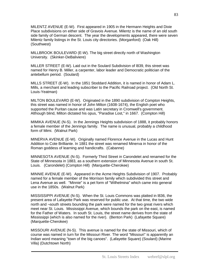MILENTZ AVENUE (E-W). First appeared in 1905 in the Hermann Heights and Dixie Place subdivisions on either side of Gravois Avenue. Milentz is the name of an old south side family of German descent. The year the developments appeared, there were seven Milentz family listings in the St. Louis city directories. (Morganford) (Oak Hill) (Southwest)

MILLBROOK BOULEVARD (E-W). The big street directly north of Washington University. (Skinker-DeBaliviere)

MILLER STREET (E-W). Laid out in the Soulard Subdivision of l839, this street was named for Henry B. Miller, a carpenter, labor leader and Democratic politician of the antebellum period. (Soulard)

MILLS STREET (E-W). In the 1851 Stoddard Addition, it is named in honor of Adam L. Mills, a merchant and leading subscriber to the Pacific Railroad project. (Old North St. Louis-Yeatman)

MILTON BOULEVARD (E-W). Originated in the 1890 subdivision of Compton Heights, this street was named in honor of John Milton (1608-1674), the English poet who supported the Puritan cause and was Latin secretary in Cromwell's government. Although blind, Milton dictated his opus, "Paradise Lost," in 1667. (Compton Hill)

MIMIKA AVENUE (N-S). In the Jennings Heights subdivision of 1888, it probably honors a female member of the Jennings family. The name is unusual, probably a childhood form of Mimi. (Walnut Park)

MINERVA AVENUE (E-W). Originally named Florence Avenue in the Lucas and Hunt Addition to Cote Brilliante. In 1881 the street was renamed Minerva in honor of the Roman goddess of learning and handicrafts. (Cabanne)

MINNESOTA AVENUE (N-S). Formerly Third Street in Carondelet and renamed for the State of Minnesota in 1883, as a southern extension of Minnesota Avenue in south St. Louis. (Carondelet) (Compton Hill) (Marquette-Cherokee)

MINNIE AVENUE (E-W). Appeared in the Acme Heights Subdivision of 1907. Probably named for a female member of the Morrison family which subdivided this street and Lena Avenue as well. "Minnie" is a pet form of "Wilhelmina" which came into general use in the 1850s. (Walnut Park)

MISSISSIPPI AVENUE (N-S). When the St. Louis Commons was platted in l836, the present area of Lafayette Park was reserved for public use. At that time, the two wide north and ¬south streets bounding the park were named for the two great rivers which meet near St. Louis. Mississippi Avenue, which bounds the park on the east, is named for the Father of Waters. In south St. Louis, the street name derives from the state of Mississippi (which is also named for the river). (Benton Park) (Lafayette Square) (Marquette-Cherokee)

MISSOURI AVENUE (N-S). This avenue is named for the state of Missouri, which of course was named in turn for the Missouri River. The word "Missouri" is apparently an Indian word meaning "town of the big canoes". (Lafayette Square) (Soulard) (Marine Villa) (Dutchtown North)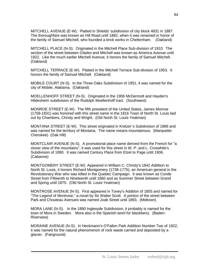MITCHELL AVENUE (E-W). Platted in Shields' subdivision of city block 4831 in 1887. The thoroughfare was known as Hill Road until 1882, when it was renamed in honor of the family of Samuel Mitchell, who founded a brick works in Cheltenham. (Oakland)

MITCHELL PLACE (N-S). Originated in the Mitchell Place Sub-division of 1910. The section of the street between Glades and Mitchell was known as America Avenue until 1922. Like the much earlier Mitchell Avenue, it honors the family of Samuel Mitchell. (Oakland)

MITCHELL TERRACE (E-W). Platted in the Mitchell Terrace Sub-division of 1953. It honors the family of Samuel Mitchell. (Oakland)

MOBILE COURT (N-S). In the Three Oaks Subdivision of 1951, it was named for the city of Mobile, Alabama. (Oakland)

MOELLENHOFF STREET (N-S). Originated in the 1906 McDermott and Hayden's Hildesheim subdivision of the Rudolph Moellenhoff tract. (Southwest)

MONROE STREET (E-W). The fifth president of the United States, James Monroe (1758-1831) was honored with this street name in the 1816 Town of North St. Louis laid out by Chambers, Christy and Wright. (Old North St. Louis-Yeatman)

MONTANA STREET (E-W). This street originated in Kretzer`s Subdivision of 1866 and was named for the territory of Montana. The name means mountainous. (Marquette-Cherokee) (Oak Hill)

MONTCLAIR AVENUE (N-S). A promotional place name derived from the French for "a closer view of the mountains", it was used for this street in W. P. and L. Croswhite's Subdivision of 1890. It was named Century Place from Etzel to Page until 1906. (Cabanne)

MONTGOMERY STREET (E-W). Appeared in William C. Christy's 1842 Addition to North St. Louis, it honors Richard Montgomery (1738-1775), an American general in the Revolutionary War who was killed in the Quebec Campaign. It was known as Conde Street from Fifteenth to Nineteenth until 1860 and as Summer Street between Grand and Spring until 1875. (Old North St. Louis-Yeatman)

MONTROSE AVENUE (N-S). First appeared in Toney's Addition of 1855 and named for "The Legend of Montrose," a novel by Sir Walter Scott. A portion of the street between Park and Chouteau Avenues was named Joab Street until 1893. (Midtown)

MORA LANE (N-S). In the 1890 Inglesyde Subdivision, it probably is named for the town of Mora in Sweden. Mora also is the Spanish word for blackberry. (Baden-Riverview)

MORAINE AVENUE (N-S). In Heckmann's O'Fallon Park Addition Number Two of 1922, it was named for the natural phenomenon of rock waste carried and deposited by a glacier. (Fairground)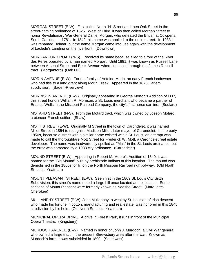MORGAN STREET (E-W). First called North "H" Street and then Oak Street in the street-naming ordinance of 1826. West of Third, it was then called Morgan Street to honor Revolutionary War General Daniel Morgan, who defeated the British at Cowpens, South Carolina, in 1781. In 1842 this name was applied to the entire street. In 1933 it was renamed Delmar, but the name Morgan came into use again with the development of Laclede's Landing on the riverfront. (Downtown)

MORGANFORD ROAD (N-S). Received its name because it led to a ford of the River des Peres operated by a man named Morgan. Until 1881, it was known as Russell Lane between Arsenal Street and Beck Avenue where it passed through the James Russell tract. (Morganford) (Oak Hill)

MORIN AVENUE (E-W). For the family of Antoine Morin, an early French landowner who had title to a land grant along Morin Creek. Appeared in the 1870 Harlem subdivision. (Baden-Riverview)

MORRISON AVENUE (E-W). Originally appearing in George Morton's Addition of l837, this street honors William R. Morrison, a St. Louis merchant who became a partner of Erastus Wells in the Missouri Railroad Company, the city's first horse car line. (Soulard)

MOTARD STREET (N-S). From the Motard tract, which was owned by Joseph Motard, a pioneer French settler. (Shaw)

MOTT STREET (E-W). Originally M Street in the town of Carondelet, it was named Miller Street in 1854 to recognize Madison Miller, later mayor of Carondelet. In the early 1850s, because a street with a similar name existed within St. Louis, an attempt was made to call the thoroughfare Mott Street for Frederick W. Mott, a Carondelet real estate developer. The name was inadvertently spelled as "Malt" in the St. Louis ordinance, but the error was corrected by a 1933 city ordinance. (Carondelet)

MOUND STREET (E-W). Appearing in Robert M. Moore's Addition of 1840, it was named for the "Big Mound" built by prehistoric Indians at this location. The mound was demolished in the 1860s for fill on the North Missouri Railroad right-of-way. (Old North St. Louis-Yeatman)

MOUNT PLEASANT STREET (E-W). Seen first in the 1869 St. Louis City Sixth Subdivision, this street's name noted a large hill once located at the location. Some sections of Mount Pleasant were formerly known as Neosho Street. (Marquette-Cherokee)

MULLANPHY STREET (E-W). John Mullanphy, a wealthy St. Louisan of Irish descent who made his fortune in cotton, manufacturing and real estate, was honored in this 1845 subdivision by his heirs. (Old North St. Louis-Yeatman)

MUNICIPAL OPERA DRIVE. A drive in Forest Park, it runs in front of the Municipal Opera Theatre. (Kingsbury)

MURDOCH AVENUE (E-W). Named in honor of John J. Murdoch, a Civil War general who owned a large tract in the present Shrewsbury area after the war. Known as Murdoch's farm, it was subdivided in 1890. (Southwest)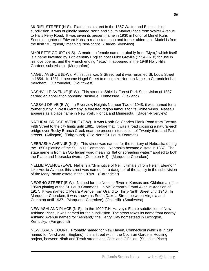MURIEL STREET (N-S). Platted as a street in the 1867 Walter and Espenschied subdivision, it was originally named North and South Market Place from Walter Avenue to Halls Ferry Road. It was given its present name in 1930 in honor of Muriel Kuhs Soest, daughter of Edward Kuhs, a real estate man and former alderman. Muriel is from the Irish "Muirgheal," meaning "sea-bright." (Baden-Riverview)

MYRLETTE COURT (N-S). A made-up female name, probably from "Myra," which itself is a name invented by 17th-century English poet Fulke Greville (1554-1618) for use in his love poems, and the French ending "lette." It appeared in the 1949 Holly Hills Gardens subdivision. (Morganford)

NAGEL AVENUE (E-W). At first this was S Street, but it was renamed St. Louis Street in 1854. In 1881, it became Nagel Street to recognize Herman Nagel, a Carondelet hat merchant. (Carondelet) (Southwest)

NASHVILLE AVENUE (E-W). This street in Shields' Forest Park Subdivision of 1887 carried an appellation honoring Nashville, Tennessee. (Oakland)

NASSAU DRIVE (E-W). In Riverview Heights Number Two of 1948, it was named for a former duchy in West Germany, a forested region famous for its Rhine wines. Nassau appears as a place name in New York, Florida and Minnesota. (Baden-Riverview)

NATURAL BRIDGE AVENUE (E-W). It was North St. Charles Plank Road from Twenty-Fifth Street to the city limits until 1881. Before that, it was a road crossing a natural-arch bridge over Rocky Branch Creek near the present intersection of Twenty-third and Palm streets. (Arlington) (Fairground) (Old North St. Louis-Yeatman)

NEBRASKA AVENUE (N-S). This street was named for the territory of Nebraska during the 1850s platting of the St. Louis Commons. Nebraska became a state in 1867. The state name is from an Oto Indian word meaning "flat or spreading water," applied to both the Platte and Nebraska rivers. (Compton Hill) (Marquette-Cherokee)

NELLIE AVENUE (E-W). Nellie is a "diminutive of Nell, ultimately from Helen, Eleanor." Like Adelia Avenue, this street was named for a daughter of the family in the subdivision of the Mary Payne estate in the 1870s. (Carondelet)

NEOSHO STREET (E-W). Named for the Neosho River in Kansas and Oklahoma in the 1850s platting of the St. Louis Commons. In McDermott's Grand Avenue Addition of 1917. It was named O'Meara Avenue from Grand to Thirty-Ninth Street until 1940. In Marquette-Cherokee, it was known as South Dakota Street between Virginia and Compton until 1937. (Marquette-Cherokee) (Oak Hill) (Southwest)

NEW ASHLAND PLACE (N-S). In the 1900 T.H. Harvey's Estate subdivision of New Ashland Place, it was named for the subdivision. The street takes its name from nearby Ashland Avenue named for "Ashland," the Henry Clay homestead in Lexington, Kentucky. (Fairground)

NEW HAVEN COURT. Probably named for New Haven, Connecticut (which is in turn named for Newhaven, England). It is a street within the Cochran Gardens Housing project, between Ninth and Tenth streets and Cass and O'Fallon. (St. Louis Place)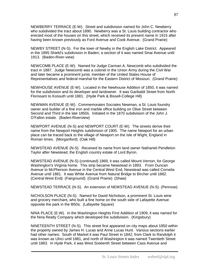NEWBERRY TERRACE (E-W). Street and subdivision named for John C. Newberry who subdivided the tract about 1890. Newberry was a St. Louis building contractor who erected most of the houses on this street, which received its present name in 1915 after having been known previously as Ford Avenue and Cook Avenue. (Grand Prairie)

NEWBY STREET (N-S). For the town of Newby in the English Lake District. Appeared in the 1895 Shield's subdivision in Baden; a section of it was named Sinai Avenue until 1913. (Baden-River-view)

NEWCOMB PLACE (E-W). Named for Judge Carman A. Newcomb who subdivided the tract in 1887. Judge Newcomb was a colonel in the Union Army during the Civil War and later became a prominent jurist, member of the United States House of Representatives and federal marshal for the Eastern District of Missouri. (Grand Prairie)

NEWHOUSE AVENUE (E-W). Located in the Newhouse Addition of 1850, it was named for the subdivision and its developer and landowner. It was Garibaldi Street from North Florissant to Kossuth until 1881. (Hyde Park & Bissell-College Hill)

NEWMAN AVENUE (E-W). Commemorates Socrates Newman, a St. Louis foundry owner and builder of a fine iron and marble office building on Olive Street between Second and Third in the late 1850s. Initiated in the 1870 subdivision of the John J. O'Fallon estate. (Baden-Riverview)

NEWPORT AVENUE (N-S) and NEWPORT COURT (E-W). The streets derive their name from the Newport Heights subdivision of 1905. The name Newport for an urban place can be traced back to the village of Newport on the Isle of Wight, England in Roman times. (Morganford) (Oak Hill)

NEWSTEAD AVENUE (N-S) Received its name from land owner Nathaniel Pendleton Taylor after Newstead, the English country estate of Lord Byron.

NEWSTEAD AVENUE (N-S) (continued) 1869, it was called Mount Vernon, for George Washington's Virginia home. This strip became Newstead in 1893. From Duncan Avenue to McPherson Avenue in the Central West End, Newstead was called Cornelia Avenue until 1881. It was White Avenue from Natural Bridge to Bircher until 1882. (Central West End) (Fairground) (Grand Prairie) (Shaw)

NEWSTEAD TERRACE (N-S). An extension of NEWSTEAD AVENUE (N-S). (Penrose)

NICHOLSON PLACE (N-S). Named for David Nicholson, a prominent St. Louis wine and grocery merchant, who built a fine home on the south side of Lafayette Avenue opposite the park in the l850s. (Lafayette Square)

NINA PLACE (E-W). In the Washington Heights First Addition of 1909, it was named for the Nina Realty Company which developed the subdivision. (Kingsbury)

NINETEENTH STREET (N-S). This street first appeared on city maps about 1850 within the property owned by James H. Lucas and Anne Lucas Hunt. Various sections earlier had other names: South of Market it was Paul Street in 1842, from Clark to Randolph it was known as Ulrici until 1881, and north of Washington it was named Twentieth Street until 1883. In Hyde Park, it was West Sixteenth Street between Cass Avenue and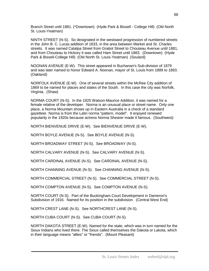Branch Street until 1881. (\*Downtown) (Hyde Park & Bissell - College Hill) (Old North St. Louis-Yeatman)

NINTH STREET (N-S). So designated in the westward progression of numbered streets in the John B. C. Lucas addition of 1833, in the area between Market and St. Charles streets. It was named Catalpa Street from Gratiot Street to Chouteau Avenue until 1881, and from Chouteau to Hickory it was called Ham Street until 1883. (Downtown) (Hyde Park & Bissell-College Hill) (Old North St. Louis-Yeatman) (Soulard)

NOONAN AVENUE (E-W). This street appeared in Buchanan's Sub-division of 1879 and was later named to honor Edward A. Noonan, mayor of St. Louis from 1889 to 1893. (Oakland)

NORFOLK AVENUE (E-W). One of several streets within the McRee City addition of 1869 to be named for places and states of the South. In this case the city was Norfolk, Virginia. (Shaw)

NORMA COURT (N-S). In the 1925 Watson-Maurice Addition, it was named for a female relative of the developer. Norma is an unusual place or street name. Only one place, a Norma Mountain shows up in Eastern Australia in a check of a standard gazetteer. Norma is from the Latin norma "pattern, model". It enjoyed renewed popularity in the 1920s because actress Norma Shearer made it famous. (Southwest)

NORTH BIENVENUE DRIVE (E-W). See BIENVENUE DRIVE (E-W).

NORTH BOYLE AVENUE (N-S). See BOYLE AVENUE (N-S).

NORTH BROADWAY STREET (N-S). See BROADWAY (N-S).

NORTH CALVARY AVENUE (N-S). See CALVARY AVENUE (N-S).

NORTH CARDINAL AVENUE (N-S). See CARDINAL AVENUE (N-S).

NORTH CHANNING AVENUE (N-S). See CHANNING AVENUE (N-S).

NORTH COMMERCIAL STREET (N-S). See COMMERCIAL STREET (N-S).

NORTH COMPTON AVENUE (N-S). See COMPTON AVENUE (N-S).

NORTH COURT (N-S). Part of the Buckingham Court Development in Dameron's Subdivision of 1916. Named for its position in the subdivision. (Central West End)

NORTH CREST LANE (N-S). See NORTHCREST LANE (N-S).

NORTH CUBA COURT (N-S). See CUBA COURT (N-S).

NORTH DAKOTA STREET (E-W). Named for the state, which was in turn named for the Sioux Indians who lived there. The Sioux called themselves the Dakota or Lakota, which in their language means "allies" or "friends". (Mount Pleasant)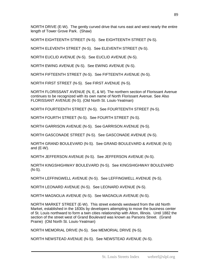NORTH DRIVE (E-W). The gently curved drive that runs east and west nearly the entire length of Tower Grove Park. (Shaw)

NORTH EIGHTEENTH STREET (N-S). See EIGHTEENTH STREET (N-S).

NORTH ELEVENTH STREET (N-S). See ELEVENTH STREET (N-S).

NORTH EUCLID AVENUE (N-S). See EUCLID AVENUE (N-S).

NORTH EWING AVENUE (N-S). See EWING AVENUE (N-S).

NORTH FIFTEENTH STREET (N-S). See FIFTEENTH AVENUE (N-S).

NORTH FIRST STREET (N-S). See FIRST AVENUE (N-S).

NORTH FLORISSANT AVENUE (N, E, & W). The northern section of Florissant Avenue continues to be recognized with its own name of North Florissant Avenue. See Also FLORISSANT AVENUE (N-S). (Old North St. Louis-Yeatman)

NORTH FOURTEENTH STREET (N-S). See FOURTEENTH STREET (N-S).

NORTH FOURTH STREET (N-S). See FOURTH STREET (N-S).

NORTH GARRISON AVENUE (N-S). See GARRISON AVENUE (N-S).

NORTH GASCONADE STREET (N-S). See GASCONADE AVENUE (N-S).

NORTH GRAND BOULEVARD (N-S). See GRAND BOULEVARD & AVENUE (N-S) and (E-W).

NORTH JEFFERSON AVENUE (N-S). See JEFFERSON AVENUE (N-S).

NORTH KINGSHIGHWAY BOULEVARD (N-S). See KINGSHIGHWAY BOULEVARD (N-S).

NORTH LEFFINGWELL AVENUE (N-S). See LEFFINGWELL AVENUE (N-S).

NORTH LEONARD AVENUE (N-S). See LEONARD AVENUE (N-S).

NORTH MAGNOLIA AVENUE (N-S). See MAGNOLIA AVENUE (N-S).

NORTH MARKET STREET (E-W). This street extends westward from the old North Market, established in the 1830s by developers attempting to move the business center of St. Louis northward to form a twin cities relationship with Alton, Illinois. Until 1882 the section of the street west of Grand Boulevard was known as Parsons Street. (Grand Prairie) (Old North St. Louis-Yeatman)

NORTH MEMORIAL DRIVE (N-S). See MEMORIAL DRIVE (N-S).

NORTH NEWSTEAD AVENUE (N-S). See NEWSTEAD AVENUE (N-S).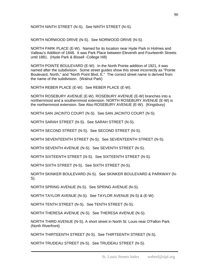NORTH NINTH STREET (N-S). See NINTH STREET (N-S).

NORTH NORWOOD DRIVE (N-S). See NORWOOD DRIVE (N-S).

NORTH PARK PLACE (E-W). Named for its location near Hyde Park in Holmes and Valleau's Addition of 1848. It was Park Place between Eleventh and Fourteenth Streets until 1881. (Hyde Park & Bissell -College Hill)

NORTH POINTE BOULEVARD (E-W). In the North Pointe addition of 1921, it was named after the subdivision. Some street guides show this street incorrectly as "Pointe Boulevard, North," and "North Point Blvd, E." The correct street name is derived from the name of the subdivision. (Walnut Park)

NORTH REBER PLACE (E-W). See REBER PLACE (E-W).

NORTH ROSEBURY AVENUE (E-W). ROSEBURY AVENUE (E-W) branches into a northernmost and a southernmost extension. NORTH ROSEBURY AVENUE (E-W) is the northernmost extension. See Also ROSEBURY AVENUE (E-W). (Kingsbury)

NORTH SAN JACINTO COURT (N-S). See SAN JACINTO COURT (N-S).

NORTH SARAH STREET (N-S). See SARAH STREET (N-S).

NORTH SECOND STREET (N-S). See SECOND STREET (N-S).

NORTH SEVENTEENTH STREET (N-S). See SEVENTEENTH STREET (N-S).

NORTH SEVENTH AVENUE (N-S). See SEVENTH STREET (N-S).

NORTH SIXTEENTH STREET (N-S). See SIXTEENTH STREET (N-S).

NORTH SIXTH STREET (N-S). See SIXTH STREET (N-S).

NORTH SKINKER BOULEVARD (N-S). See SKINKER BOULEVARD & PARKWAY (N-S).

NORTH SPRING AVENUE (N-S). See SPRING AVENUE (N-S).

NORTH TAYLOR AVENUE (N-S). See TAYLOR AVENUE (N-S) & (E-W).

NORTH TENTH STREET (N-S). See TENTH STREET (N-S).

NORTH THERESA AVENUE (N-S). See THERESA AVENUE (N-S).

NORTH THIRD AVENUE (N-S). A short street in North St. Louis near O'Fallon Park. (North Riverfront)

NORTH THIRTEENTH STREET (N-S). See THIRTEENTH STREET (N-S).

NORTH TRUDEAU STREET (N-S). See TRUDEAU STREET (N-S).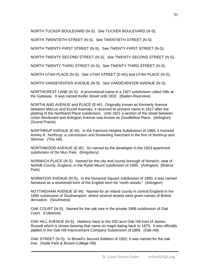NORTH TUCKER BOULEVARD (N-S). See TUCKER BOULEVARD (N-S).

NORTH TWENTIETH STREET (N-S). See TWENTIETH STREET (N-S).

NORTH TWENTY-FIRST STREET (N-S). See TWENTY-FIRST STREET (N-S).

NORTH TWENTY-SECOND STREET (N-S). See TWENTY-SECOND STREET (N-S).

NORTH TWENTY-THIRD STREET (N-S). See TWENTY-THIRD STREET (N-S).

NORTH UTAH PLACE (N-S). See UTAH STREET (E-W)) and UTAH PLACE (N-S).

NORTH VANDEVENTER AVENUE (N-S). See VANDEVENTER AVENUE (N-S).

NORTHCREST LANE (N-S). A promotional name in a 1927 subdivision called Hills at the Gateway. It was named Keifer Street until 1932. (Baden-Riverview)

NORTHLAND AVENUE and PLACE (E-W). Originally known as Kennerly Avenue between Marcus and Euclid Avenues, it received its present name in 1917 after the platting of the Northland Place subdivision. Until 1921 a section of the street between Union Boulevard and Arlington Avenue was known as Goodfellow Place. (Arlington) (Grand Prairie)

NORTHRUP AVENUE (E-W). In the Fairmont Heights Subdivision of 1868, it honored Ashley K. Northrup, a commission and forwarding merchant in the firm of Northrup and Shirmer. (The Hill)

NORTHWOOD AVENUE (E-W). So named by the developer in the 1923 apartment subdivision of De Mun Park. (Kingsbury)

NORWICH PLACE (N-S). Named for the city and county borough of Norwich, seat of Norfolk County, England, in the Rydal Mount subdivision of 1895. (Arlington) (Walnut Park)

NORWOOD AVENUE (N-S). In the Norwood Square subdivision of 1960, it was named Norwood as a shortened form of the English term for "north woods." (Arlington)

NOTTINGHAM AVENUE (E-W). Named for an inland county in central England in the 1896 subdivision of Southampton, where several streets were given names of British derivation. (Southwest)

OAK COURT (N-S). Named for the oak tree in the private 1906 subdivision of Oak Court. (Cabanne)

OAK HILL AVENUE (N-S). Harkens back to the 432-acre Oak Hill tract of James Russell which is shown bearing that name on maps dating back to 1875. It was officially platted in the Oak Hill Improvement Company Subdivision of 1889. (Oak Hill)

OAK STREET (N-S). In Bissell's Second Addition of 1852, it was named for the oak tree. (Hyde Park & Bissell-College Hill)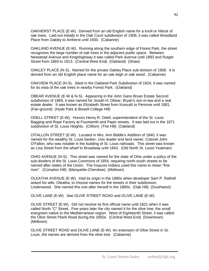OAKHERST PLACE (E-W). Derived from an old English name for a knoll or hillock of oak trees. Laid out initially in the Oak Court subdivision of 1906, it was called Woodland Place from Oakley to Amherst until 1930. (Cabanne)

OAKLAND AVENUE (E-W). Running along the southern edge of Forest Park, the street recognizes the large number of oak trees in the adjacent public space. Between Newstead Avenue and Kingshighway it was called Park Avenue until 1893 and Rutger Street from 1893 to 1913. (Central West End) (Oakland) (Shaw)

OAKLEY PLACE (N-S). Named for the private Oakley Place sub-division of 1906. It is derived from an old English place name for an oak leigh or oak wood. (Cabanne)

OAKVIEW PLACE (N-S). Sited in the Oakland Park Subdivision of 1924, it was named for its vista of the oak trees in nearby Forest Park. (Oakland)

OBEAR AVENUE (E-W & N-S). Appearing in the John Gano Bryan Estate Second subdivision of 1865, it was named for Josiah H. Obear, Bryan's son-in-law and a real estate dealer. It was known as Elizabeth Street from Kossuth to Penrose until 1881. (Fair-ground) (Hyde Park & Bissell-College Hill)

ODELL STREET (E-W). Honors Henry R. Odell, superintendent of the St. Louis Bagging and Rope Factory at Fourteenth and Papin streets. It was laid out in the 1871 subdivision of St. Louis Heights. (Clifton) (The Hill) (Oakland)

O'FALLON STREET (E-W). Located in Mrs. Ann Biddle's Addition of 1840, it was named for the wealthy St. Louis banker, civic leader and land owner, Colonel John O'Fallon, who was notable in the building of St. Louis railroads. This street was known as Lisa Street from the wharf to Broadway until 1843. (Old North St. Louis-Yeatman)

OHIO AVENUE (N-S). This street was named for the state of Ohio under a policy of the sub-dividers of the St. Louis Commons of 1854, requiring north-south streets to be named after states of the Union. The Iroquois Indians used this name to mean "fine river". (Compton Hill) (Marquette-Cherokee) (Midtown)

OLEATHA AVENUE (E-W). Had its origin in the 1880s when developer Sam P. Rathell asked his wife, Oleatha, to choose names for the streets in their subdivision, Lindenwood. She named this one after herself in the 1880s. (Oak Hill) (Southwest)

OLIVE LANE (E-W). See OLIVE STREET ROAD and OLIVE LANE (E-W).

OLIVE STREET (E-W). Did not receive its first official name until 1821 when it was called North "C" Street. Five years later the city named it for the olive tree, the small evergreen native to the Mediterranean region. West of Eighteenth Street, it was called the Olive Street Plank Road during the 1850s. (Central West End) (Downtown) (Midtown)

OLIVE STREET ROAD and OLIVE LANE (E-W). An extension of Olive Street in St. Louis, the names are derived from the olive tree. (Cabanne)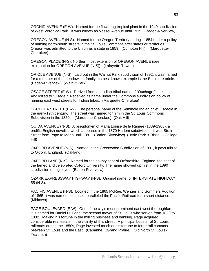ORCHID AVENUE (E-W). Named for the flowering tropical plant in the 1940 subdivision of West Veronica Park. It was known as Vessel Avenue until 1935. (Baden-Riverview)

OREGON AVENUE (N-S). Named for the Oregon Territory during 1854 under a policy of naming north-south streets in the St. Louis Commons after states or territories. Oregon was admitted to the Union as a state in 1859. (Compton Hill) (Marquette-Cherokee)

OREGON PLACE (N-S). Northernmost extension of OREGON AVENUE (see explanation for OREGON AVENUE [N-S]). (Lafayette Towne)

ORIOLE AVENUE (N-S). Laid out in the Walnut Park subdivision of 1892, it was named for a member of the meadowlark family. Its best known example is the Baltimore oriole. (Baden-Riverview) (Walnut Park)

OSAGE STREET (E-W). Derived from an Indian tribal name of "Ouchage," later Anglicized to "Osage." Received its name under the Commons subdivision policy of naming east west streets for Indian tribes. (Marquette-Cherokee)

OSCEOLA STREET (E-W). The personal name of the Seminole Indian chief Osceola in the early-19th century. The street was named for him in the St. Louis Commons Subdivision in the 1850s. (Marquette-Cherokee) (Oak Hill)

OUIDA AVENUE (N-S). A pseudonym of Maria Louise de la Ramee (1839-1908), a prolific English novelist, which appeared in the 1870 Harlem subdivision. It was Sixth Street from Pope to Morin until 1881. (Baden-Riverview) (Hyde Park & Bissell - College Hill)

OXFORD AVENUE (N-S). Named in the Greenwood Subdivision of 1891, it pays tribute to Oxford, England. (Oakland)

OXFORD LANE (N-S). Named for the county seat of Oxfordshire, England, the seat of the famed and celebrated Oxford University. The name showed up first in the 1890 subdivision of Inglesyde. (Baden-Riverview)

OZARK EXPRESSWAY HIGHWAY (N-S). Original name for INTERSTATE HIGHWAY 55 (N-S).

PACIFIC AVENUE (N-S). Located in the 1865 McRee, Wenger and Sommers Addition of 1865, it was named because it paralleled the Pacific Railroad for a short distance. (Midtown)

PAGE BOULEVARD (E-W). One of the city's most prominent east-west thoroughfares, it is named for Daniel D. Page, the second mayor of St. Louis who served from 1829 to 1832. Making his fortune in the milling business and banking, Page acquired considerable real estate in the vicinity of this street. A principal booster of St. Louis railroads during the 1850s, Page invested much of his fortune to forge rail contacts between St. Louis and the East. (Cabanne) (Grand Prairie) (Old North St. Louis-Yeatman)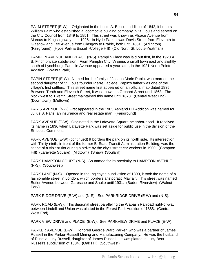PALM STREET (E-W). Originated in the Louis A. Benoist addition of 1842, it honors William Palm who established a locomotive building company in St. Louis and served on the City Council from 1849 to 1851. This street was known as Alsace Avenue from Marcus to Kingshighway until 1926. In Hyde Park, it was Davis Street from Eleventh to Glasgow and Lee Avenue from Glasgow to Prairie, both until 1881. (Arlington) (Fairground) (Hyde Park & Bissell -College Hill) (Old North St. Louis-Yeatman)

PAMPLIN AVENUE AND PLACE (N-S). Pamplin Place was laid out first, in the 1920 A. B. Finch private subdivision. From Pamplin City, Virginia, a small town east and slightly south of Lynchburg. Pamplin Avenue appeared a year later, in the 1921 North Pointe Addition. (Walnut Park)

PAPIN STREET (E-W). Named for the family of Joseph Marie Papin, who married the second daughter of St. Louis founder Pierre Laclede. Papin's father was one of the village's first settlers. This street name first appeared on an official map dated 1835. Between Tenth and Eleventh Street, it was known as Orchard Street until 1863. The block west to Twelfth Street maintained this name until 1873. (Central West End) (Downtown) (Midtown)

PARIS AVENUE (N-S) First appeared in the 1903 Ashland Hill Addition was named for Julius B. Paris, an insurance and real estate man. (Fairground)

PARK AVENUE (E-W). Originated in the Lafayette Square neighbor-hood. It received its name in 1836 when Lafayette Park was set aside for public use in the division of the St. Louis Commons.

PARK AVENUE (E-W) (continued) It borders the park on its north side. Its intersection with Thirty-ninth, in front of the former Bi-State Transit Administration Building, was the scene of a violent riot during a strike by the city's street car workers in 1900. (Compton Hill) (Lafayette Square) (Midtown) (Shaw) (Soulard)

PARK HAMPTON COURT (N-S). So named for its proximity to HAMPTON AVENUE (N-S). (Southwest)

PARK LANE (N-S). Opened in the Inglesyde subdivision of 1890, it took the name of a fashionable street in London, which borders aristocratic Mayfair. This street was named Butler Avenue between Garesche and Shulte until 1931. (Baden-Riverview) (Walnut Park)

PARK RIDGE DRIVE (E-W) and (N-S). See PARKRIDGE DRIVE (E-W) and (N-S).

PARK ROAD (E-W). This diagonal street paralleling the Wabash Railroad right-of-way between Lindell and Union was platted in the Forest Park Addition of 1888. (Central West End)

PARK VIEW DRIVE and PLACE. (E-W). See PARKVIEW DRIVE and PLACE (E-W).

PARKER AVENUE (E-W). Honored George Ward Parker, who was a partner of James Russell in the Parker-Russell Mining and Manufacturing Company. He was the husband of Rusella Lucy Russell, daughter of James Russell. It was platted in Lucy Bent Russell's subdivision of 1884. (Oak Hill) (Southwest)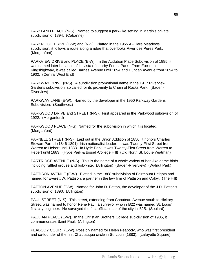PARKLAND PLACE (N-S). Named to suggest a park-like setting in Martin's private subdivision of 1894. (Cabanne)

PARKRIDGE DRIVE (E-W) and (N-S). Platted in the 1955 Al-Clare Meadows subdivision, it follows a route along a ridge that overlooks River des Peres Park. (Morganford)

PARKVIEW DRIVE and PLACE (E-W). In the Audubon Place Subdivision of 1885, it was named later because of its vista of nearby Forest Park. From Euclid to Kingshighway, it was called Barnes Avenue until 1894 and Duncan Avenue from 1894 to 1902. (Central West End)

PARKWAY DRIVE (N-S). A subdivision promotional name in the 1917 Riverview Gardens subdivision, so called for its proximity to Chain of Rocks Park. (Baden-Riverview)

PARKWAY LANE (E-W). Named by the developer in the 1950 Parkway Gardens Subdivision. (Southwest)

PARKWOOD DRIVE and STREET (N-S). First appeared in the Parkwood subdivision of 1922. (Morganford)

PARKWOOD PLACE (N-S). Named for the subdivision in which it is located. (Morganford)

PARNELL STREET (N-S). Laid out in the Union Addition of 1850, it honors Charles Stewart Parnell (1846-1891), Irish nationalist leader. It was Twenty-First Street from Warren to Hebert until 1883. In Hyde Park, it was Twenty-First Street from Warren to Hebert until 1883. (Hyde Park & Bissell-College Hill) (Old North St. Louis-Yeatman)

PARTRIDGE AVENUE (N-S). This is the name of a whole variety of hen-like game birds including ruffled grouse and bobwhite. (Arlington) (Baden-Riverview) (Walnut Park)

PATTISON AVENUE (E-W). Platted in the 1868 subdivision of Fairmount Heights and named for Everett W. Pattison, a partner in the law firm of Pattison and Colby. (The Hill)

PATTON AVENUE (E-W). Named for John D. Patton, the developer of the J.D. Patton's subdivision of 1890. (Arlington)

PAUL STREET (N-S). This street, extending from Chouteau Avenue south to Hickory Street, was named to honor Rene Paul, a surveyor who in l822 was named St. Louis' first city engineer. He surveyed the first official map of the city in l825. (Soulard)

PAULIAN PLACE (E-W). In the Christian Brothers College sub-division of 1905, it commemorates Saint Paul. (Arlington)

PEABODY COURT (E-W). Possibly named for Helen Peabody, who was first president and co-founder of the first Chautauqua circle in St. Louis (1883). (Lafayette Square)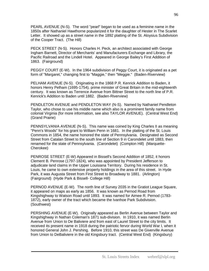PEARL AVENUE (N-S). The word "pearl" began to be used as a feminine name in the 1850s after Nathaniel Hawthorne popularized it for the daughter of Hester in The Scarlet Letter. It showed up as a street name in the 1892 platting of the St. Aloysius Subdivision of the Cooper Tract. (The Hill)

PECK STREET (N-S). Honors Charles H. Peck, an architect associated with George Ingham Barnett, Director of Merchants' and Manufacturers Exchange and Library, the Pacific Railroad and the Lindell Hotel. Appeared in George Bailey's First Addition of 1863. (Fairground)

PEGGY COURT (E-W). In the 1964 subdivision of Peggy Court, it is originated as a pet form of "Margaret," changing first to "Maggie," then "Meggie." (Baden-Riverview)

PELHAM AVENUE (N-S). Originating in the 1868 P.R. Kenrick Addition to Baden, it honors Henry Pelham (1695-1754), prime minister of Great Britain in the mid-eighteenth century. It was known as Terrence Avenue from Bittner Street to the north line of P.R. Kenrick's Addition to Baden until 1882. (Baden-Riverview)

PENDLETON AVENUE and PENDLETON WAY (N-S). Named by Nathaniel Pendleton Taylor, who chose to use his middle name which also is a prominent family name from colonial Virginia (for more information, see also TAYLOR AVENUE). (Central West End) (Grand Prairie)

PENNSYLVANIA AVENUE (N-S). This name was coined by King Charles II as meaning "Penn's Woods" for his grant to William Penn in 1681. In the platting of the St. Louis Commons in 1854, the name honored the state of Pennsylvania. Designated as Second Street from Catalan Street to the south line of Section 9 in Carondelet until 1883, then renamed for the state of Pennsylvania. (Carondelet) (Compton Hill) (Marquette-Cherokee)

PENROSE STREET (E-W) Appeared in Bissell's Second Addition of 1852, it honors Clement B. Penrose (1797-1824), who was appointed by President Jefferson to adjudicate land claims in the Upper Louisiana Territory. During his residence in St. Louis, he came to own extensive property holdings in the area of this street. In Hyde Park, it was Augusta Street from First Street to Broadway to 1881. (Arlington) (Fairground) (Hyde Park & Bissell- College Hill)

PERNOD AVENUE (E-W). The north line of Survey 2035 in the Gratiot League Square, it appeared on maps as early as 1856. It was known as Pernod Road from Kingshighway to Watson Road until 1893. It was named for Aimee R. Pernod (1783- 1872), early owner of the tract which became the Ivanhoe Park Subdivision. (Southwest)

PERSHING AVENUE (E-W). Originally appeared as Berlin Avenue between Taylor and Kingshighway in Nathan Coleman's 1871 sub-division. In 1910, it was named Berlin Avenue from Union to De Baliviere and from east of Laurel Street to the city limits. It received its present name in 1918 during the patriotic fervor during World War I, when it honored General John J. Pershing. Before 1910, this street was De Giverville Avenue from Union to DeBaliviere in the old Kingsbury tract. (Central West End) (Kingsbury)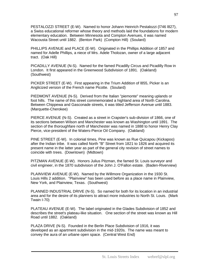PESTALOZZI STREET (E-W). Named to honor Johann Heinrich Pestalozzi (l746 l827), a Swiss educational reformer whose theory and methods laid the foundations for modern elementary education. Between Minnesota and Compton Avenues, it was named Wacousta Street until 1882. (Benton Park) (Compton Hill) (Soulard)

PHILLIPS AVENUE and PLACE (E-W). Originated in the Phillips Addition of 1857 and named for Adelle Phillips, a niece of Mrs. Adele Tholozan, owner of a large adjacent tract. (Oak Hill)

PICADILLY AVENUE (N-S). Named for the famed Picadilly Circus and Picadilly Row in London. It first appeared in the Greenwood Subdivision of 1891. (Oakland) (Southwest)

PICKER STREET (E-W). First appearing in the Trium Addition of l855, Picker is an Anglicized version of the French name Picotte. (Soulard)

PIEDMONT AVENUE (N-S). Derived from the Italian "piemonte" meaning uplands or foot hills. The name of this street commemorated a highland area of North Carolina. Between Chippewa and Gasconade streets, it was titled Jefferson Avenue until 1883. (Marquette-Cherokee)

PIERCE AVENUE (N-S). Created as a street in Crapster's sub-division of 1866, one of its sections between Wilson and Manchester was known as Washington until 1891. The section of the thoroughfare north of Manchester was named in 1888 to honor Henry Clay Pierce, vice-president of the Waters-Pierce Oil Company. (Oakland)

PINE STREET (E-W). In colonial times, Pine was known as Rue Quicapou (Kickapoo) after the Indian tribe. It was called North "B" Street from 1821 to 1826 and acquired its present name in the latter year as part of the general city revision of street names to coincide with trees. (Downtown) (Midtown)

PITZMAN AVENUE (E-W). Honors Julius Pitzman, the famed St. Louis surveyor and civil engineer, in the 1870 subdivision of the John J. O'Fallon estate. (Baden-Riverview)

PLAINVIEW AVENUE (E-W). Named by the Willmore Organization in the 1930 St. Louis Hills 2 addition. "Plainview" has been used before as a place name in Plainview, New York, and Plainview, Texas. (Southwest)

PLANNED INDUSTRIAL DRIVE (N-S). So named for both for its location in an industrial area and for the desire of its planners to attract more industries to North St. Louis. (Mark Twain I-70)

PLATEAU AVENUE (E-W). The label originated in the Glades Subdivision of 1852 and describes the street's plateau-like situation. One section of the street was known as Hill Road until 1882. (Oakland)

PLAZA DRIVE (N-S). Founded in the Berlin Place Subdivision of 1916, it was developed as an apartment subdivision in the mid-1920s. The name was meant to convey the aura of an urbane open space. (Central West End)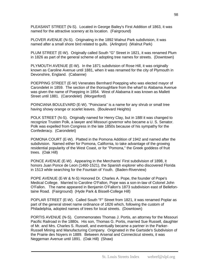PLEASANT STREET (N-S). Located in George Bailey's First Addition of 1863, it was named for the attractive scenery at its location. (Fairground)

PLOVER AVENUE (N-S). Originating in the 1892 Walnut Park subdivision, it was named after a small shore bird related to gulls. (Arlington) (Walnut Park)

PLUM STREET (E-W). Originally called South "G" Street in 1821, it was renamed Plum in 1826 as part of the general scheme of adopting tree names for streets. (Downtown)

PLYMOUTH AVENUE (E-W). In the 1871 subdivision of Rose Hill, it was originally known as Caroline Avenue until 1881, when it was renamed for the city of Plymouth in Devonshire, England. (Cabanne)

POEPPING STREET (E-W) Venerates Bernhard Poepping who was elected mayor of Carondelet in 1859. The section of the thoroughfare from the wharf to Alabama Avenue was given the name of Poepping in 1854. West of Alabama it was known as Mallett Street until 1881. (Carondelet) (Morganford)

POINCIANA BOULEVARD (E-W). "Poinciana" is a name for any shrub or small tree having showy orange or scarlet leaves. (Boulevard Heights)

POLK STREET (N-S). Originally named for Henry Clay, but in 188l it was changed to recognize Trusten Polk, a lawyer and Missouri governor who became a U. S. Senator. Polk was expelled from Congress in the late 1850s because of his sympathy for the Confederacy. (Carondelet)

POMONA COURT (E-W). Platted in the Pomona Addition of 1942 and named after the subdivision. Named either for Pomona, California, to take advantage of the growing residential popularity of the West Coast, or for "Pomona," the Greek goddess of fruit trees. (Oak Hill)

PONCE AVENUE (E-W). Appearing in the Merchants' First subdivision of 1898, it honors Juan Ponce de Leon (1460-1521), the Spanish explorer who discovered Florida in 1513 while searching for the Fountain of Youth. (Baden-Riverview)

POPE AVENUE (E-W & N-S) Honored Dr. Charles A. Pope, the founder of Pope's Medical College. Married to Caroline O'Fallon, Pope was a son-in-law of Colonel John O'Fallon. The name appeared in Benjamin O'Fallon's 1873 subdivision east of Bellefontaine Road. (Fairground) (Hyde Park & Bissell-College Hill)

POPLAR STREET (E-W). Called South "F" Street from 1821, it was renamed Poplar as part of the general street name ordinance of 1826 which, following the custom of Philadelphia, adopted names of trees for local streets. (Downtown)

PORTIS AVENUE (N-S). Commemorates Thomas J. Portis, an attorney for the Missouri Pacific Railroad in the 1880s. His son, Thomas G. Portis, married Sue Russell, daughter of Mr. and Mrs. Charles S. Russell, and eventually became a partner in the Parker-Russell Mining and Manufacturing Company. Originated in the Gartside's Subdivision of the Prairie des Noyers in 1889. Between Arsenal and Connecticut streets, it was Neggeman Avenue until 1891. (Oak Hill) (Shaw)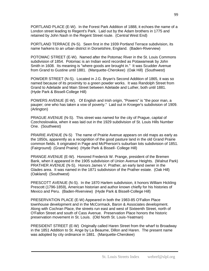PORTLAND PLACE (E-W). In the Forest Park Addition of 1888, it echoes the name of a London street leading to Regent's Park. Laid out by the Adam brothers in 1775 and retained by John Nash in the Regent Street route. (Central West End)

PORTLAND TERRACE (N-S). Seen first in the 1939 Portland Terrace subdivision, its name harkens to an urban district in Dorsetshire, England. (Baden-Riverview)

POTOMAC STREET (E-W). Named after the Potomac River in the St. Louis Commons subdivision of 1854. Potomac is an Indian word recorded as Potawameak by John Smith in 1608. Its meaning is "where goods are brought in." It was Scudder Avenue from Grand to Gustine until 1881. (Marquette-Cherokee) (Oak Hill) (Southwest)

POWDER STREET (N-S). Located in J.G. Bryan's Second Addition of 1865, it was so named because of its proximity to a green powder works. It was Randolph Street from Grand to Adelaide and Main Street between Adelaide and Luther, both until 1881. (Hyde Park & Bissell-College Hill)

POWERS AVENUE (E-W). Of English and Irish origin, "Powers" is "the poor man, a pauper; one who has taken a vow of poverty." Laid out in Kroeger's subdivision of 1909. (Arlington)

PRAGUE AVENUE (N-S). This street was named for the city of Prague, capital of Czechoslovakia, when it was laid out in the 1929 subdivision of St. Louis Hills Number One. (Southwest)

PRAIRIE AVENUE (N-S) The name of Prairie Avenue appears on old maps as early as the 1850s, apparently as a recognition of the good pasture land in the old Grand Prairie common fields. It originated in Page and McPherson's suburban lots subdivision of 1851. (Fairground) (Grand Prairie) (Hyde Park & Bissell- College Hill)

PRANGE AVENUE (E-W). Honored Frederick W. Prange, president of the Bremen Bank, when it appeared in the 1905 subdivision of Union Avenue Heights. (Walnut Park) PRATHER AVENUE (N-S). Honors James V. Prather, an early land owner in the Glades area. It was named in the 1871 subdivision of the Prather estate. (Oak Hill) (Oakland) (Southwest)

PRESCOTT AVENUE (N-S). In the 1870 Harlem subdivision, it honors William Hickling Prescott (1796-1859), American historian and author known chiefly for his histories of Mexico and Peru. (Baden-Riverview) (Hyde Park & Bissell-College Hill)

PRESERVATION PLACE (E-W) Appeared in both the 1983-85 O'Fallon Place townhouse development and in the McCormack, Baron & Associates development. Along with Cochran Place, the streets run east and west of Sixteenth Street, north of O'Fallon Street and south of Cass Avenue. Preservation Place honors the historic preservation movement in St. Louis. (Old North St. Louis-Yeatman)

PRESIDENT STREET (E-W) Originally called Haren Street from the wharf to Broadway in the 1851 Addition to St. Ange by La Beaume, Dillon and Haren. The present name was adopted by city ordinance in 1881. (Marquette-Cherokee)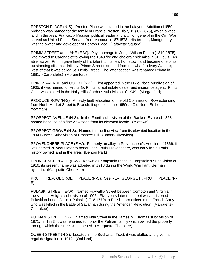PRESTON PLACE (N-S). Preston Place was platted in the Lafayette Addition of l859. It probably was named for the family of Francis Preston Blair, Jr. (l82l-l875), which owned land in the area. Francis, a Missouri political leader and a Union general in the Civil War, served as United States Senator from Missouri in l87l l873. His brother, Montgomery, was the owner and developer of Benton Place. (Lafavette Square)

PRIMM STREET and LANE (E-W). Pays homage to Judge Wilson Primm (1810-1875), who moved to Carondelet following the 1849 fire and cholera epidemics in St. Louis. An able lawyer, Primm gave freely of his talent to his new hometown and became one of its outstanding citizens. Initially, Primm Street extended from the wharf to Ivory Avenue; west of that it was called St. Denis Street. The latter section was renamed Primm in 1881. (Carondelet) (Morganford)

PRINTZ AVENUE and COURT (N-S). First appeared in the Dixie Place subdivision of 1905, it was named for Arthur G. Printz, a real estate dealer and insurance agent. Printz Court was platted in the Holly Hills Gardens subdivision of 1949. (Morganford)

PRODUCE ROW (N-S). A newly built relocation of the old Commission Row extending from North Market Street to Branch, it opened in the 1950s. (Old North St. Louis-Yeatman)

PROSPECT AVENUE (N-S). In the Fourth subdivision of the Ranken Estate of 1868, so named because of a fine view seen from its elevated locale. (Midtown)

PROSPECT GROVE (N-S). Named for the fine view from its elevated location in the 1894 Burke's Subdivision of Prospect Hill. (Baden-Riverview)

PROVENCHERE PLACE (E-W). Formerly an alley in Provenchere's Addition of 1866, it was named 20 years later to honor Jean Louis Provenchere, who early in St. Louis history owned land in the area. (Benton Park)

PROVIDENCE PLACE (E-W). Known as Knapstein Place in Knapstein's Subdivision of 1916, its present name was adopted in 1918 during the World War I anti German hysteria. (Marquette-Cherokee)

PRUITT, REV. GEORGE H. PLACE (N-S). See REV. GEORGE H. PRUITT PLACE (N-S).

PULASKI STREET (E-W). Named Hiawatha Street between Compton and Virginia in the Virginia Heights subdivision of 1902. Five years later the street was christened Pulaski to honor Casimir Pulaski (1718 1779), a Polish-born officer in the French Army who was killed in the Battle of Savannah during the American Revolution. (Marquette-Cherokee)

PUTNAM STREET (N-S). Named Fifth Street in the James M. Thomas subdivision of 1871. In 1883, it was renamed to honor the Putnam family which owned the property through which the street was opened. (Marquette-Cherokee)

QUEEN STREET (N-S). Located in the Buchanan Tract, it was platted and given its regal designation in 1912. (Oakland)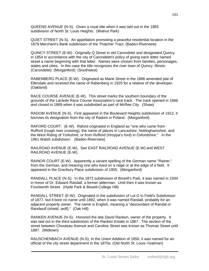QUEENS AVENUE (N-S). Given a royal title when it was laid out in the 1893 subdivision of North St. Louis Heights. (Walnut Park)

QUIET STREET (N-S). An appellation promoting a peaceful residential location in the 1879 Merchant's Bank subdivision of the Thatcher Tract. (Baden-Riverview)

QUINCY STREET (E-W). Originally Q Street in old Carondelet and designated Quincy in 1854 in accordance with the city of Carondelet's policy of giving each letter named street a name beginning with that letter. Names were chosen from families, personages, states and cities. In this case the title recognizes the river town of Quincy, Illinois. (Carondelet) (Morganford) (Southwest)

RABENBERG PLACE (E-W). Originated as Marie Street in the 1886 amended plat of Ellendale and received the name of Rabenberg in 1925 for a relative of the developer. (Oakland)

RACE COURSE AVENUE (E-W). This street marks the southern boundary of the grounds of the Laclede Race Course Association's race track. The track opened in 1866 and closed in 1869 when it was subdivided as part of McRee City. (Shaw)

RADOM AVENUE (N-S). First appeared in the Boulevard Heights subdivision of 1912, it borrows its designation from the city of Radom in Poland. (Morganford)

RAFORD COURT. (E-W). Raford originated in England as "one who came from Rufford (rough river crossing), the name of places in Lancashire, Nottinghamshire, and the West Riding of Yorkshire; or from Rofford (Hroppa's ford) in Oxfordshire." In the 1961 Walsh subdivision. (Baden-Riverview)

RAILROAD AVENUE (E-W). See EAST RAILROAD AVENUE (E-W) and WEST RAILROAD AVENUE (E-W).

RAINOR COURT (E-W). Apparently a variant spelling of the German name "Rainer," from the German, and meaning one who lived on a ridge or at the edge of a field. It appeared in the Granbury Place subdivision of 1955. (Morganford)

RANDALL PLACE (N-S). In the 1873 subdivision of Bissell's Park, it was named in 1934 in honor of Dr. Edward Randall, a former alderman. Until then it was known as Fourteenth Street. (Hyde Park & Bissell-College Hill)

RANDALL STREET (E-W). Originated in the subdivision of Lot G in Field's Subdivision of 1877, but it bore no name until 1892, when it was named Randall, probably for an adjacent property owner. The name is English, meaning a "descendant of Randal or Randwulf (shield, wolf)." (Oak Hill)

RANKEN AVENUE (N-S). Honored the late David Ranken, owner of the property. It was laid out in the third subdivision of the Ranken Estate in 1867. The section of the street between Chouteau Avenue and Caroline Street was known as Thomas Street until 1887. (Midtown)

RAUSCHENBACH AVENUE (N-S). In the Union Addition of 1850, it was named for an official of the city street department in the 1870s. (Old North St. Louis-Yeatman)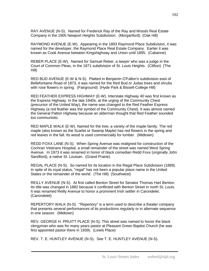RAY AVENUE (N-S). Named for Frederick Ray of the Ray and Woods Real Estate Company in the 1905 Newport Heights Subdivision. (Morganford) (Oak Hill)

RAYMOND AVENUE (E-W). Appearing in the 1893 Raymond Place Subdivision, it was named for the developer, the Raymond Place Real Estate Company. Earlier it was known as Cook Avenue between Kingshighway and Union until 1895. (Cabanne)

REBER PLACE (E-W). Named for Samuel Reber, a lawyer who was a judge in the Court of Common Pleas, in the 1871 subdivision of St. Louis Heights. (Clifton) (The Hill)

RED BUD AVENUE (E-W & N-S). Platted in Benjamin O'Fallon's subdivision east of Bellefontaine Road of 1873, it was named for the Red Bud or Judas trees and shrubs with rose flowers in spring. (Fairground) (Hyde Park & Bissell-College Hill)

RED FEATHER EXPRESS HIGHWAY (E-W). Interstate Highway 40 was first known as the Express Highway. In the late 1940s, at the urging of the Community Chest (precursor of the United Way), the name was changed to the Red Feather Express Highway (a red feather was the symbol of the Community Chest). It was almost named the General Patton Highway because an alderman thought that Red Feather sounded too communistic.

RED MAPLE WALK (E-W). Named for the tree, a variety of the maple family. The red maple (also known as the Scarlet or Swamp Maple) has red flowers in the spring and red leaves in the fall. Its wood is used commercially for lumber. (Midtown)

REDD FOXX LANE (N-S). When Spring Avenue was realigned for construction of the Cochran Veterans Hospital, a small remainder of the street was named West Spring Avenue. In 1973 it was renamed in honor of black comedian Redd Foxx (originally John Sandford), a native St. Louisan. (Grand Prairie)

REGAL PLACE (N-S). So named for its location in the Regal Place Subdivision (1889). In spite of its royal status, "regal" has not been a popular place name in the United States or the remainder of the world. (The Hill) (Southwest)

REILLY AVENUE (N-S). At first called Benton Street for Senator Thomas Hart Benton. Its title was changed in 1882 because it conflicted with Benton Street in north St. Louis. It was renamed Reilly Avenue to honor a prominent Irish settler in Carondelet. (Carondelet)

REPERTORY WALK (N-S). "Repertory" is a term used to describe a theater company that presents several performances of its productions regularly or in alternate sequence in one season. (Midtown)

REV. GEORGE H. PRUITT PLACE (N-S). This street was named to honor the black clergyman who was for many years pastor at Pleasant Green Baptist Church (he was first appointed pastor there in 1939). (Lewis Place)

REV. T. E. HUNTLEY AVENUE (N-S). See T. E. HUNTLEY AVENUE (N-S).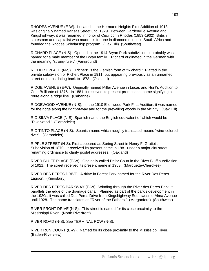RHODES AVENUE (E-W). Located in the Hermann Heights First Addition of 1913, it was originally named Kansas Street until 1929. Between Gardenville Avenue and Kingshighway, it was renamed in honor of Cecil John Rhodes (1853-1902), British statesman and capitalist who made his fortune in diamond mines in South Africa and founded the Rhodes Scholarship program. (Oak Hill) (Southwest)

RICHARD PLACE (N-S) Opened in the 1914 Bryan Park subdivision, it probably was named for a male member of the Bryan family. Richard originated in the German with the meaning "strong-ruler." (Fairground)

RICHERT PLACE (N-S). "Richert" is the Flemish form of "Richard." Platted in the private subdivision of Richert Place in 1911, but appearing previously as an unnamed street on maps dating back to 1878. (Oakland)

RIDGE AVENUE (E-W). Originally named Miller Avenue in Lucas and Hunt's Addition to Cote Brilliante of 1875. In 1881, it received its present promotional name signifying a route along a ridge line. (Cabanne)

RIDGEWOOD AVENUE (N-S). In the 1910 Ellenwood Park First Addition, it was named for the ridge along the right-of-way and for the prevailing woods in the vicinity. (Oak Hill)

RIO SILVA PLACE (N-S). Spanish name the English equivalent of which would be "Riverwood." (Carondelet)

RIO TINTO PLACE (N-S). Spanish name which roughly translated means "wine-colored river". (Carondelet)

RIPPLE STREET (N-S). First appeared as Spring Street in Henry F. Gratiot's Subdivision of 1870. It received its present name in 1881 under a major city street renaming ordinance to clarify postal addresses. (Oakland)

RIVER BLUFF PLACE (E-W). Originally called Delor Court in the River Bluff subdivision of 1921. The street received its present name in 1953. (Marquette-Cherokee)

RIVER DES PERES DRIVE. A drive in Forest Park named for the River Des Peres Lagoon. (Kingsbury)

RIVER DES PERES PARKWAY (E-W). Winding through the River des Peres Park, it parallels the edge of the drainage canal. Planned as part of the park's development in the 1920s, it was called Des Peres Drive from Kingshighway Southwest to Alma Avenue until 1928. The name translates as "River of the Fathers." (Morganford) (Southwest)

RIVER FRONT DRIVE (N-S). This street is named for its close proximity to the Mississippi River. (North Riverfront)

RIVER ROAD (N-S). See TERMINAL ROW (N-S).

RIVER RUN COURT (E-W). Named for its close proximity to the Mississippi River. (Baden-Riverview)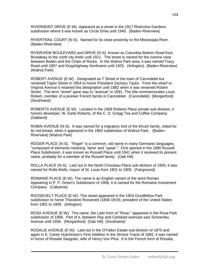RIVERMONT DRIVE (E-W). Appeared as a street in the 1917 Riverview Gardens subdivision where it was known as Circle Drive until 1940. (Baden-Riverview)

RIVERTRAIL COURT (N-S). Named for its close proximity to the Mississippi River. (Baden-Riverview)

RIVERVIEW BOULEVARD and DRIVE (N-S). Known as Columbia Bottom Road from Broadway to the north city limits until 1911. The street is named for the riverine vista between Baden and the Chain of Rocks. In the Walnut Park area, it was named Tracy Road until 1907 and Kingshighway Northwest until 1925. (Arlington) (Baden-Riverview) (Walnut Park)

ROBERT AVENUE (E-W). Designated as T Street in the town of Carondelet but renamed Taylor Street in 1854 to honor President Zachary Taylor. From the wharf to Virginia Avenue it retained this designation until 1882 when it was renamed Robert Street. The term "street" gave way to "avenue" in 1891. The title commemorates Louis Robert, member of a pioneer French family in Carondelet. (Carondelet) (Morganford) (Southwest)

ROBERTS AVENUE (E-W). Located in the 1908 Roberts Place private sub-division, it honors developer, W. Earle Roberts, of the C. D. Gregg Tea and Coffee Company. (Oakland)

ROBIN AVENUE (N-S). It was named for a migratory bird of the thrush family, noted for its red breast, when it appeared in the 1892 subdivision of Walnut Park, (Baden-Riverview) (Walnut Park)

ROGER PLACE (N-S). "Roger" is a common, old name in many Germanic languages, "composed of elements meaning `fame' and `spear'." First opened in the 1890 Russell Place Subdivision, it was known as Russell Place until 1941 when it received its present name, probably for a member of the Russell family. (Oak Hill)

ROLLA PLACE (N-S). Laid out in the North Chouteau Place sub-division of 1905, it was named for Rolla Wells, mayor of St. Louis from 1901 to 1909. (Fairground)

ROMAINE PLACE (E-W). The name is an English variant of the word Roman. Appearing in P. P. Green's Subdivision of 1906, it is named for the Romaine Investment Company. (Cabanne)

ROOSEVELT PLACE (E-W). This street appeared in the 1904 Goodfellow Park subdivision to honor Theodore Roosevelt (1858-1919), president of the United States from 1901 to 1909. (Arlington)

ROSA AVENUE (E-W). The name, the Latin form of "Rose." appeared in the Rosa Park subdivision of 1906. Part of it, between Ray and Carlsbad avenues was Schoenlau Avenue until 1936. (Morganford) (Oak Hill) (Southwest)

ROSALIE AVENUE (E-W). Laid out in the O'Fallon Estate sub-division of 1870 and again in E. Carter Hutchinson's First Addition in the Shreve Tracts of 1882, it was named in honor of Rosalie Saugrain, wife of Henry Von Phul. It is the French form of Rosalia,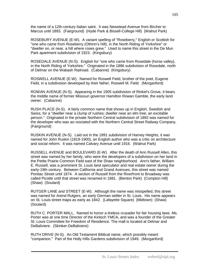the name of a 12th-century Italian saint. It was Newstead Avenue from Bircher to Marcus until 1893. (Fairground) (Hyde Park & Bissell-College Hill) (Walnut Park)

ROSEBURY AVENUE (E-W). A variant spelling of "Roseberry," English or Scottish for "one who came from Roseberry (Othinn's Hill), in the North Riding of Yorkshire" or "dweller on, or near, a hill where roses grew." Used to name this street in the De Mun Park apartment subdivision of 1923. (Kingsbury)

ROSEDALE AVENUE (N-S). English for "one who came from Rosedale (horse valley), in the North Riding of Yorkshire." Originated in the 1886 subdivision of Rosedale, north of Delmar on the Wabash Railroad. (Cabanne) (Kingsbury)

ROSWELL AVENUE (E-W). Named for Roswell Field, brother of the poet, Eugene Field, in a subdivision developed by their father, Roswell M. Field. (Morganford)

ROWAN AVENUE (N-S). Appearing in the 1905 subdivision of Rinkel's Grove, it bears the middle name of former Missouri governor Hamilton Rowan Gamble, the early land owner. (Cabanne)

RUSH PLACE (N-S). A fairly common name that shows up in English, Swedish and Swiss, for a "dweller near a clump of rushes; dweller near an elm tree; an excitable person." Originated in the private Northern Central subdivision of 1892 was named for the developer who was as¬sociated with the Northern Central Street Railway Company. (Fairground)

RUSKIN AVENUE (N-S). Laid out in the 1891 subdivision of Harney Heights, it was named for John Ruskin (1819-1900), an English author who was a critic on architecture and social reform. It was named Calvary Avenue until 1916. (Walnut Park)

RUSSELL AVENUE and BOULEVARD (E-W). After the death of Ann Russell Allen, this street was named by her family, who were the developers of a subdivision on her land in the Petite Prairie Common Field east of the Shaw neighborhood. Ann's father, William E. Russell, was a prominent St. Louis land speculator and real estate owner during the early-19th century. Between California and Grand Avenues, this street was named Pontiac Street until 1874. A section of Russell from the Riverfront to Broadway was called Picotte until that street was renamed in 1881. (Benton Park) (Compton Hill) (Shaw) (Soulard)

RUTGER LANE and STREET (E-W). Although the name was misspelled, this street was named for Arend Rutgers, an early German settler in St. Louis. His name appears on St. Louis street maps as early as 1842. (Lafayette Square) (Midtown) (Shaw) (Soulard)

RUTH C. PORTER MALL. Named to honor a tireless crusader for fair housing laws. Ms. Porter was at one time Director of the Kinloch YMCA, and was a founder of the Greater St. Louis Committee for Freedom of Residence. The mall is located at Delmar and DeBaliviere. (Skinker-DeBaliviere)

RUTH DRIVE (N-S). An Old Testament Biblical name, which possibly meant "companion." Part of the Holly Hills Gardens subdivision of 1949. (Morganford)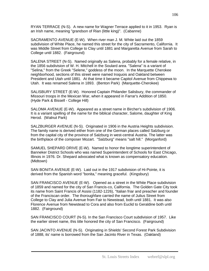RYAN TERRACE (N-S). A new name for Wagner Terrace applied to it in 1953. Ryan is an Irish name, meaning "grandson of Rian (little king)". (Cabanne)

SACRAMENTO AVENUE (E-W). When river man J. M. White laid out the 1859 subdivision of White Place, he named this street for the city of Sacramento, California. It was Middle Street from College to Clay until 1881 and Margaretta Avenue from Sarah to College until 1882. (Fairground)

SALENA STREET (N-S). Named originally as Salena, probably for a female relative, in the 1856 subdivision of W. H. Mitchell in the Soulard area. "Salena" is a variant of "Selina," from the Greek "Selene," goddess of the moon. In the Marquette Cherokee neighborhood, sections of this street were named Iroquois and Oakland between President and Utah until 1881. At that time it became Capitol Avenue from Chippewa to Utah. It was renamed Salena in 1893. (Benton Park) (Marquette-Cherokee)

SALISBURY STREET (E-W). Honored Captain Philander Salisbury, the commander of Missouri troops in the Mexican War, when it appeared in Farrar's Addition of 1850. (Hyde Park & Bissell - College Hill)

SALOMA AVENUE (E-W). Appeared as a street name in Bircher's subdivision of 1906. It is a variant spelling of the name for the biblical character, Salome, daughter of King Herod. (Walnut Park)

SALZBURGER AVENUE (N-S). Originated in 1906 in the Austria Heights subdivision. The family name is derived either from one of the German places called Salzburg or from the capital city of the province of Salzburg in west-central Austria. The latter was the birthplace of the composer Mozart. "Salzburg" means "salt hill." (Morganford)

SAMUEL SHEPARD DRIVE (E-W). Named to honor the longtime superintendent of Banneker District Schools who was named Superintendent of Schools for East Chicago, Illinois in 1976. Dr. Shepard advocated what is known as compensatory education. (Midtown)

SAN BONITA AVENUE (E-W). Laid out in the 1917 subdivision of Hi-Pointe, it is derived from the Spanish word "bonita," meaning graceful. (Kingsbury)

SAN FRANCISCO AVENUE (E-W). Opened as a street in the White Place subdivision of 1859 and named for the city of San Francis-co, California. The Golden Gate City took its name from Saint Francis of Assisi (1182-1226), "Italian friar and preacher and founder of the Franciscan order. The thoroughfare carried the name of Julius Street from College to Clay and Julia Avenue from Fair to Newstead, both until 1881. It was also Florence Avenue from Newstead to Cora and also from Euclid to Geraldine both until 1882. (Fairground)

SAN FRANCISCO COURT (N-S). In the San Francisco Court subdivision of 1957. Like the earlier street name, this title honored the city of San Francisco. (Fairground)

SAN JACINTO AVENUE (N-S). Originating in Shields' Second Forest Park Subdivision of 1888, its' name is borrowed from the San Jacinto River in Texas. (Oakland)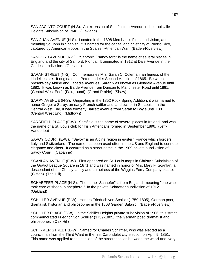SAN JACINTO COURT (N-S). An extension of San Jacinto Avenue in the Louisville Heights Subdivision of 1946. (Oakland)

SAN JUAN AVENUE (N-S). Located in the 1898 Merchant's First subdivision, and meaning St. John in Spanish, it is named for the capital and chief city of Puerto Rico, captured by American troops in the Spanish-American War. (Baden-Riverview)

SANFORD AVENUE (N-S). "Sanford" ("sandy ford" is the name of several places in England and the city of Sanford, Florida. It originated in 1912 at Dale Avenue in the Glades subdivision. (Oakland)

SARAH STREET (N-S). Commemorates Mrs. Sarah C. Coleman, an heiress of the Lindell estate. It originated in Peter Lindell's Second Addition of 1865. Between present-day Aldine and Labadie Avenues, Sarah was known as Glendale Avenue until 1882. It was known as Bartle Avenue from Duncan to Manchester Road until 1891. (Central West End) (Fairground) (Grand Prairie) (Shaw)

SARPY AVENUE (N-S). Originating in the 1852 Rock Spring Addition, it was named to honor Gregoire Sarpy, an early French settler and land owner in St. Louis. In the Central West End, it was formerly Barrett Avenue from Sarah to Boyle until 1881. (Central West End) (Midtown)

SARSFIELD PLACE (E-W). Sarsfield is the name of several places in Ireland, and was the name of a St. Louis club for Irish Americans formed in September 1896. (Jeff-Vanderlou)

SAVOY COURT (E-W). "Savoy" is an Alpine region in eastern France which borders Italy and Switzerland. The name has been used often in the US and England to connote elegance and class. It occurred as a street name in the 1909 private subdivision of Savoy Court. (Cabanne)

SCANLAN AVENUE (E-W). First appeared on St. Louis maps in Christy's Subdivision of the Gratiot League Square in 1871 and was named in honor of Mrs. Mary F. Scanlan, a descendant of the Christy family and an heiress of the Wiggins Ferry Company estate. (Clifton) (The Hill)

SCHAEFFER PLACE (N-S). The name "Schaefer" is from England, meaning "one who took care of sheep, a shepherd." In the private Schaeffer subdivision of 1912. (Oakland)

SCHILLER AVENUE (E-W). Honors Friedrich von Schiller (1759-1805), German poet, dramatist, historian and philosopher in the 1868 Garden Suburb. (Baden-Riverview)

SCHILLER PLACE (E-W). In the Schiller Heights private subdivision of 1906, this street commemorated Friedrich von Schiller (1759-1805), the German poet, dramatist and philosopher. (Oak Hill)

SCHIRMER STREET (E-W). Named for Charles Schirmer, who was elected as a councilman from the Third Ward in the first Carondelet city election on April 9, 1851. This name was applied to the section of the street that lies between the wharf and Ivory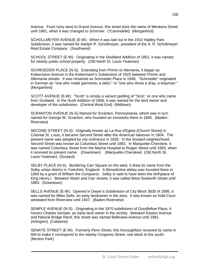Avenue. From Ivory west to Grand Avenue, this street bore the name of Menkens Street until 1881, when it was changed to Schirmer. (\*Carondelet) (Morganford)

SCHOLLMEYER AVENUE (E-W). When it was laid out in the 1910 Hadley Park Subdivision, it was named for Adolph R. Schollmeyer, president of the A. R. Schollmeyer Real Estate Company. (Southwest)

SCHOOL STREET (E-W). Originating in the Stoddard Addition of 1851, it was named for nearby public school property. (Old North St. Louis-Yeatman)

SCHROEDER PLACE (N-S). Extending from Primm to Alemania, it began as Kobermann Avenue in the Kobermann's Subdivision of 1925 between Primm and Allemania streets. It was renamed as Schroeder Place in 1948. "Schroeder" originated in German as "one who made garments, a tailor;" or "one who drove a dray, a drayman." (Morganford)

SCOTT AVENUE (E-W). "Scott" is simply a variant spelling of "Scot," or one who came from Scotland. In the Scott Addition of 1856, it was named for the land owner and developer of the subdivision. (Central West End) (Midtown)

SCRANTON AVENUE (N-S) Named for Scranton, Pennsylvania, which was in turn named for George W. Scranton, who founded an ironworks there in 1840. (Baden-Riverview)

SECOND STREET (N-S). Originally known as La Rue d'Eglise (Church Street) in Colonial St. Louis, it became Second Street after the American takeover in 1804. The present name was adopted by city ordinance in 1826. In the Soulard neighborhood, Second Street was known as Columbus Street until 1883. In Marquette-Cherokee, it was named Columbus Street from the Marine Hospital to Rutger Street until 1883, when it received its present name. (Downtown) (Marquette-Cherokee) (Old North St. Louis-Yeatman) (Soulard)

SELBY PLACE (N-S). Bordering Carr Square on the west, it drew its name from the Selby urban district in Yorkshire, England. A Benedictine abbey was founded there in 1069 by a grant of William the Conqueror. Selby is said to have been the birthplace of King Henry I. Between Wash and Carr streets, it was called West Sixteenth Street until 1883. (Downtown)

SELLS AVENUE (E-W). Opened in Dwyer's Subdivision of City Block 3830 of 1895, it was named for Miles Sells, an early landowner in the area. It was known as Kidd Court westward from Riverview until 1947. (Baden-Riverview)

SEMPLE AVENUE (N-S). Originating in the 1870 subdivision of Goodfellow Place, it honors Charles Semple, an early land owner in the vicinity. Between Easton Avenue and Natural Bridge Rand, this street was named Belleview Avenue until 1881. (Arlington) (Cabanne)

SENATE STREET (E-W). Formerly Penn Street, this thoroughfare received its name in l94l to make it correspond to the nearby Congress Street, one block to the south. (Benton Park)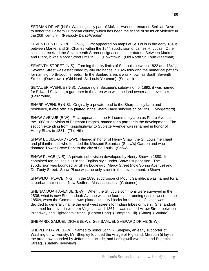SERBIAN DRIVE (N-S). Was originally part of McNair Avenue; renamed Serbian Drive to honor the Eastern European country which has been the scene of so much violence in the 20th century. (Peabody Darst-Webbe)

SEVENTEENTH STREET (N-S). First appeared on maps of St. Louis in the early 1840s between Market and St. Charles within the 1844 subdivision of James H. Lucas. Other sections received the Seventeenth Street designation at later dates. Between Market and Clark, it was Moore Street until 1933. (Downtown) (Old North St. Louis-Yeatman)

SEVENTH STREET (N-S). Forming the city limits of St. Louis between 1822 and 1841, Seventh Street was established by city ordinance in 1826 following the numerical pattern for naming north-south streets. In the Soulard area, it was known as South Seventh Street. (Downtown) (Old North St. Louis-Yeatman) (Soulard)

SEXAUER AVENUE (N-S). Appearing in Sexauer's subdivision of 1892, it was named for Edward Sexauer, a gardener in the area who was the land owner and developer. (Fairground)

SHARP AVENUE (N-S). Originally a private road to the Sharp family farm and residence, it was officially platted in the Sharp Place subdivision of 1950. (Morganford)

SHAW AVENUE (E-W). First appeared in the Hill community area as Phare Avenue in the 1868 subdivision of Fairmont Heights, named for a partner in the development. The section extending from Kingshighway to Sublette Avenue was renamed in honor of Henry Shaw in 1881. (The Hill)

SHAW BOULEVARD (E-W). Named in honor of Henry Shaw, the St. Louis merchant and philanthropist who founded the Missouri Botanical (Shaw's) Garden and who donated Tower Grove Park to the city of St. Louis. (Shaw)

SHAW PLACE (N-S). A private subdivision developed by Henry Shaw in 1880. It contained ten houses built in the English style under Shaw's supervision. The subdivision was bounded by Shaw boulevard, Mercy Street (now Spring Avenue) and De Tonty Street. Shaw Place was the only street in the development. (Shaw)

SHAWMUT PLACE (N-S). In the 1890 subdivision of Mount Gamble, it was named for a suburban district near New Bedford, Massachusetts. (Cabanne)

SHENANDOAH AVENUE (E-W). When the St. Louis commons were surveyed in the 1836, what is now Shenandoah Avenue was the fourth lane running east to west. In the 1850s, when the Commons was platted into city blocks for the sale of lots, it was decided to generally name the east west streets for Indian tribes or rivers. Shenandoah is named for a river in western Virginia. Until 1867, it was named Arrow Street between Broadway and Eighteenth Street. (Benton Park) (Compton Hill) (Shaw) (Soulard)

SHEPARD, SAMUEL DRIVE (E-W). See SAMUEL SHEPARD DRIVE (E-W).

SHEPLEY DRIVE (E-W). Named to honor John R. Shepley, an early supporter of Washington University. Mr. Shepley founded the village of Highland, Missouri (it lay in the area now bounded by Jefferson, Laclede, and Leffingwell Avenues and Eugenia Street). (Baden-Riverview)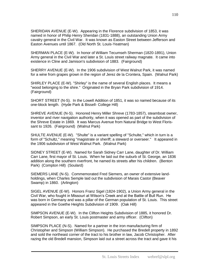SHERIDAN AVENUE (E-W). Appearing in the Florence subdivision of 1853, it was named in honor of Philip Henry Sheridan (1831-1888), an outstanding Union Army cavalry general in the Civil War. It was known as Easton Street between Jefferson and Easton Avenues until 1867. (Old North St. Louis-Yeatman)

SHERMAN PLACE (E-W). In honor of William Tecumseh Sherman (1820-1891), Union Army general in the Civil War and later a St. Louis street railway magnate. It came into existence in Cline and Jamison's subdivision of 1883. (Fairground)

SHERRY AVENUE (E-W). In the 1906 subdivision of West Walnut Park, it was named for a wine from grapes grown in the region of Jerez de la Crontera, Spain. (Walnut Park)

SHIRLEY PLACE (E-W). "Shirley" is the name of several English places. It means a "wood belonging to the shire." Originated in the Bryan Park subdivision of 1914. (Fairground)

SHORT STREET (N-S). In the Lowell Addition of 1851, it was so named because of its one-block length. (Hyde Park & Bissell- College Hill)

SHREVE AVENUE (N-S). Honored Henry Miller Shreve (1783-1857), steamboat owner, inventor and river navigation authority, when it was opened as part of the subdivision of the Shreve Estate in 1869. It was Marcus Avenue from Natural Bridge to West Florissant to 1926. (Fairground) (Walnut Park)

SHULTE AVENUE (E-W). "Shulte" is a variant spelling of "Schulte," which in turn is a form of "Schultz," meaning "magistrate or sheriff; a steward or overseer." It appeared in the 1906 subdivision of West Walnut Park. (Walnut Park)

SIDNEY STREET (E-W). Named for Sarah Sidney Carr Lane, daughter of Dr. William Carr Lane, first mayor of St. Louis. When he laid out the suburb of St. George, an 1836 addition along the southern riverfront, he named its streets after his children. (Benton Park) (Compton Hill) (Soulard)

SIEMERS LANE (N-S). Commemorated Fred Siemers, an owner of extensive landholdings, when Charles Semple laid out the subdivision of Marais Castor (Beaver Swamp) in 1860. (Arlington)

SIGEL AVENUE (E-W). Honors Franz Sigel (1824-1902), a Union Army general in the Civil War, who fought in Missouri at Wilson's Creek and at the Battle of Bull Run. He was born in Germany and was a pillar of the German population of St. Louis. This street appeared in the Goethe Heights Subdivision of 1909. (Oak Hill)

SIMPSON AVENUE (E-W). In the Clifton Heights Subdivision of 1885, it honored Dr. Robert Simpson, an early St. Louis postmaster and army officer. (Clifton)

SIMPSON PLACE (N-S). Named for a partner in the iron manufacturing firm of Christopher and Simpson (William Simpson). He purchased the Bredell property in 1892 and sold the northeast corner of the tract to his brother in law, Jacob Christopher. After razing the old Bredell mansion, Simpson laid out a street across the tract and gave it his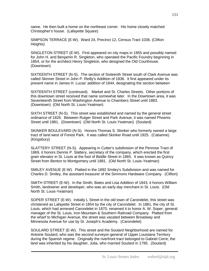name. He then built a home on the northeast corner. His home closely matched Christopher's house. (Lafayette Square)

SIMPSON TERRACE (E-W). Ward 24, Precinct 12, Census Tract 1036. (Clifton Heights)

SINGLETON STREET (E-W). First appeared on city maps in 1855 and possibly named for John H. and Benjamin R. Singleton, who operated the Pacific Foundry beginning in 1854, or for the architect Henry Singleton, who designed the Old Courthouse. (Downtown)

SIXTEENTH STREET (N-S). The section of Sixteenth Street south of Clark Avenue was called Skinner Street in John P. Reilly's Addition of 1836. It first appeared under its present name in James H. Lucas' addition of 1844, designating the section between

SIXTEENTH STREET (continued). Market and St. Charles Streets. Other portions of this downtown street received that name somewhat later. In the Downtown area, it was Seventeenth Street from Washington Avenue to Chambers Street until 1883. (Downtown) (Old North St. Louis-Yeatman)

SIXTH STREET (N-S). This street was established and named by the general street ordinance of 1826. Between Rutger Street and Park Avenue, it was named Phoenix Street until 1881. (Downtown) (Old North St. Louis-Yeatman) (Soulard)

SKINKER BOULEVARD (N-S). Honors Thomas S. Skinker who formerly owned a large tract of land west of Forest Park. It was called Skinker Road until 1925. (Cabanne) (Kingsbury)

SLATTERY STREET (N-S). Appearing in Cutter's subdivision of the Penrose Tract of 1869, it honors Dennis P. Slattery, secretary of the company, which erected the first grain elevator in St. Louis at the foot of Biddle Street in 1865. It was known as Quincy Street from Benton to Montgomery until 1881. (Old North St. Louis-Yeatman)

SMILEY AVENUE (E-W). Platted in the 1892 Smiley's Subdivision and was named for Charles D. Smiley, the assistant treasurer of the Simmons Hardware Company. (Clifton)

SMITH STREET (E-W). In the Smith, Bates and Lisa Addition of 1843, it honors William Smith, landowner and developer, who was an early day merchant in St. Louis. (Old North St. Louis-Yeatman)

SOPER STREET (E-W). Initially L Street in the old town of Carondelet, this street was christened as Lafayette Street in 1854 by the city of Carondelet. In 1881, the city of St. Louis, which had annexed Carondelet in 1870, renamed it to honor A. W. Soper, general manager of the St. Louis, Iron Mountain & Southern Railroad Company. Platted from the wharf to Michigan Avenue, the street was vacated between Broadway and Minnesota Avenue for use by St. Joseph's Academy. (Carondelet)

SOULARD STREET (E-W). This street and the Soulard Neighborhood are named for Antoine Soulard, who was the second surveyor-general of Upper Louisiana Territory during the Spanish regime. Originally the riverfront tract belonged to Gabriel Cerre; the land was inherited by his daughter, Julia, who married Soulard in 1795. (Soulard)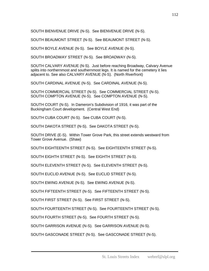SOUTH BIENVENUE DRIVE (N-S). See BIENVENUE DRIVE (N-S).

SOUTH BEAUMONT STREET (N-S). See BEAUMONT STREET (N-S).

SOUTH BOYLE AVENUE (N-S). See BOYLE AVENUE (N-S).

SOUTH BROADWAY STREET (N-S). See BROADWAY (N-S).

SOUTH CALVARY AVENUE (N-S). Just before reaching Broadway, Calvary Avenue splits into northernmost and southernmost legs. It is named for the cemetery it lies adjacent to. See also CALVARY AVENUE (N-S). (North Riverfront)

SOUTH CARDINAL AVENUE (N-S). See CARDINAL AVENUE (N-S).

SOUTH COMMERCIAL STREET (N-S). See COMMERCIAL STREET (N-S). SOUTH COMPTON AVENUE (N-S). See COMPTON AVENUE (N-S).

SOUTH COURT (N-S). In Dameron's Subdivision of 1916, it was part of the Buckingham Court development. (Central West End)

SOUTH CUBA COURT (N-S). See CUBA COURT (N-S).

SOUTH DAKOTA STREET (N-S). See DAKOTA STREET (N-S).

SOUTH DRIVE (E-S). Within Tower Grove Park, this street extends westward from Tower Grove Avenue. (Shaw)

SOUTH EIGHTEENTH STREET (N-S). See EIGHTEENTH STREET (N-S).

SOUTH EIGHTH STREET (N-S). See EIGHTH STREET (N-S).

SOUTH ELEVENTH STREET (N-S). See ELEVENTH STREET (N-S).

SOUTH EUCLID AVENUE (N-S). See EUCLID STREET (N-S).

SOUTH EWING AVENUE (N-S). See EWING AVENUE (N-S).

SOUTH FIFTEENTH STREET (N-S). See FIFTEENTH STREET (N-S).

SOUTH FIRST STREET (N-S). See FIRST STREET (N-S).

SOUTH FOURTEENTH STREET (N-S). See FOURTEENTH STREET (N-S).

SOUTH FOURTH STREET (N-S). See FOURTH STREET (N-S).

SOUTH GARRISON AVENUE (N-S). See GARRISON AVENUE (N-S).

SOUTH GASCONADE STREET (N-S). See GASCONADE STREET (N-S).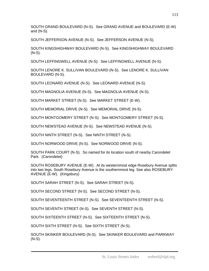SOUTH GRAND BOULEVARD (N-S). See GRAND AVENUE and BOULEVARD (E-W) and (N-S).

SOUTH JEFFERSON AVENUE (N-S). See JEFFERSON AVENUE (N-S).

SOUTH KINGSHIGHWAY BOULEVARD (N-S). See KINGSHIGHWAY BOULEVARD (N-S).

SOUTH LEFFINGWELL AVENUE (N-S). See LEFFINGWELL AVENUE (N-S).

SOUTH LENORE K. SULLIVAN BOULEVARD (N-S). See LENORE K. SULLIVAN BOULEVARD (N-S).

SOUTH LEONARD AVENUE (N-S). See LEONARD AVENUE (N-S).

SOUTH MAGNOLIA AVENUE (N-S). See MAGNOLIA AVENUE (N-S).

SOUTH MARKET STREET (N-S). See MARKET STREET (E-W).

SOUTH MEMORIAL DRIVE (N-S). See MEMORIAL DRIVE (N-S).

SOUTH MONTGOMERY STREET (N-S). See MONTGOMERY STREET (N-S).

SOUTH NEWSTEAD AVENUE (N-S). See NEWSTEAD AVENUE (N-S).

SOUTH NINTH STREET (N-S). See NINTH STREET (N-S).

SOUTH NORWOOD DRIVE (N-S). See NORWOOD DRIVE (N-S).

SOUTH PARK COURT (N-S). So named for its location south of nearby Carondelet Park. (Carondelet)

SOUTH ROSEBURY AVENUE (E-W). At its westernmost edge Rosebury Avenue splits into two legs. South Rosebury Avenue is the southernmost leg. See also ROSEBURY AVENUE (E-W). (Kingsbury)

SOUTH SARAH STREET (N-S). See SARAH STREET (N-S).

SOUTH SECOND STREET (N-S). See SECOND STREET (N-S).

SOUTH SEVENTEENTH STREET (N-S). See SEVENTEENTH STREET (N-S).

SOUTH SEVENTH STREET (N-S). See SEVENTH STREET (N-S).

SOUTH SIXTEENTH STREET (N-S). See SIXTEENTH STREET (N-S).

SOUTH SIXTH STREET (N-S). See SIXTH STREET (N-S).

SOUTH SKINKER BOULEVARD (N-S). See SKINKER BOULEVARD and PARKWAY (N-S).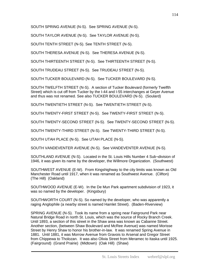SOUTH SPRING AVENUE (N-S). See SPRING AVENUE (N-S).

SOUTH TAYLOR AVENUE (N-S). See TAYLOR AVENUE (N-S).

SOUTH TENTH STREET (N-S). See TENTH STREET (N-S).

SOUTH THERESA AVENUE (N-S). See THERESA AVENUE (N-S).

SOUTH THIRTEENTH STREET (N-S). See THIRTEENTH STREET (N-S).

SOUTH TRUDEAU STREET (N-S). See TRUDEAU STREET (N-S).

SOUTH TUCKER BOULEVARD (N-S). See TUCKER BOULEVARD (N-S).

SOUTH TWELFTH STREET (N-S). A section of Tucker Boulevard (formerly Twelfth Street) which is cut off from Tucker by the I-44 and I-55 interchanges at Geyer Avenue and thus was not renamed. See also TUCKER BOULEVARD (N-S). (Soulard)

SOUTH TWENTIETH STREET (N-S). See TWENTIETH STREET (N-S).

SOUTH TWENTY-FIRST STREET (N-S). See TWENTY-FIRST STREET (N-S).

SOUTH TWENTY-SECOND STREET (N-S). See TWENTY-SECOND STREET (N-S).

SOUTH TWENTY-THIRD STREET (N-S). See TWENTY-THIRD STREET (N-S).

SOUTH UTAH PLACE (N-S). See UTAH PLACE (N-S).

SOUTH VANDEVENTER AVENUE (N-S). See VANDEVENTER AVENUE (N-S).

SOUTHLAND AVENUE (N-S). Located in the St. Louis Hills Number 4 Sub¬division of 1946, it was given its name by the developer, the Willmore Organization. (Southwest)

SOUTHWEST AVENUE (E-W). From Kingshighway to the city limits was known as Old Manchester Road until 1917, when it was renamed as Southwest Avenue. (Clifton) (The Hill) (Oakland)

SOUTHWOOD AVENUE (E-W). In the De Mun Park apartment subdivision of 1923, it was so named by the developer. (Kingsbury)

SOUTHWORTH COURT (N-S). So named by the developer, who was apparently a raging Anglophile (a nearby street is named Hamlet Street). (Baden-Riverview)

SPRING AVENUE (N-S). Took its name from a spring near Fairground Park near Natural Bridge Road in north St. Louis, which was the source of Rocky Branch Creek. Until 1893, a section of this street in the Shaw area was known as Cabanne Street. Another section, (between Shaw Boulevard and McRee Avenue) was named Morisse Street by Henry Shaw to honor his brother-in-law. It was renamed Spring Avenue in 1881. Until 1881, it was Morrow Avenue from Gravois to Arsenal and Gregor Street from Chippewa to Tholozan. It was also Olivia Street from Meramec to Itaska until 1925. (Fairground) (Grand Prairie) (Midtown) (Oak Hill) (Shaw)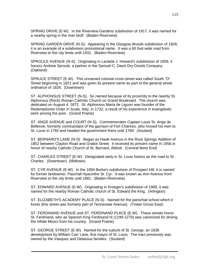SPRING DRIVE (E-W). In the Riverview Gardens subdivision of 1917, it was named for a nearby spring in the river bluff. (Baden-Riverview)

SPRING GARDEN DRIVE (N-S). Appearing in the Glasgow Woods subdivision of 1928, it is an example of a subdivision promotional name. It was a 60 foot wide road from Riverview to the city limits until 1931. (Baden-Riverview)

SPROULE AVENUE (N-S). Originating in Laclede J. Howard's subdivision of 1909, it honors Andrew Sproule, a partner in the Samuel C. Davis Dry Goods Company. (Oakland)

SPRUCE STREET (E-W). This unnamed colonial cross-street was called South "D" Street beginning in 1821 and was given its present name as part of the general street ordinance of 1826. (Downtown)

ST. ALPHONSUS STREET (N-S). So named because of its proximity to the nearby St. Alphonsus (Rock) Roman Catholic Church on Grand Boulevard. The church was dedicated on August 4, 1872. St. Alphonsus Maria de Liguori was founder of the Redemptionist Order in Scala, Italy, in 1732, a result of his experience in evangelistic work among the poor. (Grand Prairie)

ST. ANGE AVENUE and COURT (N-S). Commemorates Captain Louis St. Ange de Bellerive, formerly commandant of the garrison of Fort Chartres, who moved his men to St. Louis in 1765 and headed the government there until 1769. (Soulard)

ST. BERNARD'S LANE (N-S). Began as Hawk Avenue in the Rock Springs Addition of 1852 between Clayton Road and Gratiot Street. It received its present name in 1956 in honor of nearby Catholic Church of St. Bernard, Abbott. (Central West End)

ST. CHARLES STREET (E-W). Designated early in St. Louis history as the road to St. Charles. (Downtown) (Midtown)

ST. CYR AVENUE (E-W). In the 1894 Burke's subdivision of Prospect Hill, it is named for former landowner, Paschall Hyacinthe St. Cyr. It was known as Ann Avenue from Riverview to the city limits until 1881. (Baden-Riverview)

ST. EDWARD AVENUE (E-W). Originating in Kroeger's subdivision of 1909, it was named for the nearby Roman Catholic church of St. Edward the King. (Arlington)

ST. ELIZABETH'S ACADEMY PLACE (N-S). Named for the parochial school which it fronts (this street was formerly part of Tennessee Avenue). (Tower Grove East)

ST. FERDINAND AVENUE and ST. FERDINAND PLACE (E-W). These streets honor St. Ferdinand, who as Spanish King Ferdinand III (1199-1270) was canonized for driving the infidel Moors from his country. (Grand Prairie)

ST. GEORGE STREET (E-W). Named for the suburb of St. George, an 1836 development by William Carr Lane, first mayor of St. Louis. The tract previously was owned by the Vasquez and Delassus families. (Soulard)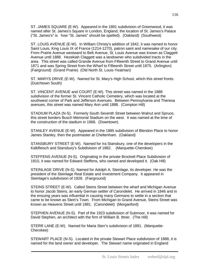ST. JAMES SQUARE (E-W). Appeared in the 1891 subdivision of Greenwood, it was named after St. James's Square in London, England, the location of St. James's Palace ("St. James's" is how "St. James" should be spelled). (Oakland) (Southwest)

ST. LOUIS AVENUE (E-W). In William Christy's addition of 1842, it was named to honor Saint Louis, King Louis IX of France (1214-1270), patron saint and namesake of our city. From Prairie Avenue westward to Belt Avenue, St. Louis Avenue was known as Claggett Avenue until 1888. Hezekiah Claggett was a landowner who subdivided tracts in the area. This street was called Grande Avenue from Fifteenth Street to Grand Avenue until 1871 and was Spring Street from the Wharf to Fifteenth Street until 1875. (Arlington) (Fairground) (Grand Prairie) (Old North St. Louis-Yeatman)

ST. MARYS DRIVE (E-W). Named for St. Mary's High School, which this street fronts. (Dutchtown South)

ST. VINCENT AVENUE and COURT (E-W). This street was named in the 1888 subdivision of the former St. Vincent Catholic Cemetery, which was located at the southwest corner of Park and Jefferson Avenues. Between Pennsylvania and Theresa avenues, this street was named Mary Ann until 1888. (Compton Hill)

STADIUM PLAZA (N-S). Formerly South Seventh Street between Walnut and Spruce, this street borders Busch Memorial Stadium on the west. It was named at the time of the construction of the stadium in 1966. (Downtown)

STANLEY AVENUE (E-W). Appeared in the 1885 subdivision of Blendon Place to honor James Stanley, then the postmaster at Cheltenham. (Oakland)

STANSBURY STREET (E-W). Named for Ira Stansbury, one of the developers in the Kalbfleisch and Stansbury's Subdivision of 1882. (Marquette-Cherokee)

STEFFENS AVENUE (N-S). Originating in the private Brockett Place Subdivision of 1910, it was named for Edward Steffens, who owned and developed it. (Oak Hill)

STEINLAGE DRIVE (N-S). Named for Adolph A. Steinlage, its developer. He was the president of the Steinlage Real Estate and Investment Company. It appeared in Steinlage's subdivision of 1928. (Fairground)

STEINS STREET (E-W). Called Steins Street between the wharf and Michigan Avenue to honor Jacob Steins, an early German settler of Carondelet. He arrived in 1846 and in the ensuing years was influential in causing many Germans to settle in a section that came to be known as Stein's Town. From Michigan to Grand Avenue, Steins Street was known as Heavens Street until 1881. (Carondelet) (Morganford)

STEPHEN AVENUE (N-S). Part of the 1923 subdivision of Submoor, it was named for David Stephen, an architect with the firm of William B. Ittner. (The Hill)

STERR LANE (E-W). Named for Maria Sterr's subdivision of 1891. (Marquette-Cherokee)

STEWART PLACE (N-S). Located in the private Stewart Place subdivision of 1888, it is named for the land owner and developer. The Stewart name originated in England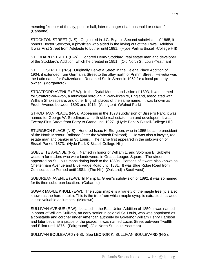meaning "keeper of the sty, pen, or hall, later manager of a household or estate." (Cabanne)

STOCKTON STREET (N-S). Originated in J.G. Bryan's Second subdivision of 1865, it honors Doctor Stockton, a physician who aided in the laying out of the Lowell Addition. It was First Street from Adelaide to Luther until 1881. (Hyde Park & Bissell -College Hill)

STODDARD STREET (E-W). Honored Henry Stoddard, real estate man and developer of the Stoddard's Addition, which he created in 1851. (Old North St. Louis-Yeatman)

STOLLE STREET (N-S). Originally Helvetia Street in the Helena Place Addition of 1904, it extended from Germania Street to the alley north of Primm Street. Helvetia was the Latin name for Switzerland. Renamed Stolle Street in 1952 for a local property owner. (Morganford)

STRATFORD AVENUE (E-W). In the Rydal Mount subdivision of 1893, it was named for Stratford-on-Avon, a municipal borough in Warwickshire, England, associated with William Shakespeare, and other English places of the same name. It was known as Frueh Avenue between 1893 and 1916. (Arlington) (Walnut Park)

STRODTMAN PLACE (N-S). Appearing in the 1873 subdivision of Bissell's Park, it was named for George W. Strodtman, a north side real estate man and developer. It was Twenty-First Street from Ferry to Grand until 1927. (Hyde Park & Bissell-College Hill)

STURGEON PLACE (N-S). Honored Isaac H. Sturgeon, who in 1855 became president of the North Missouri Railroad (later the Wabash Railroad). He was also a lawyer, real estate man and banker in St. Louis. The name first appeared in the subdivision of Bissell Park of 1873. (Hyde Park & Bissell-College Hill)

SUBLETTE AVENUE (N-S). Named in honor of William L. and Solomon B. Sublette, western fur traders who were landowners in Gratiot League Square. The street appeared on St. Louis maps dating back to the 1850s. Portions of it were also known as Cheltenham Avenue and Blue Ridge Road until 1881. It was Blue Ridge Road from Connecticut to Pernod until 1881. (The Hill) (Oakland) (Southwest)

SUBURBAN AVENUE (E-W). In Phillip E. Green's subdivision of 1892, it was so named for its then suburban location. (Cabanne)

SUGAR MAPLE KNOLL (E-W). The sugar maple is a variety of the maple tree (it is also known as the hard maple). This is the tree from which maple syrup is extracted. Its wood is also valuable as lumber. (Midtown)

SULLIVAN AVENUE (E-W). Located in the East Union Addition of 1850, it was named in honor of William Sullivan, an early settler in colonial St. Louis, who was appointed as a constable and coroner under American authority by Governor William Henry Harrison and later became a justice of the peace. It was named Lucas Street between Twelfth and Elliott until 1875. (Fairground) (Old North St. Louis-Yeatman)

SULLIVAN BOULEVARD (N-S). See LEONOR K. SULLIVAN BOULEVARD (N-S).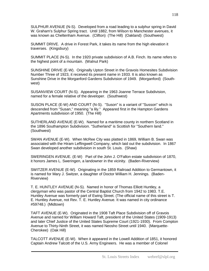SULPHUR AVENUE (N-S). Developed from a road leading to a sulphur spring in David W. Graham's Sulphur Spring tract. Until 1882, from Wilson to Manchester avenues, it was known as Cheltenham Avenue. (Clifton) (The Hill) (Oakland) (Southwest)

SUMMIT DRIVE. A drive in Forest Park, it takes its name from the high elevation it traverses. (Kingsbury)

SUMMIT PLACE (N-S). In the 1920 private subdivision of A.B. Finch. Its name refers to the highest point of a mountain. (Walnut Park)

SUNSHINE DRIVE (E-W). Originally Upton Street in the Gravois Homesites Subdivision Number Three of 1923, it received its present name in 1933. It is also known as Sunshine Drive in the Morganford Gardens Subdivision of 1949. (Morganford) (Southwest)

SUSANVIEW COURT (N-S). Appearing in the 1963 Joanne Terrace Subdivision, named for a female relative of the developer. (Southwest)

SUSON PLACE (E-W) AND COURT (N-S). "Suson" is a variant of "Susson" which is descended from "Susan," meaning "a lily." Appeared first in the Hampton Gardens Apartments subdivision of 1950. (The Hill)

SUTHERLAND AVENUE (E-W). Named for a maritime county in northern Scotland in the 1896 Southampton Subdivision. "Sutherland" is Scottish for "Southern land." (Southwest)

SWAN AVENUE (E-W). When McRee City was platted in 1869, William B. Swan was associated with the Hiram Leffingwell Company, which laid out the subdivision. In 1867 Swan developed another subdivision in south St. Louis. (Shaw)

SWERINGEN AVENUE. (E-W) Part of the John J. O'Fallon estate subdivision of 1870, it honors James L. Sweringen, a landowner in the vicinity. (Baden-Riverview)

SWITZER AVENUE (E-W). Originating in the 1859 Railroad Addition to Germantown, it is named for Mary J. Switzer, a daughter of Doctor William H. Jennings. (Baden-Riverview)

T. E. HUNTLEY AVENUE (N-S). Named in honor of Thomas Elliott Huntley, a clergyman who was pastor of the Central Baptist Church from 1942 to 1983. T.E. Huntley Avenue was formerly part of Ewing Street. (The official name of this street is T. E. Huntley Avenue, not Rev. T. E. Huntley Avenue. It was named in city ordinance #59748.) (Midtown)

TAFT AVENUE (E-W). Originated in the 1908 Taft Place Subdivision off of Gravois Avenue and named for William Howard Taft, president of the United States (1909-1913) and later Chief Justice of the United States Supreme Court (1921-1930). From Compton Avenue to Thirty-Ninth Street, it was named Neosho Street until 1940. (Marquette-Cherokee) (Oak Hill)

TALCOTT AVENUE (E-W). When it appeared in the Lowell Addition of 1851, it honored Captain Andrew Talcott of the U.S. Army Engineers. He was a member of Colonel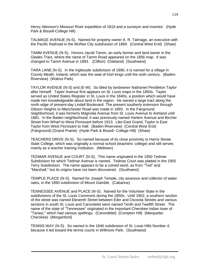Henry Atkinson's Missouri River expedition of 1819 and a surveyor and inventor. (Hyde Park & Bissell-College Hill)

TALMAGE AVENUE (N-S). Named for property owner A. R. Talmage, an executive with the Pacific Railroad in the McRee City subdivision of 1869. (Central West End) (Shaw)

TAMM AVENUE (N-S). Honors Jacob Tamm, an early farmer and land owner in the Glades Tract, where the name of Tamm Road appeared on the 1856 map. It was changed to Tamm Avenue in 1893. (Clifton) (Oakland) (Southwest)

TARA LANE (N-S). In the Inglesyde subdivision of 1890, it is named for a village in County Meath, Ireland, which was the seat of Irish kings until the sixth century. (Baden-Riverview) (Walnut Park)

TAYLOR AVENUE (N-S) and (E-W). So titled by landowner Nathaniel Pendleton Taylor after himself. Taylor Avenue first appears on St. Louis maps in the 1850s. Taylor served as United States Register in St. Louis in the 1840s, a position which would have made him knowledgeable about land in the region. He owned a large tract along the north edge of present-day Lindell Boulevard. The present southerly extension through Gibson Heights to Manchester Road was made in 1893. In the Fairground neighborhood, it was formerly Magnolia Avenue from St. Louis Avenue to Ashland until 1881. In the Baden neighborhood, it was previously named Harlem Avenue and Bircher Street from Wharf to West Florissant before 1913. Like East Grand, Taylor is East Taylor from West Florissant to Hall. (Baden-Riverview) (Central West End) (Fairground) (Grand Prairie) (Hyde Park & Bissell- College Hill) (Shaw)

TEACHERS DRIVE (N-S). So named because of its close proximity to Harris-Stowe State College, which was originally a normal school (teachers' college) and still serves mainly as a teacher training institution. (Midtown)

TEDMAR AVENUE and COURT (N-S). This name originated in the 1950 Tedmar Subdivision for which Tedmar Avenue is named. Tedmar Court was platted in the 1955 Terry Subdivision. The name appears to be a coined word, as from "Ted" and "Marshall," but its origins have not been discovered. (Southwest)

TEMPLE PLACE (N-S). Named for Joseph Temple, city assessor and collector of water rates, in the 1890 subdivision of Mount Gamble. (Cabanne)

TENNESSEE AVENUE and PLACE (N-S). Named for the Volunteer State in the subdivisions of the St. Louis Commons during the 1850s. Until 1902, a southern section of the street was named Eleventh Street between Eiler and Osceola Streets and various sections in south St. Louis and Carondelet were named Tenth and Twelfth Street. The name of the state of "Tennessee" originated in the important Cherokee Indian town of "Tanasi," which had various spellings. (Carondelet) (Compton Hill) (Marquette-Cherokee) (Morganford)

TENNIS WAY (N-S). So named in the 1946 subdivision of St. Louis Hills Number 4, because it led toward the tennis courts in Willmore Park. (Southwest)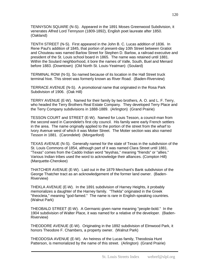TENNYSON SQUARE (N-S). Appeared in the 1891 Moses Greenwood Subdivision, it venerates Alfred Lord Tennyson (1809-1892), English poet laureate after 1850. (Oakland)

TENTH STREET (N-S). First appeared in the John B. C. Lucas addition of 1836. In Rene Paul's addition of 1845, that portion of present-day 10th Street between Gratiot and Chouteau was named Barlow Street for Stephen D. Barlow, a railroad executive and president of the St. Louis school board in 1865. The name was retained until 1881. Within the Soulard neighborhood, it bore the names of Valle, South, Buel and Menard before 1883. (Downtown) (Old North St. Louis-Yeatman) (Soulard)

TERMINAL ROW (N-S). So named because of its location in the Hall Street truck terminal hive. This street was formerly known as River Road. (Baden-Riverview)

TERRACE AVENUE (N-S). A promotional name that originated in the Rosa Park Subdivision of 1906. (Oak Hill)

TERRY AVENUE (E-W). Named for their family by two brothers, A. O. and L. F. Terry, who headed the Terry Brothers Real Estate Company. They developed Terry Place and the Terry Company subdivisions in 1888-1889. (Arlington) (Grand Prairie)

TESSON COURT and STREET (E-W). Named for Louis Tesson, a council-man from the second ward in Carondelet's first city council. His family were early French settlers in the area. The name originally applied to the portion of the street from the wharf to Ivory Avenue west of which it was Motier Street. The Motier section was also named Tesson in 1881. (Carondelet) (Morganford)

TEXAS AVENUE (N-S). Generally named for the state of Texas in the subdivision of the St. Louis Commons of 1854, although part of it was named Clara Street until 1881. "Texas" comes from the Caddo Indian word "teyshas," meaning "friends" or "allies." Various Indian tribes used the word to acknowledge their alliances. (Compton Hill) (Marquette-Cherokee)

THATCHER AVENUE (E-W). Laid out in the 1879 Merchant's Bank subdivision of the George Thatcher tract as an acknowledgement of the former land owner. (Baden-Riverview)

THEKLA AVENUE (E-W). In the 1891 subdivision of Harney Heights, it probably memorializes a daughter of the Harney family. "Thekla" originated in the Greek "theocleia," meaning "god-famed." The name is rare in English-speaking countries. (Walnut Park)

THEOBALD STREET (E-W). A Germanic given name meaning "people-bold." In the 1904 subdivision of Walter Place, it was named for a relative of the developer. (Baden-Riverview)

THEODORE AVENUE (E-W). Originating in the 1892 subdivision of Elmwood Park, it honors Theodore F. Chambers, a property owner. (Walnut Park)

THEODOSIA AVENUE (E-W). An heiress of the Lucas family, Theodosia Hunt Patterson, is memorialized by the name of this street. (Arlington) (Grand Prairie)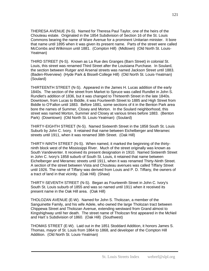THERESA AVENUE (N-S). Named for Theresa Paul Taylor, one of the heirs of the Chouteau estate. Originated in the 1854 Subdivision of Section 16 of the St. Louis Commons bearing the name of Ware Avenue for a prominent Unitarian minister. It bore that name until 1895 when it was given its present name. Parts of the street were called McCombs and Wilkinson until 1881. (Compton Hill) (Midtown) (Old North St. Louis-Yeatman)

THIRD STREET (N-S). Known as La Rue des Granges (Barn Street) in colonial St. Louis, this street was renamed Third Street after the Louisiana Purchase. In Soulard, the section between Rutger and Arsenal streets was named Jackson Street until 1883. (Baden-Riverview) (Hyde Park & Bissell-College Hill) (Old North St. Louis-Yeatman) (Soulard)

THIRTEENTH STREET (N-S). Appeared in the James H. Lucas addition of the early 1840s. The section of the street from Market to Spruce was called Rundlet in John S. Rundlet's addition of 1836, but it was changed to Thirteenth Street in the late 1840s. Downtown, from Lucas to Biddle, it was Fourteenth Street to 1885 and High Street from Biddle to O'Fallon until 1883. Before 1881, some sections of it in the Benton Park area bore the names of Summer, Closey and Morton. In the Soulard neighborhood, this street was named Morton, Summer and Closey at various times before 1883. (Benton Park) (Downtown) (Old North St. Louis-Yeatman) (Soulard)

THIRTY-EIGHTH STREET (N-S). Named Sixteenth Street in the 1858 South St. Louis Suburb by John C. Ivory. It retained that name between Eichelberger and Meramec streets until 1911, when it was renamed 38th Street. (Oak Hill)

THIRTY-NINTH STREET (N-S). When named, it marked the beginning of the thirtyninth block west of the Mississippi River. Much of the street originally was known as South Vandeventer. It received its present designation in 1910. Named Sixteenth Street in John C. Ivory's 1858 suburb of South St. Louis, it retained that name between Eichelberger and Meramec streets until 1911, when it was renamed Thirty-Ninth Street. A section of the street between Vista and Chouteau avenues was called Tiffany Street until 1926. The name of Tiffany was derived from Louis and P. D. Tiffany, the owners of a tract of land in that vicinity. (Oak Hill) (Shaw)

THIRTY-SEVENTH STREET (N-S). Began as Fourteenth Street in John C. Ivory's South St. Louis suburb of 1855 and was so named until 1911 when it received its present name in the Oak Hill area. (Oak Hill)

THOLOZAN AVENUE (E-W). Named for John S. Tholozan, a member of the Sanguinette Family, and his wife Adele, who owned the large Tholozan tract between Chippewa Street and Tholozan Avenue, extending westward from Grand almost to Kingshighway until her death. The street name of Tholozan first appeared in the McNeil and Hart`s Subdivision of 1860. (Oak Hill) (Southwest)

THOMAS STREET (E-W). Laid out in the 1851 Stoddard Addition, it honors James S. Thomas, mayor of St. Louis from 1864 to 1868, and developer of the Compton Hill Addition. (Old North St. Louis-Yeatman)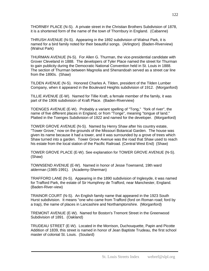THORNBY PLACE (N-S). A private street in the Christian Brothers Subdivision of 1878, it is a shortened form of the name of the town of Thornbury in England. (Cabanne)

THRUSH AVENUE (N-S). Appearing in the 1892 subdivision of Walnut Park, it is named for a bird family noted for their beautiful songs. (Arlington) (Baden-Riverview) (Walnut Park)

THURMAN AVENUE (N-S). For Allen G. Thurman, the vice-presidential candidate with Grover Cleveland in 1888. The developers of Tyler Place named the street for Thurman to gain publicity during the Democratic National Convention held in St. Louis in 1888. The section of Thurman between Magnolia and Shenandoah served as a street car line from the 1890s. (Shaw)

TILDEN AVENUE (N-S). Honored Charles A. Tilden, president of the Tilden Lumber Company, when it appeared in the Boulevard Heights subdivision of 1912. (Morganford)

TILLIE AVENUE (E-W). Named for Tillie Kraft, a female member of the family, it was part of the 1906 subdivision of Kraft Place. (Baden-Riverview)

TOENGES AVENUE (E-W). Probably a variant spelling of "Tong," "fork of river", the name of five different places in England, or from "Tonge", meaning "tongue of land." Platted in the Toenges Subdivision of 1922 and named for the developer. (Morganford)

TOWER GROVE AVENUE (N-S). Named by Henry Shaw after his country estate, "Tower Grove," now on the grounds of the Missouri Botanical Garden. The house was given its name because it had a tower, and it was surrounded by a grove of trees which Shaw turned into a garden. Tower Grove Avenue was the road that Shaw used to reach his estate from the local station of the Pacific Railroad. (Central West End) (Shaw)

TOWER GROVE PLACE (E-W). See explanation for TOWER GROVE AVENUE (N-S). (Shaw)

TOWNSEND AVENUE (E-W). Named in honor of Jesse Townsend, 19th ward alderman (1985-1991). (Academy-Sherman)

TRAFFORD LANE (N-S). Appearing in the 1890 subdivision of Inglesyde, it was named for Trafford Park, the estate of Sir Humphrey de Trafford, near Manchester, England. (Baden-River-view)

TRAINOR COURT (N-S). An English family name that appeared in the 1923 South Hurst subdivision. It means "one who came from Trafford (ford on Roman road; ford by a trap), the name of places in Lancashire and Northamptonshire. (Morganford)

TREMONT AVENUE (E-W). Named for Boston's Tremont Street in the Greenwood Subdivision of 1891. (Oakland)

TRUDEAU STREET (E-W). Located in the Morrison, Duchouquette, Papin and Picotte Addition of 1839, this street is named in honor of Jean Baptiste Trudeau, the first school master of colonial St. Louis. (Soulard)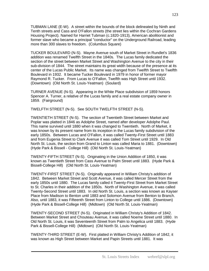TUBMAN LANE (E-W). A street within the bounds of the block delineated by Ninth and Tenth streets and Cass and O'Fallon streets (the street lies within the Cochran Gardens Housing Project). Named for Harriet Tubman (c.1820-1913), American abolitionist and former slave who became a principal "conductor" on the Underground Railroad, leading more than 300 slaves to freedom. (Columbus Square)

TUCKER BOULEVARD (N-S). Mayne Avenue south of Market Street in Rundlet's 1836 addition was renamed Twelfth Street in the 1840s. The Lucas family dedicated the section of the street between Market Street and Washington Avenue to the city in their sub-division of 1844. The street maintains its great width because of the presence at its center of the Lucas Public Market. Its name was changed from Twelfth Street to Twelfth Boulevard in 1932. It became Tucker Boulevard in 1979 in honor of former mayor Raymond R. Tucker. From Lucas to O'Fallon, Twelfth was High Street until 1932. (Downtown) (Old North St. Louis-Yeatman) (Soulard)

TURNER AVENUE (N-S). Appearing in the White Place subdivision of 1859 honors Spencer A. Turner, a relative of the Lucas family and a real estate company owner in 1859. (Fairground)

TWELFTH STREET (N-S). See SOUTH TWELFTH STREET (N-S).

TWENTIETH STREET (N-S). The section of Twentieth Street between Market and Poplar was platted in 1846 as Adolphe Street, named after developer Adolphe Paul. This name survived until 1880 when it was changed to Twentieth. North of Market, it was known by its present name from its inception in the Lucas family subdivision of the early 1850s. Between Lucas and O'Fallon, it was called Twenty-First Street until 1883 and from Eugenia Street to Clark Avenue it was called Tom Street until 1929. In Old North St. Louis, the section from Grand to Linton was called Maria to 1881. (Downtown) (Hyde Park & Bissell - College Hill) (Old North St. Louis-Yeatman)

TWENTY-FIFTH STREET (N-S). Originating in the Union Addition of 1850, it was known as Twentieth Street from Cass Avenue to Palm Street until 1883. (Hyde Park & Bissell-College Hill) (Old North St. Louis-Yeatman)

TWENTY-FIRST STREET (N-S). Originally appeared in William Christy's addition of 1842. Between Market Street and Scott Avenue, it was called Mercer Street from the early 1850s until 1880. The Lucas family called it Twenty-First Street from Market Street to St. Charles in their addition of the 1850s. North of Washington Avenue, it was called Twenty-Second Street until 1883. In old North St. Louis, a section was known as Kayser Place from Madison to Benton until 1883 and Solomon Avenue from Benton to Branch. Also, until 1883, it was Fifteenth Street from Linton to College until 1886. (Downtown) (Hyde Park & Bissell-College Hill) (Midtown) (Old North St. Louis-Yeatman)

TWENTY-SECOND STREET (N-S). Originated in William Christy's Addition of 1842. Between Market Street and Chouteau Avenue, it was called Noeme Street until 1880. In Old North St. Louis, it was Seventeenth Street from Palm to Angelica until 1883. (Hyde Park & Bissell-College Hill) (Midtown) (Old North St. Louis-Yeatman)

TWENTY-THIRD STREET (E-W). First platted in William Christy's Addition of 1842, it was known as High Street between Market and Papin Streets until 1881. It was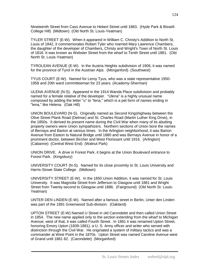Nineteenth Street from Cass Avenue to Hebert Street until 1883. (Hyde Park & Bissell-College Hill) (Midtown) (Old North St. Louis-Yeatman)

TYLER STREET (E-W). When it appeared in William C. Christy's Addition to North St. Louis of 1842, it commemorates Robert Tyler who married Mary Lawrence Chambers, the daughter of the developer of Chambers, Christy and Wright's Town of North St. Louis of 1816. It was known as Webster Street from the wharf to Tenth Street until 1881. (Old North St. Louis-Yeatman)

TYROLEAN AVENUE (E-W). In the Austria Heights subdivision of 1906, it was named for the province of Tyrol in the Austrian Alps. (Morganford) (Southwest)

TYUS COURT (E-W). Named for Leroy Tyus, who was a state representative 1950- 1958 and 20th ward committeeman for 23 years. (Academy-Sherman)

ULENA AVENUE (N-S). Appeared in the 1914 Wanda Place subdivision and probably named for a female relative of the developer. "Ulena" is a highly unusual name composed by adding the letter "u" to "lena," which is a pet form of names ending in "lena," like Helena. (Oak Hill)

UNION BOULEVARD (N-S). Originally named as Second Kingshighway between the Olive Street Plank Road (Delmar) and St. Charles Road (Martin Luther King Drive), in the 1850s. It derived its present name during the Civil War when many of its abutting property owners were Union sympathizers. Northern sections of Union bore the names of Bernays and Barton at various times. In the Arlington neighborhood, it was Barton Avenue from Easton to Natural Bridge until 1880 and was Bernays Avenue in honor of a prominent doctor, between Bircher and West Florissant until 1916. (Arlington) (Cabanne) (Central West End) (Walnut Park)

UNION DRIVE. A drive in Forest Park, it begins at the Union Boulevard entrance to Forest Park. (Kingsbury)

UNIVERSITY COURT (N-S). Named for its close proximity to St. Louis University and Harris-Stowe State College. (Midtown)

UNIVERSITY STREET (E-W). In the 1850 Union Addition, it was named for St. Louis University. It was Magnolia Street from Jefferson to Glasgow until 1881 and Wright Street from Twenty-second to Glasgow until 1886. (Fairground) (Old North St. Louis-Yeatman)

UNTER DEN LINDEN (E-W). Named after a famous street in Berlin, Unter den Linden was part of the 1891 Greenwood Sub-division. (Oakland)

UPTON STREET (E-W) Named U Street in old Carondelet and then called Union Street in 1854. The new name applied only to the section extending from the wharf to Michigan Avenue; west of that, it was called Fourth Street. In 1881 it was renamed Upton Street, honoring Emory Upton (1839-1881), a U. S. Army officer and writer who served with distinction through the Civil War. He originated a system of military tactics and was a commander at West Point in the 1870s. Upton Street was named Caroline Avenue west of Grand until 1881 82. (Carondelet) (Morganford)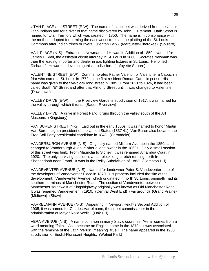UTAH PLACE and STREET (E-W). The name of this street was derived from the Ute or Utah Indians and for a river of that name discovered by John C. Fremont. Utah Street is named for Utah Territory which was created in 1850. The name is in consonance with the method adopted for naming the east-west streets in the platting of the St. Louis Commons after Indian tribes or rivers. (Benton Park) (Marquette-Cherokee) (Soulard)

VAIL PLACE (N-S). Entrance to Newman and Howard's Addition of 1859. Named for James H. Vail, the assistant circuit attorney in St. Louis in 1860. Socrates Newman was then the leading importer and dealer in gas lighting fixtures in St. Louis. He joined Richard J. Howard in developing this subdivision. (Lafayette Square)

VALENTINE STREET (E-W). Commemorates Father Valentin or Valentine, a Capuchin friar who came to St. Louis in 1772 as the first resident Roman Catholic priest. His name was given to the five-block long street in 1885. From 1821 to 1826, it had been called South "E" Street and after that Almond Street until it was changed to Valentine. (Downtown)

VALLEY DRIVE (E-W). In the Riverview Gardens subdivision of 1917, it was named for the valley through which it runs. (Baden-Riverview)

VALLEY DRIVE. A drive in Forest Park, it runs through the valley south of the Art Museum. (Kingsbury)

VAN BUREN STREET (N-S). Laid out in the early 1850s, it was named to honor Martin Van Buren, eighth president of the United States (1837 41). Van Buren also became the Free Soil Party presidential candidate in 1848. (Carondelet)

VANDERBURGH AVENUE (N-S). Originally named Milburn Avenue in the 1850s and changed to Vanderburgh Avenue after a land owner in the 1860s. Only a small section of this street was built. From Magnolia to Sidney, it was renamed Alhambra Court in 1920. The only surviving section is a half-block long stretch running north from Shenandoah near Grand. It was in the Reilly Subdivision of 1883. (Compton Hill)

VANDEVENTER AVENUE (N-S). Named for landowner Peter S. Vandeventer, one of the developers of Vandeventer Place in 1870. His property included the site of the development. Vandeventer Avenue, which originated in north St. Louis, originally had its southern terminus at Manchester Road. The section of Vandeventer between Manchester southwest of Kingshighway originally was known as Old Manchester Road. It was renamed Vandeventer in 1910. (Central West End) (Fairground) (Grand Prairie) (Midtown) (Shaw)

VARRELMANN AVENUE (N-S). Appearing in Newport Heights Second Addition of 1905, it was named for Charles Varrelmann, the street commissioner in the administration of Mayor Rolla Wells. (Oak Hill)

VERA AVENUE (N-S). A name common in many Slavic countries, "Vera" comes from a word meaning "faith." As it became an English name in the 1870s, it was associated with the feminine of the Latin "verus", meaning "true." The name appeared in the 1908 subdivision of Euclid-Florissant Heights. (Walnut Park)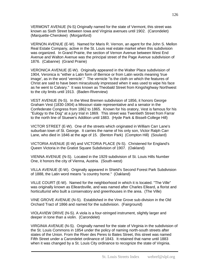VERMONT AVENUE (N-S) Originally named for the state of Vermont, this street was known as Sixth Street between Iowa and Virginia avenues until 1902. (Carondelet) (Marquette-Cherokee) (Morganford)

VERNON AVENUE (E-W). Named for Maris R. Vernon, an agent for the John S. Mellon Real Estate Company, active in the St. Louis real estate market when this subdivision was organized. In Grand Prairie, the section of Vernon Avenue between West End Avenue and Walton Avenue was the principal street of the Page Avenue subdivision of 1876. (Cabanne) (Grand Prairie)

VERONICA AVENUE (E-W). Originally appeared in the Walter Place subdivision of 1904, Veronica is "either a Latin form of Bernice or from Latin words meaning 'true image', as in the word 'vernicle'." The vernicle "is the cloth on which the features of Christ are said to have been miraculously impressed when it was used to wipe his face as he went to Calvary." It was known as Theobald Street from Kingshighway Northwest to the city limits until 1913. (Baden-Riverview)

VEST AVENUE (N-S). In the West Bremen subdivision of 1856, it honors George Graham Vest (1830-1904) a Missouri state representative and a senator in the Confederate Congress from 1862 to 1865. Known for his oratory, Vest is famous for his "Eulogy to the Dog" at a jury trial in 1869. This street was Twentieth Street from Farrar to the north line of Stuewe's Addition until 1883. (Hyde Park & Bissell-College Hill)

VICTOR STREET (E-W). One of the streets which originated in William Carr Lane's suburban town of St. George. It carries the name of his only son, Victor Ralph Carr Lane, who died in 1846 at the age of 15. (Benton Park) (Compton Hill) (Soulard)

VICTORIA AVENUE (E-W) and VICTORIA PLACE (N-S). Christened for England's Queen Victoria in the Gratiot Square Subdivision of 1907. (Oakland)

VIENNA AVENUE (N-S). Located in the 1929 subdivision of St. Louis Hills Number One, it honors the city of Vienna, Austria. (South-west)

VILLA AVENUE (E-W). Originally appeared in Shield's Second Forest Park Subdivision of 1888, the Latin word means "a country home." (Oakland)

VILLE COURT (E-W). Named for the neighborhood in which it is located. "The Ville" was originally known as Elleardsville, and was named after Charles Elleard, a florist and horticulturist who built a conservatory and greenhouses in the area. (The Ville)

VINE GROVE AVENUE (N-S). Established in the Vine Grove sub-division in the Old Orchard Tract of 1866 and named for the subdivision. (Fairground)

VIOLAVIEW DRIVE (N-S). A viola is a four-stringed instrument, slightly larger and deeper in tone than a violin. (Carondelet)

VIRGINIA AVENUE (N-S). Originally named for the state of Virginia in the subdivision of the St. Louis Commons in 1854 under the policy of naming north-south streets after states of the Union. From the River des Peres to Bates Street, this street was named Fifth Street under a Carondelet ordinance of 1843. It retained that name until 1883 when it was changed by a St. Louis City ordinance to recognize the state of Virginia.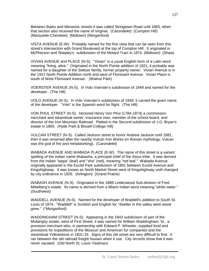Between Bates and Meramec streets it was called Stringtown Road until 1883, when that section also received the name of Virginia. (Carondelet) (Compton Hill) (Marquette-Cherokee) (Midtown) (Morganford)

VISTA AVENUE (E-W). Probably named for the fine vista that can be seen from this street's intersection with Grand Boulevard at the top of Compton Hill. It originated in McPherson and Shepley's subdivisiion of the Motard Tract in 1874. (Midtown) (Shaw)

VIVIAN AVENUE and PLACE (N-S). "Vivian" is a usual English form of a Latin word meaning "living, alive." Originated in the North Pointe addition of 1921, it probably was named for a daughter of the Switzer family, former property owner. Vivian Avenue is in the 1921 North Pointe Addition north and west of Florissant Avenue. Vivian Place is south of West Florissant Avenue. (Walnut Park)

VOERSTER AVENUE (N-S). In Volo Voerster's subdivision of 1949 and named for the developer. (The Hill)

VOLO AVENUE (N-S). In Volo Voerster's subdivision of 1949, it carried the given name of the developer. "Volo" is the Spanish word for flight. (The Hill)

VON PHUL STREET (N-S). Honored Henry Von Phul (1784-1874) a commission merchant and steamboat owner, insurance man, member of the school board, and director of the Iron Mountain Railroad. Platted in the Second subdivision of J.G. Bryan's estate in 1865. (Hyde Park & Bissell-College Hill)

VULCAN STREET (N-S). Called Jackson street to honor Andrew Jackson until 1881, then it was renamed after the nearby Vulcan Iron Works (in Roman mythology, Vulcan was the god of fire and metalworking). (Carondelet)

WABADA AVENUE AND WABADA PLACE (E-W). The name of this street is a variant spelling of the Indian name Wabasha, a principal chief of the Sioux tribe. It was derived from the Indian "wapa" (leaf) and "sha" (red), meaning "red leaf." Wabada Avenue originally appeared in the Euclid Park subdivision of 1891 between Euclid Avenue and Kingshighway. It was known as North Market Street west of Kingshighway until changed by city ordinance in 1926. (Arlington) (Grand Prairie)

WABASH AVENUE (N-S). Originated in the 1888 Lindenwood Sub-division of Fred Mittelberg's estate. Its name is derived from a Miami Indian word meaning "white water." (Southwest)

WADDELL AVENUE (N-S). Named for the developer of Waddell's addition to South St. Louis of 1874. "Waddell" is Scottish and English for "dweller in the valley were wood grew." (\*Morganford)

WADDINGHAM STREET (N-S). Appearing in the 1843 subdivision of part of the Mullanphy estate, west of First Street, it was named for William Waddingham, Sr., a provision merchant who, in partnership with Edward P. Wheeler, supplied food and provisions for expeditions of the Missouri and American fur companies and the steamboat Yellowstone in 1831-33. Signs of this old street are very difficult to find. It ran between the old railroad freight houses when it use. City records show that it was never vacated. (Old North St. Louis-Yeatman)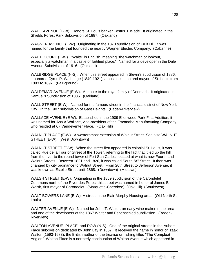WADE AVENUE (E-W). Honors St. Louis banker Festus J. Wade. It originated in the Shields Forest Park Subdivision of 1887. (Oakland)

WAGNER AVENUE (E-W). Originating in the 1870 subdivision of Fruit Hill, it was named for the family that founded the nearby Wagner Electric Company. (Cabanne)

WAITE COURT (E-W). "Waite" is English, meaning "the watchman or lookout, especially a watchman in a castle or fortified place." Named for a developer in the Dale Avenue Subdivision of 1916. (Oakland)

WALBRIDGE PLACE (N-S). When this street appeared in Slevin's subdivision of 1886, it honored Cyrus P. Walbridge (1849-1921), a business man and mayor of St. Louis from 1893 to 1897. (Fair-ground)

WALDEMAR AVENUE (E-W). A tribute to the royal family of Denmark. It originated in Samuel's Subdivision of 1885. (Oakland)

WALL STREET (E-W). Named for the famous street in the financial district of New York City. In the 1907 subdivision of Gast Heights. (Baden-Riverview)

WALLACE AVENUE (E-W). Established in the 1909 Ellenwood Park First Addition, it was named for Asa A Wallace, vice-president of the Escanaba Manufacturing Company, who resided at 67 Vandeventer Place. (Oak Hill)

WALNUT PLACE (E-W). A westernmost extension of Walnut Street. See also WALNUT STREET (E-W). (West Downtown)

WALNUT STREET (E-W). When the street first appeared in colonial St. Louis, it was called Rue de la Tour or Street of the Tower, referring to the fact that it led up the hill from the river to the round tower of Fort San Carlos, located at what is now Fourth and Walnut Streets. Between 1821 and 1826, it was called South "A" Street. It then was changed by city ordinance to Walnut Street. From 20th Street to Jefferson Avenue, it was known as Estelle Street until 1868. (Downtown) (Midtown)

WALSH STREET (E-W). Originating in the 1859 subdivision of the Carondelet Commons north of the River des Peres, this street was named in honor of James B. Walsh, first mayor of Carondelet. (Marquette-Cherokee) (Oak Hill) (Southwest)

WALT BOWERS LANE (E-W). A street in the Blair-Murphy Housing area. (Old North St. Louis)

WALTER AVENUE (E-W). Named for John T. Walter, an early wine maker in the area and one of the developers of the 1867 Walter and Espenschied subdivision. (Baden-Riverview)

WALTON AVENUE, PLACE, and ROW (N-S). One of the original streets in the Aubert Place subdivision dedicated by John Lay in 1857. It received the name in honor of Izaak Walton (1593-1683), the British author of the treatise on fishing titled "The Compleat Angler." Walton Place is a northerly continuation of Walton Avenue which appeared in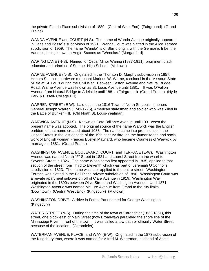the private Florida Place subdivision of 1889. (Central West End) (Fairground) (Grand Prairie)

WANDA AVENUE and COURT (N-S). The name of Wanda Avenue originally appeared in Haas and Bosso`s subdivision of 1921. Wanda Court was platted in the Alice Terrace subdivision of 1959. The name "Wanda" is of Slavic origin, with the Germanic tribe, the Vandals, being known to Anglo-Saxons as "Wendlas." (Morganford)

WARING LANE (N-S). Named for Oscar Minor Waring (1837-1911), prominent black educator and principal of Sumner High School. (Midtown)

WARNE AVENUE (N-S). Originated in the Thornton D. Murphy subdivision in 1857. Honors St. Louis hardware merchant Marinus W. Warne, a colonel in the Missouri State Militia at St. Louis during the Civil War. Between Easton Avenue and Natural Bridge Road, Warne Avenue was known as St. Louis Avenue until 1881. It was O'Fallon Avenue from Natural Bridge to Adelaide until 1881. (Fairground) (Grand Prairie) (Hyde Park & Bissell- College Hill)

WARREN STREET (E-W). Laid out in the 1816 Town of North St. Louis, it honors General Joseph Warren (1741-1775), American statesman and soldier who was killed in the Battle of Bunker Hill. (Old North St. Louis-Yeatman)

WARWICK AVENUE (N-S). Known as Cote Brillante Avenue until 1931 when the present name was adopted. The original source of the name Warwick was the English earldom of that name created about 1088. The name came into prominence in the United States in the last decade of the 19th century through the humanitarian and social work of English woman Frances Evelyn Maynard, who became Countess of Warwick by marriage in 1881. (Grand Prairie)

WASHINGTON AVENUE, BOULEVARD, COURT, and TERRACE (E-W). Washington Avenue was named North "F" Street in 1821 and Laurel Street from the wharf to Seventh Street in 1826. The name Washington first appeared in 1835, applied to that section of the street from Third to Eleventh which was part of Jeremiah O'Connor's subdivision of 1823. The name was later applied to the entire street. Washington Terrace was platted in the Bell Place private subdivision of 1890. Washington Court was a private apartment subdivision off of Clara Avenue in 1919. Washington Way originated in the 1890s between Olive Street and Washington Avenue. Until 1871, Washington Avenue was named McLure Avenue from Grand to the city limits. (Downtown) (Central West End) (Kingsbury) (Midtown)

WASHINGTON DRIVE. A drive in Forest Park named for George Washington. (Kingsbury)

WATER STREET (N-S). During the time of the town of Carondelet (1832 1851), this street, one block east of Main Street (now Broadway) paralleled the shore line of the Mississippi River in front of the town. It was called a tow path or officially Water Street because of the location. (Carondelet)

WATERMAN AVENUE, PLACE, and WAY (E-W). Originated in the 1873 subdivision of the Kingsbury tract, where it was named for Alfred M. Waterman, husband of Adele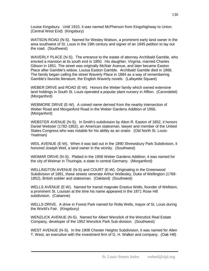Louise Kingsbury. Until 1910, it was named McPherson from Kingshighway to Union. (Central West End) (Kingsbury)

WATSON ROAD (N-S). Named for Wesley Watson, a prominent early land owner in the area southwest of St. Louis in the 19th century and signer of an 1845 petition to lay out the road. (Southwest)

WAVERLY PLACE (N-S). The entrance to the estate of attorney Archibald Gamble, who erected a mansion at its south end in 1850. His daughter, Virginia, married Charles Gibson in 1851. The street was originally McNair Avenue, and later became Easton Place after Gamble's widow, Louisa Easton Gamble. Archibald Gamble died in 1866. The family began calling the street Waverly Place in 1884 as a way of remembering Gamble's favorite literature, the English Waverly novels. (Lafayette Square)

WEBER DRIVE and ROAD (E-W). Honors the Weber family which owned extensive land holdings in South St. Louis operated a popular plant nursery in Affton. (Carondelet) (Morganford)

WEBMORE DRIVE (E-W). A coined name derived from the nearby intersection of Weber Road and Morganford Road in the Weber Gardens Addition of 1956. (Morganford)

WEBSTER AVENUE (N-S). In Smith's subdivision by Alton R. Easton of 1852, it honors Daniel Webster (1782-1852), an American statesman, lawyer and member of the United States Congress who was notable for his ability as an orator. (Old North St. Louis-Yeatman)

WEIL AVENUE (E-W). When it was laid out in the 1890 Shrewsbury Park Subdivision, it honored Joseph Weil, a land owner in the vicinity. (Southwest)

WEIMAR DRIVE (N-S). Platted in the 1956 Weber Gardens Addition, it was named for the city of Weimar in Thuringia, a state in central Germany. (Morganford)

WELLINGTON AVENUE (N-S) and COURT (E-W). Originating in the Greenwood Subdivision of 1891, these streets venerate Arthur Wellesley, Duke of Wellington (1769- 1852), British soldier and statesman. (Oakland) (Southwest)

WELLS AVENUE (E-W). Named for transit magnate Erastus Wells, founder of Wellston, a prominent St. Louisan at the time his name appeared in the 1871 Rose Hill subdivision. (Cabanne)

WELLS DRIVE. A drive in Forest Park named for Rolla Wells, mayor of St. Louis during the World's Fair. (Kingsbury)

WENZLICK AVENUE (N-S). Named for Albert Wenzlick of the Wenzlick Real Estate Company, developer of the 1952 Wenzlick Park Sub-division. (Southwest)

WEST AVENUE (N-S). In the 1908 Chester Heights Subdivision, it was named for Allen T. West, an executive with the investment firm of G. H. Walker and company. (Oak Hill)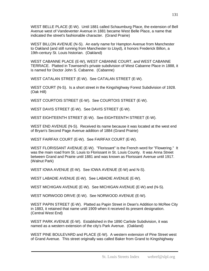WEST BELLE PLACE (E-W). Until 1881 called Schaumburg Place, the extension of Bell Avenue west of Vandeventer Avenue in 1881 became West Belle Place, a name that indicated the street's fashionable character. (Grand Prairie)

WEST BILLON AVENUE (N-S). An early name for Hampton Avenue from Manchester to Oakland (and still running from Manchester to Lloyd), it honors Frederick Billon, a 19th-century St. Louis historian. (Oakland)

WEST CABANNE PLACE (E-W), WEST CABANNE COURT, and WEST CABANNE TERRACE. Platted in Townsend's private subdivision of West Cabanne Place in 1888, it is named for Doctor John S. Cabanne. (Cabanne)

WEST CATALAN STREET (E-W). See CATALAN STREET (E-W).

WEST COURT (N-S). Is a short street in the Kingshighway Forest Subdivision of 1928. (Oak Hill)

WEST COURTOIS STREET (E-W). See COURTOIS STREET (E-W).

WEST DAVIS STREET (E-W). See DAVIS STREET (E-W).

WEST EIGHTEENTH STREET (E-W). See EIGHTEENTH STREET (E-W).

WEST END AVENUE (N-S). Received its name because it was located at the west end of Bryan's Second Page Avenue addition of 1884 (Grand Prairie)

WEST FAIRFAX COURT (E-W). See FAIRFAX COURT (E-W).

WEST FLORISSANT AVENUE (E-W). "Florissant" is the French word for "Flowering." It was the main road from St. Louis to Florissant in St. Louis County. It was Anna Street between Grand and Prairie until 1881 and was known as Florissant Avenue until 1917. (Walnut Park)

WEST IOWA AVENUE (E-W). See IOWA AVENUE (E-W) and N-S).

WEST LABADIE AVENUE (E-W). See LABADIE AVENUE (E-W).

WEST MICHIGAN AVENUE (E-W). See MICHIGAN AVENUE (E-W) and (N-S).

WEST NORWOOD DRIVE (E-W). See NORWOOD AVENUE (E-W).

WEST PAPIN STREET (E-W). Platted as Papin Street in Dean's Addition to McRee City in 1883, it retained that name until 1909 when it received its present designation. (Central West End)

WEST PARK AVENUE (E-W). Established in the 1890 Carlisle Subdivision, it was named as a western extension of the city's Park Avenue. (Oakland)

WEST PINE BOULEVARD and PLACE (E-W). A western extension of Pine Street west of Grand Avenue. This street originally was called Baker from Grand to Kingshighway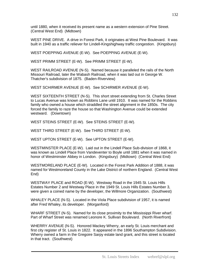until 1880, when it received its present name as a western extension of Pine Street. (Central West End) (Midtown)

WEST PINE DRIVE. A drive in Forest Park, it originates at West Pine Boulevard. It was built in 1940 as a traffic reliever for Lindell-Kingshighway traffic congestion. (Kingsbury)

WEST POEPPING AVENUE (E-W). See POEPPING AVENUE (E-W).

WEST PRIMM STREET (E-W). See PRIMM STREET (E-W).

WEST RAILROAD AVENUE (N-S). Named because it paralleled the rails of the North Missouri Railroad, later the Wabash Railroad, when it was laid out in George W. Thatcher's subdivision of 1875. (Baden-Riverview)

WEST SCHIRMER AVENUE (E-W). See SCHIRMER AVENUE (E-W).

WEST SIXTEENTH STREET (N-S). This short street extending from St. Charles Street to Lucas Avenue was known as Robbins Lane until 1910. It was named for the Robbins family who owned a house which straddled the street alignment in the 1850s. The city forced the family to raze the house so that Washington Avenue could be extended westward. (Downtown)

WEST STEINS STREET (E-W). See STEINS STREET (E-W).

WEST THIRD STREET (E-W). See THIRD STREET (E-W).

WEST UPTON STREET (E-W). See UPTON STREET (E-W).

WESTMINSTER PLACE (E-W). Laid out in the Lindell Place Sub-division of 1868, it was known as Lindell Place from Vandeventer to Boyle until 1881 when it was named in honor of Westminster Abbey in London. (Kingsbury) (Midtown) (Central West End)

WESTMORELAND PLACE (E-W). Located in the Forest Park Addition of 1888, it was named for Westmoreland County in the Lake District of northern England. (Central West End)

WESTWAY PLACE and ROAD (E-W). Westway Road in the 1945 St. Louis Hills Estates Number 2 and Westway Place in the 1949 St. Louis Hills Estates Number 3, were given a coined name by the developer, the Willmore Organization. (Southwest)

WHALEY PLACE (N-S). Located in the Viola Place subdivision of 1957, it is named after Fred Whaley, its developer. (Morganford)

WHARF STREET (N-S). Named for its close proximity to the Mississippi River wharf. Part of Wharf Street was renamed Leonore K. Sullivan Boulevard. (North Riverfront)

WHERRY AVENUE (N-S). Honored Mackey Wherry, an early St. Louis merchant and first city register of St. Louis in 1822. It appeared in the 1896 Southampton Subdivision. Wherry owned a farm in the Gregoire Sarpy estate land grant, and this street is located in that tract. (Southwest)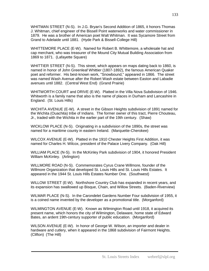WHITMAN STREET (N-S). In J.G. Bryan's Second Addition of 1865, it honors Thomas J. Whitman, chief engineer of the Bissell Point waterworks and water commissioner in 1879. He was a brother of American poet Walt Whitman. It was Sycamore Street from Grand to Adelaide until 1881. (Hyde Park & Bissell-College Hill)

WHITTEMORE PLACE (E-W). Named for Robert B. Whittemore, a wholesale hat and cap merchant, who was treasurer of the Mound City Mutual Building Association from 1869 to 1871. (Lafayette Square)

WHITTIER STREET (N-S). This street, which appears on maps dating back to 1860, is named in honor of John Greenleaf Whittier (1807-1892), the famous American Quaker poet and reformer. His best-known work, "Snowbound," appeared in 1866. The street was named Wash Avenue after the Robert Wash estate between Easton and Labadie avenues until 1882. (Central West End) (Grand Prairie)

WHITWORTH COURT and DRIVE (E-W). Platted in the Villa Nova Subdivision of 1946. Whitworth is a family name that also is the name of places in Durham and Lancashire in England. (St. Louis Hills)

WICHITA AVENUE (E-W). A street in the Gibson Heights subdivision of 1891 named for the Wichita (Ouachita) tribe of Indians. The former owner of this tract, Pierre Chouteau, Jr., traded with the Wichita in the earlier part of the 19th century. (Shaw)

WICKLOW PLACE (N-S). Originating in a subdivision of the 1890s, the street was named for a maritime county in eastern Ireland. (Marquette-Cherokee)

WILCOX AVENUE (E-W). Platted in the 1910 Chester Heights First Addition, it was named for Charles H. Wilcox, president of the Palace Livery Company. (Oak Hill)

WILLIAM PLACE (N-S). In the McKinley Park subdivision of 1904, it honored President William McKinley. (Arlington)

WILLMORE ROAD (N-S). Commemorates Cyrus Crane Willmore, founder of the Willmore Organization that developed St. Louis Hills and St. Louis Hills Estates. It appeared in the 1944 St. Louis Hills Estates Number One. (Southwest)

WILLOW STREET (E-W). Northshore Country Club has expanded in recent years, and its expansion has swallowed up Bisque, Chain, and Willow Streets. (Baden-Riverview)

WILMAR PLACE (N-S). In the Carondelet Gardens Number Four subdivision of 1955, it is a coined name invented by the developer as a promotional title. (Morganford)

WILMINGTON AVENUE (E-W). Known as Wilmington Road until 1918, it acquired its present name, which honors the city of Wilmington, Delaware, home state of Edward Bates, an ardent 19th-century supporter of public education. (Morganford)

WILSON AVENUE (E-W). In honor of George W. Wilson, an importer and dealer in hardware and cutlery, when it appeared in the 1868 subdivision of Fairmont Heights. (Clifton) (The Hill)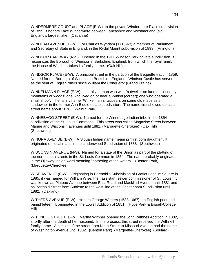WINDERMERE COURT and PLACE (E-W). In the private Windermere Place subdivision of 1895, it honors Lake Windermere between Lancashire and Westmorland (sic), England's largest lake. (Cabanne)

WINDHAM AVENUE (E-W). For Charles Wyndam (1710-63) a member of Parliament and Secretary of State in England, in the Rydal Mount subdivision of 1893. (Arlington)

WINDSOR PARKWAY (N-S). Opened in the 1911 Windsor Park private subdivision, it recognizes the Borough of Windsor in Berkshire, England, from which the royal family, the House of Windsor, takes its family name. (Oak Hill)

WINDSOR PLACE (E-W). A principal street in the partition of the Bequette tract in 1859. Named for the Borough of Windsor in Berkshire, England. Windsor Castle has served as the seat of English rulers since William the Conqueror (Grand Prairie)

WINKELMANN PLACE (E-W). Literally, a man who was "a dweller on land enclosed by mountains or woods; one who lived on or near a Winkel (corner); one who operated a small shop". The family name "Winkelmann," appears on some old maps as a landowner in the former Ann Biddle estate subdivision. The name first showed up as a street name about 1870. (Walnut Park)

WINNEBAGO STREET (E-W). Named for the Winnebago Indian tribe in the 1854 subdivision of the St. Louis Commons. This street was called Magazine Street between Marine and Wisconsin avenues until 1881. (Marquette-Cherokee) (Oak Hill) (Southwest)

WINONA AVENUE (E-W). A Siouan Indian name meaning "first born daughter". It originated on local maps in the Lindenwood Subdivision of 1888. (Southwest)

WISCONSIN AVENUE (N-S). Named for a state of the Union as part of the platting of the north south streets in the St. Louis Common in 1854. The name probably originated in the Ojibway Indian word meaning "gathering of the waters." (Benton Park) (Marquette-Cherokee)

WISE AVENUE (E-W). Originating in Berthold's Subdivision of Gratiot League Square in 1885, it was named for William Wise, then assistant sewer commissioner of St. Louis. It was known as Plateau Avenue between East Road and Macklind Avenue until 1881 and as Berthold Street from Sublette to the west line of the Cheltenham Subdivision until 1882. (Oakland)

WITHERS AVENUE (E-W). Honors George Withers (1588-1667), an English poet and pamphleteer. It originated in the Lowell Addition of 1851. (Hyde Park & Bissell-College Hill)

WITHNELL STREET (E-W). Martha Withnell opened the John Withnell Addition in 1882, shortly after the death of her husband. In the process, this street received the Withnell family name. A section of the street from Ninth Street to Missouri Avenue had the name of Washington Avenue until 1882. (Benton Park) (Marquette-Cherokee) (Soulard)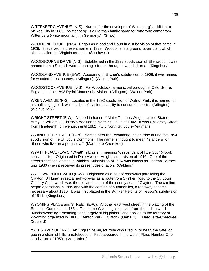WITTENBERG AVENUE (N-S). Named for the developer of Wittenberg's addition to McRee City in 1883. "Wittenberg" is a German family name for "one who came from Wittenberg (white mountain), in Germany." (Shaw)

WOODBINE COURT (N-S). Began as Woodland Court in a subdivision of that name in 1928. It received its present name in 1929. Woodbine is a ground cover plant which also is called the Virginia creeper. (Southwest)

WOODBOURNE DRIVE (N-S). Established in the 1922 subdivision of Ellenwood, it was named from a Scottish word meaning "stream through a wooded area. (Kingsbury)

WOODLAND AVENUE (E-W). Appearing in Bircher's subdivision of 1906, it was named for wooded forest country. (Arlington) (Walnut Park)

WOODSTOCK AVENUE (N-S). For Woodstock, a municipal borough in Oxfordshire, England, in the 1893 Rydal Mount subdivision. (Arlington) (Walnut Park)

WREN AVENUE (N-S). Located in the 1892 subdivision of Walnut Park, it is named for a small singing bird, which is beneficial for its ability to consume insects. (Arlington) (Walnut Park)

WRIGHT STREET (E-W). Named in honor of Major Thomas Wright, United States Army, in William C. Christy's Addition to North St. Louis of 1842. It was University Street from Nineteenth to Twentieth until 1882. (Old North St. Louis-Yeatman)

WYANDOTTE STREET (E-W). Named after the Wyandotte Indian tribe during the 1854 subdivision of the St. Louis Commons. The name is thought to mean "islanders" or "those who live on a peninsula." (Marquette-Cherokee)

WYATT PLACE (E-W). "Wyatt" is English, meaning "descendant of little Guy" (wood; sensible; life). Originated in Dale Avenue Heights subdivision of 1916. One of the street's sections located in Winkles' Subdivision of 1914 was known as Therma Terrace until 1930 when it received its present designation. (Oakland)

WYDOWN BOULEVARD (E-W). Originated as a pair of roadways paralleling the Clayton (04 Line) streetcar right-of-way as a route from Skinker Road to the St. Louis Country Club, which was then located south of the county seat of Clayton. The car line began operations in 1895 and with the coming of automobiles, a roadway became necessary about 1910. It was first platted in the Skinker Heights or Tesson's subdivision of 1911. (Kingsbury)

WYOMING PLACE and STREET (E-W). Another east west street in the platting of the St. Louis Commons in 1854. The name Wyoming is derived from the Indian word "Mecheweaming," meaning "land largely of big plains." and applied to the territory of Wyoming organized in 1868. (Benton Park) (Clifton) (Oak Hill) (Marquette-Cherokee) (Soulard)

YATES AVENUE (N-S). An English name, for "one who lived in, or near, the gate; or gap in a chain of hills; a gatekeeper." First appeared in the Upton Place Number One subdivision of 1953. (Morganford)